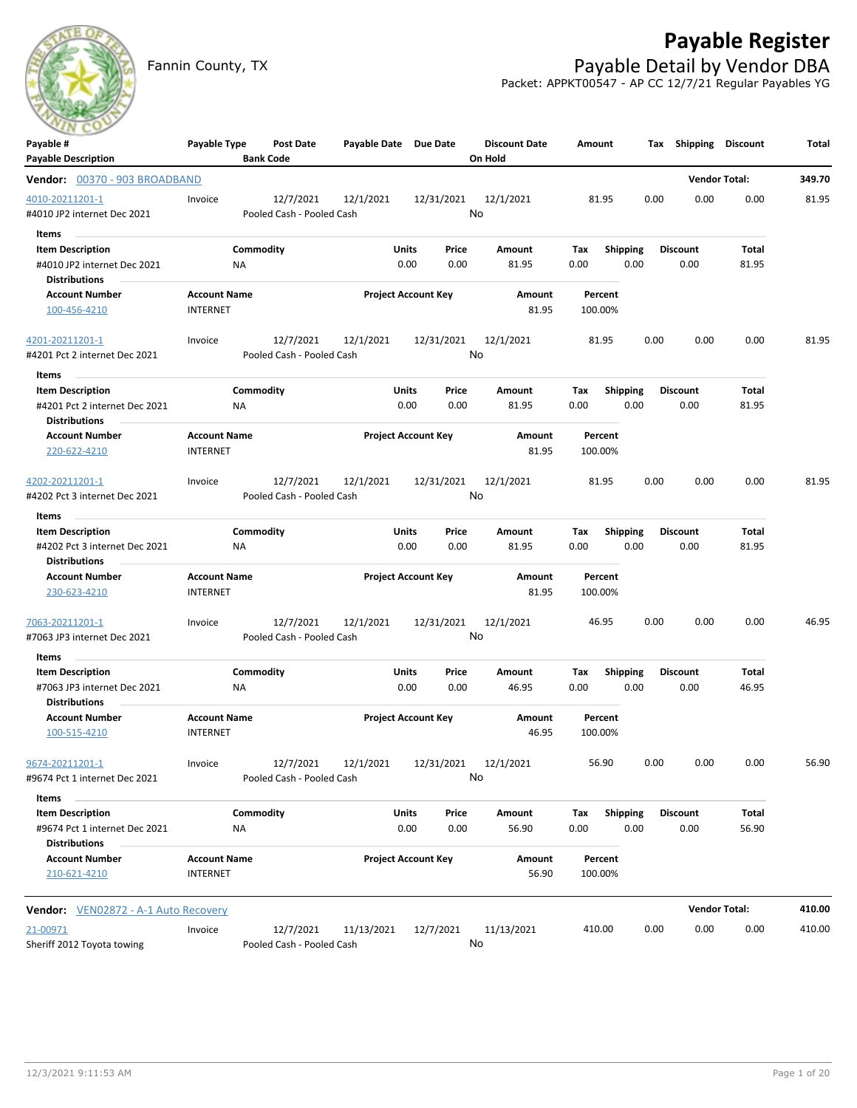

# **Payable Register**

Fannin County, TX **Payable Detail by Vendor DBA** Packet: APPKT00547 - AP CC 12/7/21 Regular Payables YG

| <b>Bank Code</b><br>On Hold<br><b>Vendor Total:</b><br>349.70<br>Vendor: 00370 - 903 BROADBAND<br>12/7/2021<br>12/1/2021<br>12/31/2021<br>12/1/2021<br>0.00<br>0.00<br>0.00<br>81.95<br>Invoice<br>81.95<br>No<br>Pooled Cash - Pooled Cash<br>Items<br>Commodity<br><b>Item Description</b><br>Units<br>Price<br>Amount<br>Tax<br><b>Shipping</b><br><b>Discount</b><br>Total<br>0.00<br>#4010 JP2 internet Dec 2021<br>0.00<br>0.00<br>81.95<br>0.00<br>0.00<br>81.95<br>ΝA<br><b>Distributions</b><br><b>Account Name</b><br><b>Project Account Key</b><br><b>Account Number</b><br>Amount<br>Percent<br>81.95<br><b>INTERNET</b><br>100.00%<br>100-456-4210<br>12/7/2021<br>12/1/2021<br>12/31/2021<br>12/1/2021<br>81.95<br>0.00<br>0.00<br>0.00<br>81.95<br>Invoice<br>No<br>#4201 Pct 2 internet Dec 2021<br>Pooled Cash - Pooled Cash<br>Items<br><b>Item Description</b><br>Commodity<br>Units<br>Price<br>Amount<br><b>Discount</b><br>Total<br>Tax<br><b>Shipping</b><br>#4201 Pct 2 internet Dec 2021<br>0.00<br>0.00<br>81.95<br>0.00<br>0.00<br>0.00<br>81.95<br>ΝA<br><b>Distributions</b><br><b>Account Name</b><br><b>Project Account Key</b><br><b>Account Number</b><br>Amount<br>Percent<br><b>INTERNET</b><br>220-622-4210<br>81.95<br>100.00%<br>4202-20211201-1<br>12/7/2021<br>12/1/2021<br>12/31/2021<br>12/1/2021<br>0.00<br>0.00<br>0.00<br>81.95<br>Invoice<br>81.95<br>No<br>Pooled Cash - Pooled Cash<br>#4202 Pct 3 internet Dec 2021<br>Items<br>Commodity<br><b>Units</b><br><b>Discount</b><br>Total<br><b>Item Description</b><br>Price<br>Amount<br>Tax<br><b>Shipping</b><br>0.00<br>0.00<br>0.00<br>0.00<br>81.95<br>#4202 Pct 3 internet Dec 2021<br><b>NA</b><br>81.95<br>0.00<br><b>Distributions</b><br><b>Account Name</b><br><b>Project Account Key</b><br><b>Account Number</b><br>Amount<br>Percent<br><b>INTERNET</b><br>81.95<br>100.00%<br>230-623-4210<br>12/7/2021<br>12/31/2021<br>46.95<br>12/1/2021<br>12/1/2021<br>46.95<br>0.00<br>0.00<br>0.00<br><u>7063-20211201-1</u><br>Invoice<br>No<br>Pooled Cash - Pooled Cash<br>Items<br>Commodity<br>Units<br><b>Shipping</b><br><b>Discount</b><br><b>Item Description</b><br>Price<br>Amount<br>Total<br>Тах<br>0.00<br>0.00<br>46.95<br>0.00<br>46.95<br>0.00<br>0.00<br>NA<br>#7063 JP3 internet Dec 2021<br><b>Distributions</b><br><b>Project Account Key</b><br><b>Account Name</b><br><b>Account Number</b><br>Amount<br>Percent<br>100-515-4210<br><b>INTERNET</b><br>46.95<br>100.00%<br>56.90<br>0.00<br>9674-20211201-1<br>12/7/2021  12/1/2021  12/31/2021  12/1/2021<br>0.00<br>0.00<br>56.90<br>Invoice<br>No<br>Pooled Cash - Pooled Cash<br>Items<br>Commodity<br>Shipping<br>Total<br><b>Item Description</b><br><b>Units</b><br>Price<br>Amount<br><b>Discount</b><br>Tax<br>0.00<br>56.90<br>#9674 Pct 1 internet Dec 2021<br>0.00<br>0.00<br>56.90<br>0.00<br>0.00<br>NA<br><b>Distributions</b><br><b>Account Number</b><br><b>Account Name</b><br><b>Project Account Key</b><br>Amount<br>Percent<br>56.90<br>210-621-4210<br><b>INTERNET</b><br>100.00%<br><b>Vendor Total:</b><br>410.00<br><b>Vendor:</b> VEN02872 - A-1 Auto Recovery<br>12/7/2021<br>21-00971<br>Invoice<br>11/13/2021<br>12/7/2021<br>11/13/2021<br>410.00<br>0.00<br>0.00<br>0.00<br>410.00<br>No<br>Sheriff 2012 Toyota towing<br>Pooled Cash - Pooled Cash | Payable #                     | Payable Type | Post Date | Payable Date Due Date |  | <b>Discount Date</b> | Amount |  | Tax Shipping | <b>Discount</b> | Total |
|----------------------------------------------------------------------------------------------------------------------------------------------------------------------------------------------------------------------------------------------------------------------------------------------------------------------------------------------------------------------------------------------------------------------------------------------------------------------------------------------------------------------------------------------------------------------------------------------------------------------------------------------------------------------------------------------------------------------------------------------------------------------------------------------------------------------------------------------------------------------------------------------------------------------------------------------------------------------------------------------------------------------------------------------------------------------------------------------------------------------------------------------------------------------------------------------------------------------------------------------------------------------------------------------------------------------------------------------------------------------------------------------------------------------------------------------------------------------------------------------------------------------------------------------------------------------------------------------------------------------------------------------------------------------------------------------------------------------------------------------------------------------------------------------------------------------------------------------------------------------------------------------------------------------------------------------------------------------------------------------------------------------------------------------------------------------------------------------------------------------------------------------------------------------------------------------------------------------------------------------------------------------------------------------------------------------------------------------------------------------------------------------------------------------------------------------------------------------------------------------------------------------------------------------------------------------------------------------------------------------------------------------------------------------------------------------------------------------------------------------------------------------------------------------------------------------------------------------------------------------------------------------------------------------------------------------------------------------------------------------------------------------------------------------------------------------------------------------------------------------------------------------------------------------------------------------------------------------------------------------------------------------------------------------------------------------------------------------------------------|-------------------------------|--------------|-----------|-----------------------|--|----------------------|--------|--|--------------|-----------------|-------|
|                                                                                                                                                                                                                                                                                                                                                                                                                                                                                                                                                                                                                                                                                                                                                                                                                                                                                                                                                                                                                                                                                                                                                                                                                                                                                                                                                                                                                                                                                                                                                                                                                                                                                                                                                                                                                                                                                                                                                                                                                                                                                                                                                                                                                                                                                                                                                                                                                                                                                                                                                                                                                                                                                                                                                                                                                                                                                                                                                                                                                                                                                                                                                                                                                                                                                                                                                                | <b>Payable Description</b>    |              |           |                       |  |                      |        |  |              |                 |       |
|                                                                                                                                                                                                                                                                                                                                                                                                                                                                                                                                                                                                                                                                                                                                                                                                                                                                                                                                                                                                                                                                                                                                                                                                                                                                                                                                                                                                                                                                                                                                                                                                                                                                                                                                                                                                                                                                                                                                                                                                                                                                                                                                                                                                                                                                                                                                                                                                                                                                                                                                                                                                                                                                                                                                                                                                                                                                                                                                                                                                                                                                                                                                                                                                                                                                                                                                                                |                               |              |           |                       |  |                      |        |  |              |                 |       |
|                                                                                                                                                                                                                                                                                                                                                                                                                                                                                                                                                                                                                                                                                                                                                                                                                                                                                                                                                                                                                                                                                                                                                                                                                                                                                                                                                                                                                                                                                                                                                                                                                                                                                                                                                                                                                                                                                                                                                                                                                                                                                                                                                                                                                                                                                                                                                                                                                                                                                                                                                                                                                                                                                                                                                                                                                                                                                                                                                                                                                                                                                                                                                                                                                                                                                                                                                                | 4010-20211201-1               |              |           |                       |  |                      |        |  |              |                 |       |
|                                                                                                                                                                                                                                                                                                                                                                                                                                                                                                                                                                                                                                                                                                                                                                                                                                                                                                                                                                                                                                                                                                                                                                                                                                                                                                                                                                                                                                                                                                                                                                                                                                                                                                                                                                                                                                                                                                                                                                                                                                                                                                                                                                                                                                                                                                                                                                                                                                                                                                                                                                                                                                                                                                                                                                                                                                                                                                                                                                                                                                                                                                                                                                                                                                                                                                                                                                | #4010 JP2 internet Dec 2021   |              |           |                       |  |                      |        |  |              |                 |       |
|                                                                                                                                                                                                                                                                                                                                                                                                                                                                                                                                                                                                                                                                                                                                                                                                                                                                                                                                                                                                                                                                                                                                                                                                                                                                                                                                                                                                                                                                                                                                                                                                                                                                                                                                                                                                                                                                                                                                                                                                                                                                                                                                                                                                                                                                                                                                                                                                                                                                                                                                                                                                                                                                                                                                                                                                                                                                                                                                                                                                                                                                                                                                                                                                                                                                                                                                                                |                               |              |           |                       |  |                      |        |  |              |                 |       |
|                                                                                                                                                                                                                                                                                                                                                                                                                                                                                                                                                                                                                                                                                                                                                                                                                                                                                                                                                                                                                                                                                                                                                                                                                                                                                                                                                                                                                                                                                                                                                                                                                                                                                                                                                                                                                                                                                                                                                                                                                                                                                                                                                                                                                                                                                                                                                                                                                                                                                                                                                                                                                                                                                                                                                                                                                                                                                                                                                                                                                                                                                                                                                                                                                                                                                                                                                                |                               |              |           |                       |  |                      |        |  |              |                 |       |
|                                                                                                                                                                                                                                                                                                                                                                                                                                                                                                                                                                                                                                                                                                                                                                                                                                                                                                                                                                                                                                                                                                                                                                                                                                                                                                                                                                                                                                                                                                                                                                                                                                                                                                                                                                                                                                                                                                                                                                                                                                                                                                                                                                                                                                                                                                                                                                                                                                                                                                                                                                                                                                                                                                                                                                                                                                                                                                                                                                                                                                                                                                                                                                                                                                                                                                                                                                |                               |              |           |                       |  |                      |        |  |              |                 |       |
|                                                                                                                                                                                                                                                                                                                                                                                                                                                                                                                                                                                                                                                                                                                                                                                                                                                                                                                                                                                                                                                                                                                                                                                                                                                                                                                                                                                                                                                                                                                                                                                                                                                                                                                                                                                                                                                                                                                                                                                                                                                                                                                                                                                                                                                                                                                                                                                                                                                                                                                                                                                                                                                                                                                                                                                                                                                                                                                                                                                                                                                                                                                                                                                                                                                                                                                                                                |                               |              |           |                       |  |                      |        |  |              |                 |       |
|                                                                                                                                                                                                                                                                                                                                                                                                                                                                                                                                                                                                                                                                                                                                                                                                                                                                                                                                                                                                                                                                                                                                                                                                                                                                                                                                                                                                                                                                                                                                                                                                                                                                                                                                                                                                                                                                                                                                                                                                                                                                                                                                                                                                                                                                                                                                                                                                                                                                                                                                                                                                                                                                                                                                                                                                                                                                                                                                                                                                                                                                                                                                                                                                                                                                                                                                                                |                               |              |           |                       |  |                      |        |  |              |                 |       |
|                                                                                                                                                                                                                                                                                                                                                                                                                                                                                                                                                                                                                                                                                                                                                                                                                                                                                                                                                                                                                                                                                                                                                                                                                                                                                                                                                                                                                                                                                                                                                                                                                                                                                                                                                                                                                                                                                                                                                                                                                                                                                                                                                                                                                                                                                                                                                                                                                                                                                                                                                                                                                                                                                                                                                                                                                                                                                                                                                                                                                                                                                                                                                                                                                                                                                                                                                                |                               |              |           |                       |  |                      |        |  |              |                 |       |
|                                                                                                                                                                                                                                                                                                                                                                                                                                                                                                                                                                                                                                                                                                                                                                                                                                                                                                                                                                                                                                                                                                                                                                                                                                                                                                                                                                                                                                                                                                                                                                                                                                                                                                                                                                                                                                                                                                                                                                                                                                                                                                                                                                                                                                                                                                                                                                                                                                                                                                                                                                                                                                                                                                                                                                                                                                                                                                                                                                                                                                                                                                                                                                                                                                                                                                                                                                | 4201-20211201-1               |              |           |                       |  |                      |        |  |              |                 |       |
|                                                                                                                                                                                                                                                                                                                                                                                                                                                                                                                                                                                                                                                                                                                                                                                                                                                                                                                                                                                                                                                                                                                                                                                                                                                                                                                                                                                                                                                                                                                                                                                                                                                                                                                                                                                                                                                                                                                                                                                                                                                                                                                                                                                                                                                                                                                                                                                                                                                                                                                                                                                                                                                                                                                                                                                                                                                                                                                                                                                                                                                                                                                                                                                                                                                                                                                                                                |                               |              |           |                       |  |                      |        |  |              |                 |       |
|                                                                                                                                                                                                                                                                                                                                                                                                                                                                                                                                                                                                                                                                                                                                                                                                                                                                                                                                                                                                                                                                                                                                                                                                                                                                                                                                                                                                                                                                                                                                                                                                                                                                                                                                                                                                                                                                                                                                                                                                                                                                                                                                                                                                                                                                                                                                                                                                                                                                                                                                                                                                                                                                                                                                                                                                                                                                                                                                                                                                                                                                                                                                                                                                                                                                                                                                                                |                               |              |           |                       |  |                      |        |  |              |                 |       |
|                                                                                                                                                                                                                                                                                                                                                                                                                                                                                                                                                                                                                                                                                                                                                                                                                                                                                                                                                                                                                                                                                                                                                                                                                                                                                                                                                                                                                                                                                                                                                                                                                                                                                                                                                                                                                                                                                                                                                                                                                                                                                                                                                                                                                                                                                                                                                                                                                                                                                                                                                                                                                                                                                                                                                                                                                                                                                                                                                                                                                                                                                                                                                                                                                                                                                                                                                                |                               |              |           |                       |  |                      |        |  |              |                 |       |
|                                                                                                                                                                                                                                                                                                                                                                                                                                                                                                                                                                                                                                                                                                                                                                                                                                                                                                                                                                                                                                                                                                                                                                                                                                                                                                                                                                                                                                                                                                                                                                                                                                                                                                                                                                                                                                                                                                                                                                                                                                                                                                                                                                                                                                                                                                                                                                                                                                                                                                                                                                                                                                                                                                                                                                                                                                                                                                                                                                                                                                                                                                                                                                                                                                                                                                                                                                |                               |              |           |                       |  |                      |        |  |              |                 |       |
|                                                                                                                                                                                                                                                                                                                                                                                                                                                                                                                                                                                                                                                                                                                                                                                                                                                                                                                                                                                                                                                                                                                                                                                                                                                                                                                                                                                                                                                                                                                                                                                                                                                                                                                                                                                                                                                                                                                                                                                                                                                                                                                                                                                                                                                                                                                                                                                                                                                                                                                                                                                                                                                                                                                                                                                                                                                                                                                                                                                                                                                                                                                                                                                                                                                                                                                                                                |                               |              |           |                       |  |                      |        |  |              |                 |       |
|                                                                                                                                                                                                                                                                                                                                                                                                                                                                                                                                                                                                                                                                                                                                                                                                                                                                                                                                                                                                                                                                                                                                                                                                                                                                                                                                                                                                                                                                                                                                                                                                                                                                                                                                                                                                                                                                                                                                                                                                                                                                                                                                                                                                                                                                                                                                                                                                                                                                                                                                                                                                                                                                                                                                                                                                                                                                                                                                                                                                                                                                                                                                                                                                                                                                                                                                                                |                               |              |           |                       |  |                      |        |  |              |                 |       |
|                                                                                                                                                                                                                                                                                                                                                                                                                                                                                                                                                                                                                                                                                                                                                                                                                                                                                                                                                                                                                                                                                                                                                                                                                                                                                                                                                                                                                                                                                                                                                                                                                                                                                                                                                                                                                                                                                                                                                                                                                                                                                                                                                                                                                                                                                                                                                                                                                                                                                                                                                                                                                                                                                                                                                                                                                                                                                                                                                                                                                                                                                                                                                                                                                                                                                                                                                                |                               |              |           |                       |  |                      |        |  |              |                 |       |
|                                                                                                                                                                                                                                                                                                                                                                                                                                                                                                                                                                                                                                                                                                                                                                                                                                                                                                                                                                                                                                                                                                                                                                                                                                                                                                                                                                                                                                                                                                                                                                                                                                                                                                                                                                                                                                                                                                                                                                                                                                                                                                                                                                                                                                                                                                                                                                                                                                                                                                                                                                                                                                                                                                                                                                                                                                                                                                                                                                                                                                                                                                                                                                                                                                                                                                                                                                |                               |              |           |                       |  |                      |        |  |              |                 |       |
|                                                                                                                                                                                                                                                                                                                                                                                                                                                                                                                                                                                                                                                                                                                                                                                                                                                                                                                                                                                                                                                                                                                                                                                                                                                                                                                                                                                                                                                                                                                                                                                                                                                                                                                                                                                                                                                                                                                                                                                                                                                                                                                                                                                                                                                                                                                                                                                                                                                                                                                                                                                                                                                                                                                                                                                                                                                                                                                                                                                                                                                                                                                                                                                                                                                                                                                                                                |                               |              |           |                       |  |                      |        |  |              |                 |       |
|                                                                                                                                                                                                                                                                                                                                                                                                                                                                                                                                                                                                                                                                                                                                                                                                                                                                                                                                                                                                                                                                                                                                                                                                                                                                                                                                                                                                                                                                                                                                                                                                                                                                                                                                                                                                                                                                                                                                                                                                                                                                                                                                                                                                                                                                                                                                                                                                                                                                                                                                                                                                                                                                                                                                                                                                                                                                                                                                                                                                                                                                                                                                                                                                                                                                                                                                                                |                               |              |           |                       |  |                      |        |  |              |                 |       |
|                                                                                                                                                                                                                                                                                                                                                                                                                                                                                                                                                                                                                                                                                                                                                                                                                                                                                                                                                                                                                                                                                                                                                                                                                                                                                                                                                                                                                                                                                                                                                                                                                                                                                                                                                                                                                                                                                                                                                                                                                                                                                                                                                                                                                                                                                                                                                                                                                                                                                                                                                                                                                                                                                                                                                                                                                                                                                                                                                                                                                                                                                                                                                                                                                                                                                                                                                                |                               |              |           |                       |  |                      |        |  |              |                 |       |
|                                                                                                                                                                                                                                                                                                                                                                                                                                                                                                                                                                                                                                                                                                                                                                                                                                                                                                                                                                                                                                                                                                                                                                                                                                                                                                                                                                                                                                                                                                                                                                                                                                                                                                                                                                                                                                                                                                                                                                                                                                                                                                                                                                                                                                                                                                                                                                                                                                                                                                                                                                                                                                                                                                                                                                                                                                                                                                                                                                                                                                                                                                                                                                                                                                                                                                                                                                |                               |              |           |                       |  |                      |        |  |              |                 |       |
|                                                                                                                                                                                                                                                                                                                                                                                                                                                                                                                                                                                                                                                                                                                                                                                                                                                                                                                                                                                                                                                                                                                                                                                                                                                                                                                                                                                                                                                                                                                                                                                                                                                                                                                                                                                                                                                                                                                                                                                                                                                                                                                                                                                                                                                                                                                                                                                                                                                                                                                                                                                                                                                                                                                                                                                                                                                                                                                                                                                                                                                                                                                                                                                                                                                                                                                                                                |                               |              |           |                       |  |                      |        |  |              |                 |       |
|                                                                                                                                                                                                                                                                                                                                                                                                                                                                                                                                                                                                                                                                                                                                                                                                                                                                                                                                                                                                                                                                                                                                                                                                                                                                                                                                                                                                                                                                                                                                                                                                                                                                                                                                                                                                                                                                                                                                                                                                                                                                                                                                                                                                                                                                                                                                                                                                                                                                                                                                                                                                                                                                                                                                                                                                                                                                                                                                                                                                                                                                                                                                                                                                                                                                                                                                                                |                               |              |           |                       |  |                      |        |  |              |                 |       |
|                                                                                                                                                                                                                                                                                                                                                                                                                                                                                                                                                                                                                                                                                                                                                                                                                                                                                                                                                                                                                                                                                                                                                                                                                                                                                                                                                                                                                                                                                                                                                                                                                                                                                                                                                                                                                                                                                                                                                                                                                                                                                                                                                                                                                                                                                                                                                                                                                                                                                                                                                                                                                                                                                                                                                                                                                                                                                                                                                                                                                                                                                                                                                                                                                                                                                                                                                                |                               |              |           |                       |  |                      |        |  |              |                 |       |
|                                                                                                                                                                                                                                                                                                                                                                                                                                                                                                                                                                                                                                                                                                                                                                                                                                                                                                                                                                                                                                                                                                                                                                                                                                                                                                                                                                                                                                                                                                                                                                                                                                                                                                                                                                                                                                                                                                                                                                                                                                                                                                                                                                                                                                                                                                                                                                                                                                                                                                                                                                                                                                                                                                                                                                                                                                                                                                                                                                                                                                                                                                                                                                                                                                                                                                                                                                |                               |              |           |                       |  |                      |        |  |              |                 |       |
|                                                                                                                                                                                                                                                                                                                                                                                                                                                                                                                                                                                                                                                                                                                                                                                                                                                                                                                                                                                                                                                                                                                                                                                                                                                                                                                                                                                                                                                                                                                                                                                                                                                                                                                                                                                                                                                                                                                                                                                                                                                                                                                                                                                                                                                                                                                                                                                                                                                                                                                                                                                                                                                                                                                                                                                                                                                                                                                                                                                                                                                                                                                                                                                                                                                                                                                                                                | #7063 JP3 internet Dec 2021   |              |           |                       |  |                      |        |  |              |                 |       |
|                                                                                                                                                                                                                                                                                                                                                                                                                                                                                                                                                                                                                                                                                                                                                                                                                                                                                                                                                                                                                                                                                                                                                                                                                                                                                                                                                                                                                                                                                                                                                                                                                                                                                                                                                                                                                                                                                                                                                                                                                                                                                                                                                                                                                                                                                                                                                                                                                                                                                                                                                                                                                                                                                                                                                                                                                                                                                                                                                                                                                                                                                                                                                                                                                                                                                                                                                                |                               |              |           |                       |  |                      |        |  |              |                 |       |
|                                                                                                                                                                                                                                                                                                                                                                                                                                                                                                                                                                                                                                                                                                                                                                                                                                                                                                                                                                                                                                                                                                                                                                                                                                                                                                                                                                                                                                                                                                                                                                                                                                                                                                                                                                                                                                                                                                                                                                                                                                                                                                                                                                                                                                                                                                                                                                                                                                                                                                                                                                                                                                                                                                                                                                                                                                                                                                                                                                                                                                                                                                                                                                                                                                                                                                                                                                |                               |              |           |                       |  |                      |        |  |              |                 |       |
|                                                                                                                                                                                                                                                                                                                                                                                                                                                                                                                                                                                                                                                                                                                                                                                                                                                                                                                                                                                                                                                                                                                                                                                                                                                                                                                                                                                                                                                                                                                                                                                                                                                                                                                                                                                                                                                                                                                                                                                                                                                                                                                                                                                                                                                                                                                                                                                                                                                                                                                                                                                                                                                                                                                                                                                                                                                                                                                                                                                                                                                                                                                                                                                                                                                                                                                                                                |                               |              |           |                       |  |                      |        |  |              |                 |       |
|                                                                                                                                                                                                                                                                                                                                                                                                                                                                                                                                                                                                                                                                                                                                                                                                                                                                                                                                                                                                                                                                                                                                                                                                                                                                                                                                                                                                                                                                                                                                                                                                                                                                                                                                                                                                                                                                                                                                                                                                                                                                                                                                                                                                                                                                                                                                                                                                                                                                                                                                                                                                                                                                                                                                                                                                                                                                                                                                                                                                                                                                                                                                                                                                                                                                                                                                                                |                               |              |           |                       |  |                      |        |  |              |                 |       |
|                                                                                                                                                                                                                                                                                                                                                                                                                                                                                                                                                                                                                                                                                                                                                                                                                                                                                                                                                                                                                                                                                                                                                                                                                                                                                                                                                                                                                                                                                                                                                                                                                                                                                                                                                                                                                                                                                                                                                                                                                                                                                                                                                                                                                                                                                                                                                                                                                                                                                                                                                                                                                                                                                                                                                                                                                                                                                                                                                                                                                                                                                                                                                                                                                                                                                                                                                                |                               |              |           |                       |  |                      |        |  |              |                 |       |
|                                                                                                                                                                                                                                                                                                                                                                                                                                                                                                                                                                                                                                                                                                                                                                                                                                                                                                                                                                                                                                                                                                                                                                                                                                                                                                                                                                                                                                                                                                                                                                                                                                                                                                                                                                                                                                                                                                                                                                                                                                                                                                                                                                                                                                                                                                                                                                                                                                                                                                                                                                                                                                                                                                                                                                                                                                                                                                                                                                                                                                                                                                                                                                                                                                                                                                                                                                |                               |              |           |                       |  |                      |        |  |              |                 |       |
|                                                                                                                                                                                                                                                                                                                                                                                                                                                                                                                                                                                                                                                                                                                                                                                                                                                                                                                                                                                                                                                                                                                                                                                                                                                                                                                                                                                                                                                                                                                                                                                                                                                                                                                                                                                                                                                                                                                                                                                                                                                                                                                                                                                                                                                                                                                                                                                                                                                                                                                                                                                                                                                                                                                                                                                                                                                                                                                                                                                                                                                                                                                                                                                                                                                                                                                                                                |                               |              |           |                       |  |                      |        |  |              |                 |       |
|                                                                                                                                                                                                                                                                                                                                                                                                                                                                                                                                                                                                                                                                                                                                                                                                                                                                                                                                                                                                                                                                                                                                                                                                                                                                                                                                                                                                                                                                                                                                                                                                                                                                                                                                                                                                                                                                                                                                                                                                                                                                                                                                                                                                                                                                                                                                                                                                                                                                                                                                                                                                                                                                                                                                                                                                                                                                                                                                                                                                                                                                                                                                                                                                                                                                                                                                                                | #9674 Pct 1 internet Dec 2021 |              |           |                       |  |                      |        |  |              |                 |       |
|                                                                                                                                                                                                                                                                                                                                                                                                                                                                                                                                                                                                                                                                                                                                                                                                                                                                                                                                                                                                                                                                                                                                                                                                                                                                                                                                                                                                                                                                                                                                                                                                                                                                                                                                                                                                                                                                                                                                                                                                                                                                                                                                                                                                                                                                                                                                                                                                                                                                                                                                                                                                                                                                                                                                                                                                                                                                                                                                                                                                                                                                                                                                                                                                                                                                                                                                                                |                               |              |           |                       |  |                      |        |  |              |                 |       |
|                                                                                                                                                                                                                                                                                                                                                                                                                                                                                                                                                                                                                                                                                                                                                                                                                                                                                                                                                                                                                                                                                                                                                                                                                                                                                                                                                                                                                                                                                                                                                                                                                                                                                                                                                                                                                                                                                                                                                                                                                                                                                                                                                                                                                                                                                                                                                                                                                                                                                                                                                                                                                                                                                                                                                                                                                                                                                                                                                                                                                                                                                                                                                                                                                                                                                                                                                                |                               |              |           |                       |  |                      |        |  |              |                 |       |
|                                                                                                                                                                                                                                                                                                                                                                                                                                                                                                                                                                                                                                                                                                                                                                                                                                                                                                                                                                                                                                                                                                                                                                                                                                                                                                                                                                                                                                                                                                                                                                                                                                                                                                                                                                                                                                                                                                                                                                                                                                                                                                                                                                                                                                                                                                                                                                                                                                                                                                                                                                                                                                                                                                                                                                                                                                                                                                                                                                                                                                                                                                                                                                                                                                                                                                                                                                |                               |              |           |                       |  |                      |        |  |              |                 |       |
|                                                                                                                                                                                                                                                                                                                                                                                                                                                                                                                                                                                                                                                                                                                                                                                                                                                                                                                                                                                                                                                                                                                                                                                                                                                                                                                                                                                                                                                                                                                                                                                                                                                                                                                                                                                                                                                                                                                                                                                                                                                                                                                                                                                                                                                                                                                                                                                                                                                                                                                                                                                                                                                                                                                                                                                                                                                                                                                                                                                                                                                                                                                                                                                                                                                                                                                                                                |                               |              |           |                       |  |                      |        |  |              |                 |       |
|                                                                                                                                                                                                                                                                                                                                                                                                                                                                                                                                                                                                                                                                                                                                                                                                                                                                                                                                                                                                                                                                                                                                                                                                                                                                                                                                                                                                                                                                                                                                                                                                                                                                                                                                                                                                                                                                                                                                                                                                                                                                                                                                                                                                                                                                                                                                                                                                                                                                                                                                                                                                                                                                                                                                                                                                                                                                                                                                                                                                                                                                                                                                                                                                                                                                                                                                                                |                               |              |           |                       |  |                      |        |  |              |                 |       |
|                                                                                                                                                                                                                                                                                                                                                                                                                                                                                                                                                                                                                                                                                                                                                                                                                                                                                                                                                                                                                                                                                                                                                                                                                                                                                                                                                                                                                                                                                                                                                                                                                                                                                                                                                                                                                                                                                                                                                                                                                                                                                                                                                                                                                                                                                                                                                                                                                                                                                                                                                                                                                                                                                                                                                                                                                                                                                                                                                                                                                                                                                                                                                                                                                                                                                                                                                                |                               |              |           |                       |  |                      |        |  |              |                 |       |
|                                                                                                                                                                                                                                                                                                                                                                                                                                                                                                                                                                                                                                                                                                                                                                                                                                                                                                                                                                                                                                                                                                                                                                                                                                                                                                                                                                                                                                                                                                                                                                                                                                                                                                                                                                                                                                                                                                                                                                                                                                                                                                                                                                                                                                                                                                                                                                                                                                                                                                                                                                                                                                                                                                                                                                                                                                                                                                                                                                                                                                                                                                                                                                                                                                                                                                                                                                |                               |              |           |                       |  |                      |        |  |              |                 |       |
|                                                                                                                                                                                                                                                                                                                                                                                                                                                                                                                                                                                                                                                                                                                                                                                                                                                                                                                                                                                                                                                                                                                                                                                                                                                                                                                                                                                                                                                                                                                                                                                                                                                                                                                                                                                                                                                                                                                                                                                                                                                                                                                                                                                                                                                                                                                                                                                                                                                                                                                                                                                                                                                                                                                                                                                                                                                                                                                                                                                                                                                                                                                                                                                                                                                                                                                                                                |                               |              |           |                       |  |                      |        |  |              |                 |       |
|                                                                                                                                                                                                                                                                                                                                                                                                                                                                                                                                                                                                                                                                                                                                                                                                                                                                                                                                                                                                                                                                                                                                                                                                                                                                                                                                                                                                                                                                                                                                                                                                                                                                                                                                                                                                                                                                                                                                                                                                                                                                                                                                                                                                                                                                                                                                                                                                                                                                                                                                                                                                                                                                                                                                                                                                                                                                                                                                                                                                                                                                                                                                                                                                                                                                                                                                                                |                               |              |           |                       |  |                      |        |  |              |                 |       |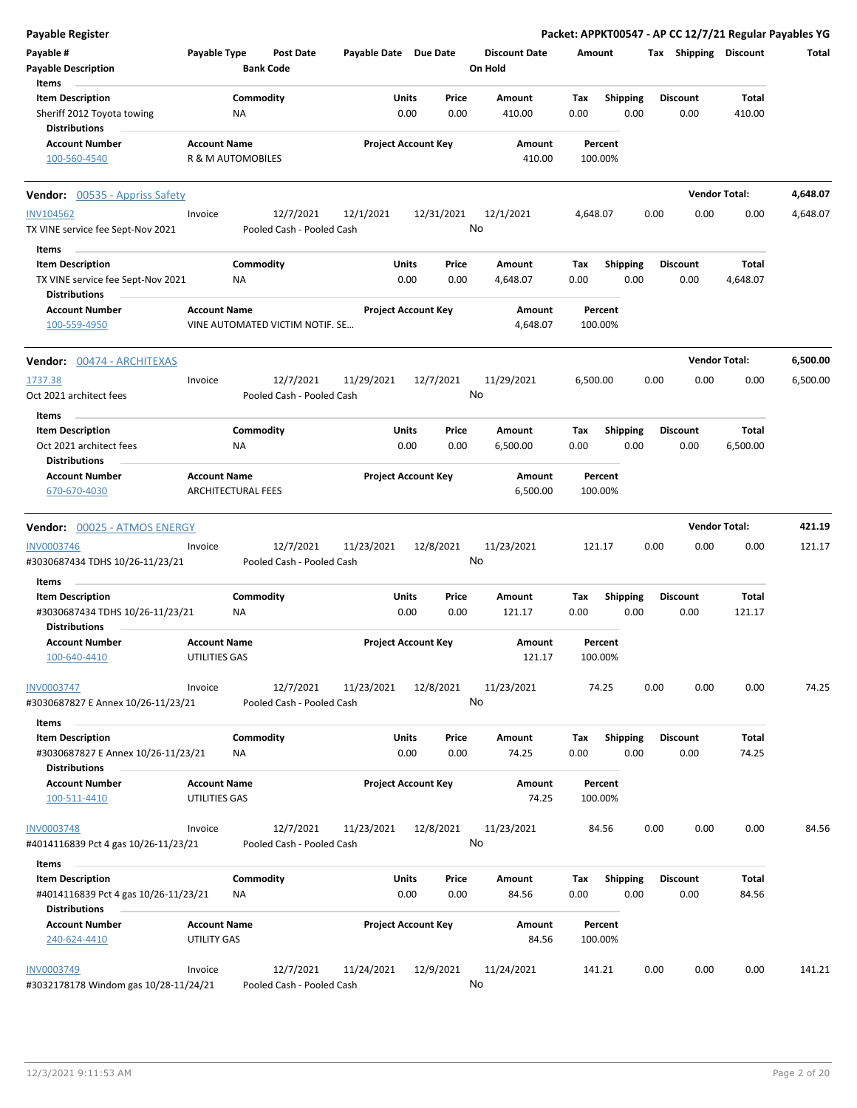| <b>Payable Register</b>                                         |                                             |                                        |                       |                            |                                 | Packet: APPKT00547 - AP CC 12/7/21 Regular Payables YG |                         |                      |          |
|-----------------------------------------------------------------|---------------------------------------------|----------------------------------------|-----------------------|----------------------------|---------------------------------|--------------------------------------------------------|-------------------------|----------------------|----------|
| Payable #<br><b>Payable Description</b>                         | Payable Type                                | Post Date<br><b>Bank Code</b>          | Payable Date Due Date |                            | <b>Discount Date</b><br>On Hold | Amount                                                 | Tax Shipping Discount   |                      | Total    |
| Items<br><b>Item Description</b>                                |                                             | Commodity                              | Units                 | Price                      | Amount                          | <b>Shipping</b><br>Tax                                 | <b>Discount</b>         | Total                |          |
| Sheriff 2012 Toyota towing<br><b>Distributions</b>              |                                             | NA                                     | 0.00                  | 0.00                       | 410.00                          | 0.00<br>0.00                                           | 0.00                    | 410.00               |          |
| <b>Account Number</b>                                           | <b>Account Name</b>                         |                                        |                       | <b>Project Account Key</b> | Amount                          | Percent                                                |                         |                      |          |
| 100-560-4540                                                    |                                             | R & M AUTOMOBILES                      |                       |                            | 410.00                          | 100.00%                                                |                         |                      |          |
| <b>Vendor:</b> 00535 - Appriss Safety                           |                                             |                                        |                       |                            |                                 |                                                        |                         | <b>Vendor Total:</b> | 4,648.07 |
| <b>INV104562</b>                                                | Invoice                                     | 12/7/2021                              | 12/1/2021             | 12/31/2021                 | 12/1/2021                       | 4,648.07                                               | 0.00<br>0.00            | 0.00                 | 4,648.07 |
| TX VINE service fee Sept-Nov 2021                               |                                             | Pooled Cash - Pooled Cash              |                       |                            | No                              |                                                        |                         |                      |          |
| Items                                                           |                                             |                                        |                       |                            |                                 |                                                        |                         |                      |          |
| <b>Item Description</b>                                         |                                             | Commodity                              | Units                 | Price                      | Amount                          | <b>Shipping</b><br>Tax                                 | <b>Discount</b>         | Total                |          |
| TX VINE service fee Sept-Nov 2021<br><b>Distributions</b>       |                                             | ΝA                                     | 0.00                  | 0.00                       | 4,648.07                        | 0.00<br>0.00                                           | 0.00                    | 4,648.07             |          |
| <b>Account Number</b><br>100-559-4950                           | <b>Account Name</b>                         | VINE AUTOMATED VICTIM NOTIF. SE        |                       | <b>Project Account Key</b> | Amount<br>4,648.07              | Percent<br>100.00%                                     |                         |                      |          |
| <b>Vendor: 00474 - ARCHITEXAS</b>                               |                                             |                                        |                       |                            |                                 |                                                        |                         | <b>Vendor Total:</b> | 6,500.00 |
| 1737.38                                                         | Invoice                                     | 12/7/2021                              | 11/29/2021            | 12/7/2021                  | 11/29/2021                      | 6,500.00                                               | 0.00<br>0.00            | 0.00                 | 6,500.00 |
| Oct 2021 architect fees                                         |                                             | Pooled Cash - Pooled Cash              |                       |                            | No                              |                                                        |                         |                      |          |
| Items                                                           |                                             |                                        |                       |                            |                                 |                                                        |                         |                      |          |
| <b>Item Description</b>                                         |                                             | Commodity                              | Units                 | Price                      | Amount                          | Shipping<br>Tax                                        | <b>Discount</b>         | Total                |          |
| Oct 2021 architect fees<br><b>Distributions</b>                 |                                             | ΝA                                     | 0.00                  | 0.00                       | 6,500.00                        | 0.00<br>0.00                                           | 0.00                    | 6,500.00             |          |
| <b>Account Number</b>                                           | <b>Account Name</b>                         |                                        |                       | <b>Project Account Key</b> | Amount                          | Percent                                                |                         |                      |          |
| 670-670-4030                                                    |                                             | <b>ARCHITECTURAL FEES</b>              |                       |                            | 6,500.00                        | 100.00%                                                |                         |                      |          |
| Vendor: 00025 - ATMOS ENERGY                                    |                                             |                                        |                       |                            |                                 |                                                        |                         | <b>Vendor Total:</b> | 421.19   |
| INV0003746<br>#3030687434 TDHS 10/26-11/23/21                   | Invoice                                     | 12/7/2021<br>Pooled Cash - Pooled Cash | 11/23/2021            | 12/8/2021                  | 11/23/2021<br>No                | 121.17                                                 | 0.00<br>0.00            | 0.00                 | 121.17   |
| Items                                                           |                                             |                                        |                       |                            |                                 |                                                        |                         |                      |          |
| <b>Item Description</b>                                         |                                             | Commodity                              | Units                 | Price                      | Amount                          | Tax<br><b>Shipping</b>                                 | <b>Discount</b>         | Total                |          |
| #3030687434 TDHS 10/26-11/23/21<br><b>Distributions</b>         |                                             | ΝA                                     | 0.00                  | 0.00                       | 121.17                          | 0.00<br>0.00                                           | 0.00                    | 121.17               |          |
| <b>Account Number</b>                                           | <b>Account Name</b>                         |                                        |                       | <b>Project Account Key</b> | Amount                          | Percent                                                |                         |                      |          |
| 100-640-4410                                                    | UTILITIES GAS                               |                                        |                       |                            | 121.17                          | 100.00%                                                |                         |                      |          |
| INV0003747<br>#3030687827 E Annex 10/26-11/23/21                | Invoice                                     | 12/7/2021<br>Pooled Cash - Pooled Cash | 11/23/2021            | 12/8/2021                  | 11/23/2021<br>No                | 74.25                                                  | 0.00<br>0.00            | 0.00                 | 74.25    |
| Items                                                           |                                             |                                        |                       |                            |                                 |                                                        |                         |                      |          |
| <b>Item Description</b><br>#3030687827 E Annex 10/26-11/23/21   |                                             | Commodity<br>NA                        | Units<br>0.00         | Price<br>0.00              | Amount<br>74.25                 | <b>Shipping</b><br>Tax<br>0.00<br>0.00                 | <b>Discount</b><br>0.00 | Total<br>74.25       |          |
| <b>Distributions</b>                                            |                                             |                                        |                       |                            |                                 |                                                        |                         |                      |          |
| <b>Account Number</b><br>100-511-4410                           | <b>Account Name</b><br><b>UTILITIES GAS</b> |                                        |                       | <b>Project Account Key</b> | Amount<br>74.25                 | Percent<br>100.00%                                     |                         |                      |          |
|                                                                 |                                             |                                        |                       |                            |                                 |                                                        |                         |                      |          |
| <b>INV0003748</b><br>#4014116839 Pct 4 gas 10/26-11/23/21       | Invoice                                     | 12/7/2021<br>Pooled Cash - Pooled Cash | 11/23/2021            | 12/8/2021                  | 11/23/2021<br>No                | 84.56                                                  | 0.00<br>0.00            | 0.00                 | 84.56    |
| Items                                                           |                                             |                                        |                       |                            |                                 |                                                        |                         |                      |          |
| <b>Item Description</b><br>#4014116839 Pct 4 gas 10/26-11/23/21 |                                             | Commodity<br>NA                        | Units<br>0.00         | Price<br>0.00              | Amount<br>84.56                 | Tax<br><b>Shipping</b><br>0.00<br>0.00                 | <b>Discount</b><br>0.00 | Total<br>84.56       |          |
| <b>Distributions</b><br><b>Account Number</b>                   | <b>Account Name</b>                         |                                        |                       | <b>Project Account Key</b> | Amount                          | Percent                                                |                         |                      |          |
| 240-624-4410                                                    | UTILITY GAS                                 |                                        |                       |                            | 84.56                           | 100.00%                                                |                         |                      |          |
| <b>INV0003749</b><br>#3032178178 Windom gas 10/28-11/24/21      | Invoice                                     | 12/7/2021<br>Pooled Cash - Pooled Cash | 11/24/2021            | 12/9/2021                  | 11/24/2021<br>No                | 141.21                                                 | 0.00<br>0.00            | 0.00                 | 141.21   |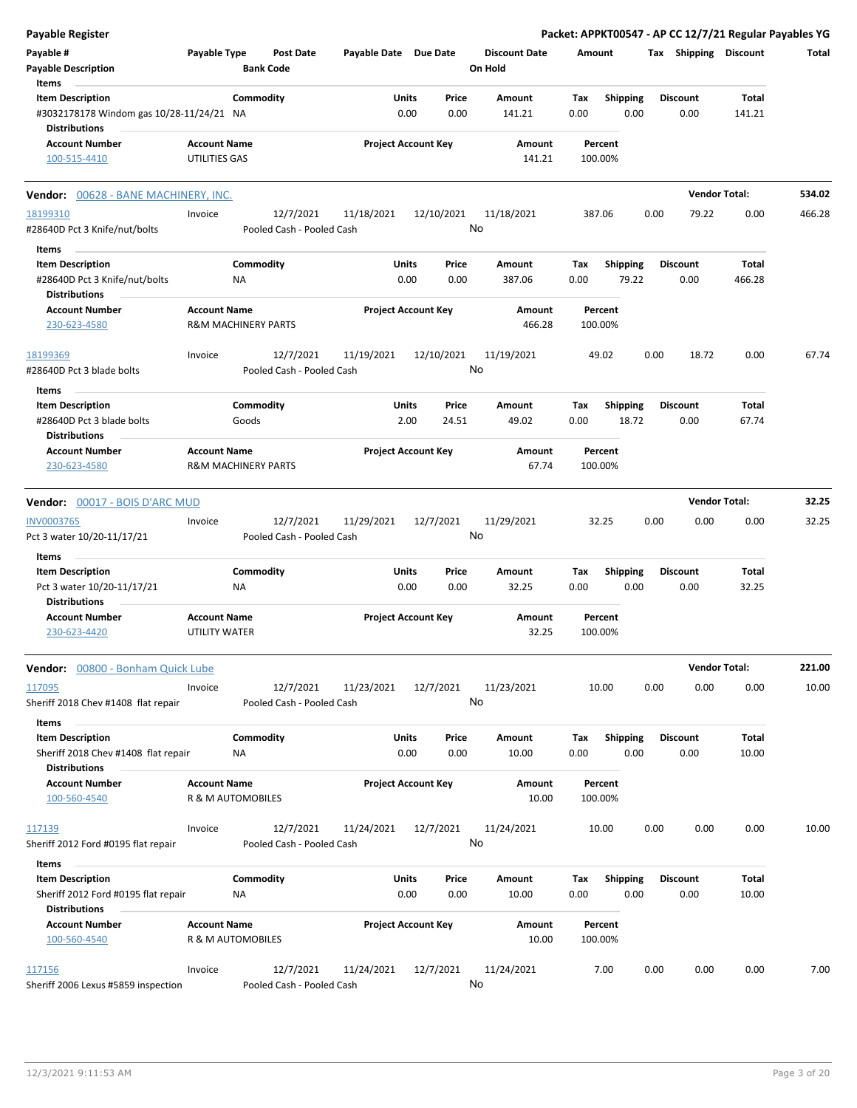| <b>Payable Register</b>                                                                     |                                          |                                        |                       |                            |                |                                 |             |                          |      |                         | Packet: APPKT00547 - AP CC 12/7/21 Regular Payables YG |        |
|---------------------------------------------------------------------------------------------|------------------------------------------|----------------------------------------|-----------------------|----------------------------|----------------|---------------------------------|-------------|--------------------------|------|-------------------------|--------------------------------------------------------|--------|
| Payable #<br><b>Payable Description</b>                                                     | Payable Type                             | Post Date<br><b>Bank Code</b>          | Payable Date Due Date |                            |                | <b>Discount Date</b><br>On Hold |             | Amount                   |      | Tax Shipping Discount   |                                                        | Total  |
| Items                                                                                       |                                          |                                        |                       |                            |                |                                 |             |                          |      |                         |                                                        |        |
| <b>Item Description</b><br>#3032178178 Windom gas 10/28-11/24/21 NA<br><b>Distributions</b> |                                          | Commodity                              |                       | Units<br>0.00              | Price<br>0.00  | Amount<br>141.21                | Tax<br>0.00 | <b>Shipping</b><br>0.00  |      | <b>Discount</b><br>0.00 | <b>Total</b><br>141.21                                 |        |
| <b>Account Number</b><br>100-515-4410                                                       | <b>Account Name</b><br>UTILITIES GAS     |                                        |                       | <b>Project Account Key</b> |                | Amount<br>141.21                |             | Percent<br>100.00%       |      |                         |                                                        |        |
| Vendor: 00628 - BANE MACHINERY, INC.                                                        |                                          |                                        |                       |                            |                |                                 |             |                          |      |                         | <b>Vendor Total:</b>                                   | 534.02 |
| 18199310                                                                                    | Invoice                                  | 12/7/2021                              | 11/18/2021            |                            | 12/10/2021     | 11/18/2021                      |             | 387.06                   | 0.00 | 79.22                   | 0.00                                                   | 466.28 |
| #28640D Pct 3 Knife/nut/bolts                                                               |                                          | Pooled Cash - Pooled Cash              |                       |                            |                | No                              |             |                          |      |                         |                                                        |        |
| Items                                                                                       |                                          |                                        |                       |                            |                |                                 |             |                          |      |                         |                                                        |        |
| <b>Item Description</b>                                                                     |                                          | Commodity                              |                       | Units                      | Price          | Amount                          | Tax         | <b>Shipping</b>          |      | <b>Discount</b>         | Total                                                  |        |
| #28640D Pct 3 Knife/nut/bolts<br><b>Distributions</b>                                       |                                          | <b>NA</b>                              |                       | 0.00                       | 0.00           | 387.06                          | 0.00        | 79.22                    |      | 0.00                    | 466.28                                                 |        |
| <b>Account Number</b><br>230-623-4580                                                       | <b>Account Name</b>                      | R&M MACHINERY PARTS                    |                       | <b>Project Account Key</b> |                | Amount<br>466.28                |             | Percent<br>100.00%       |      |                         |                                                        |        |
| 18199369                                                                                    | Invoice                                  | 12/7/2021                              | 11/19/2021            |                            | 12/10/2021     | 11/19/2021                      |             | 49.02                    | 0.00 | 18.72                   | 0.00                                                   | 67.74  |
| #28640D Pct 3 blade bolts                                                                   |                                          | Pooled Cash - Pooled Cash              |                       |                            |                | No                              |             |                          |      |                         |                                                        |        |
| Items                                                                                       |                                          |                                        |                       |                            |                |                                 |             |                          |      |                         |                                                        |        |
| <b>Item Description</b><br>#28640D Pct 3 blade bolts                                        |                                          | Commodity<br>Goods                     |                       | Units<br>2.00              | Price<br>24.51 | Amount<br>49.02                 | Тах<br>0.00 | <b>Shipping</b><br>18.72 |      | <b>Discount</b><br>0.00 | Total<br>67.74                                         |        |
| <b>Distributions</b><br><b>Account Number</b><br>230-623-4580                               | <b>Account Name</b>                      | <b>R&amp;M MACHINERY PARTS</b>         |                       | <b>Project Account Key</b> |                | Amount<br>67.74                 |             | Percent<br>100.00%       |      |                         |                                                        |        |
| Vendor: 00017 - BOIS D'ARC MUD                                                              |                                          |                                        |                       |                            |                |                                 |             |                          |      |                         | <b>Vendor Total:</b>                                   | 32.25  |
|                                                                                             |                                          |                                        |                       |                            |                |                                 |             |                          |      |                         |                                                        |        |
| INV0003765<br>Pct 3 water 10/20-11/17/21                                                    | Invoice                                  | 12/7/2021<br>Pooled Cash - Pooled Cash | 11/29/2021            |                            | 12/7/2021      | 11/29/2021<br>No                |             | 32.25                    | 0.00 | 0.00                    | 0.00                                                   | 32.25  |
| Items                                                                                       |                                          |                                        |                       |                            |                |                                 |             |                          |      |                         |                                                        |        |
| <b>Item Description</b><br>Pct 3 water 10/20-11/17/21<br><b>Distributions</b>               |                                          | Commodity<br>NA                        |                       | Units<br>0.00              | Price<br>0.00  | Amount<br>32.25                 | Tax<br>0.00 | <b>Shipping</b><br>0.00  |      | <b>Discount</b><br>0.00 | Total<br>32.25                                         |        |
| <b>Account Number</b><br>230-623-4420                                                       | <b>Account Name</b><br>UTILITY WATER     |                                        |                       | <b>Project Account Key</b> |                | Amount<br>32.25                 |             | Percent<br>100.00%       |      |                         |                                                        |        |
| Vendor: 00800 - Bonham Quick Lube                                                           |                                          |                                        |                       |                            |                |                                 |             |                          |      |                         | <b>Vendor Total:</b>                                   | 221.00 |
| 117095<br>Sheriff 2018 Chev #1408 flat repair                                               | Invoice                                  | 12/7/2021<br>Pooled Cash - Pooled Cash | 11/23/2021            |                            | 12/7/2021      | 11/23/2021<br>No                |             | 10.00                    | 0.00 | 0.00                    | 0.00                                                   | 10.00  |
| <b>Items</b>                                                                                |                                          |                                        |                       |                            |                |                                 |             |                          |      |                         |                                                        |        |
| <b>Item Description</b><br>Sheriff 2018 Chev #1408 flat repair                              |                                          | Commodity<br>NA                        |                       | Units<br>0.00              | Price<br>0.00  | Amount<br>10.00                 | Tax<br>0.00 | <b>Shipping</b><br>0.00  |      | <b>Discount</b><br>0.00 | Total<br>10.00                                         |        |
| <b>Distributions</b>                                                                        |                                          |                                        |                       |                            |                |                                 |             |                          |      |                         |                                                        |        |
| <b>Account Number</b><br>100-560-4540                                                       | <b>Account Name</b><br>R & M AUTOMOBILES |                                        |                       | <b>Project Account Key</b> |                | Amount<br>10.00                 |             | Percent<br>100.00%       |      |                         |                                                        |        |
| 117139<br>Sheriff 2012 Ford #0195 flat repair                                               | Invoice                                  | 12/7/2021<br>Pooled Cash - Pooled Cash | 11/24/2021            |                            | 12/7/2021      | 11/24/2021<br>No                |             | 10.00                    | 0.00 | 0.00                    | 0.00                                                   | 10.00  |
|                                                                                             |                                          |                                        |                       |                            |                |                                 |             |                          |      |                         |                                                        |        |
| Items<br><b>Item Description</b>                                                            |                                          | Commodity                              |                       | Units                      | Price          | Amount                          | Tax         | <b>Shipping</b>          |      | <b>Discount</b>         | Total                                                  |        |
| Sheriff 2012 Ford #0195 flat repair<br><b>Distributions</b>                                 |                                          | NA                                     |                       | 0.00                       | 0.00           | 10.00                           | 0.00        | 0.00                     |      | 0.00                    | 10.00                                                  |        |
| <b>Account Number</b>                                                                       | <b>Account Name</b>                      |                                        |                       | <b>Project Account Key</b> |                | Amount                          |             | Percent                  |      |                         |                                                        |        |
| 100-560-4540                                                                                | R & M AUTOMOBILES                        |                                        |                       |                            |                | 10.00                           |             | 100.00%                  |      |                         |                                                        |        |
| 117156<br>Sheriff 2006 Lexus #5859 inspection                                               | Invoice                                  | 12/7/2021<br>Pooled Cash - Pooled Cash | 11/24/2021            |                            | 12/7/2021      | 11/24/2021<br>No                |             | 7.00                     | 0.00 | 0.00                    | 0.00                                                   | 7.00   |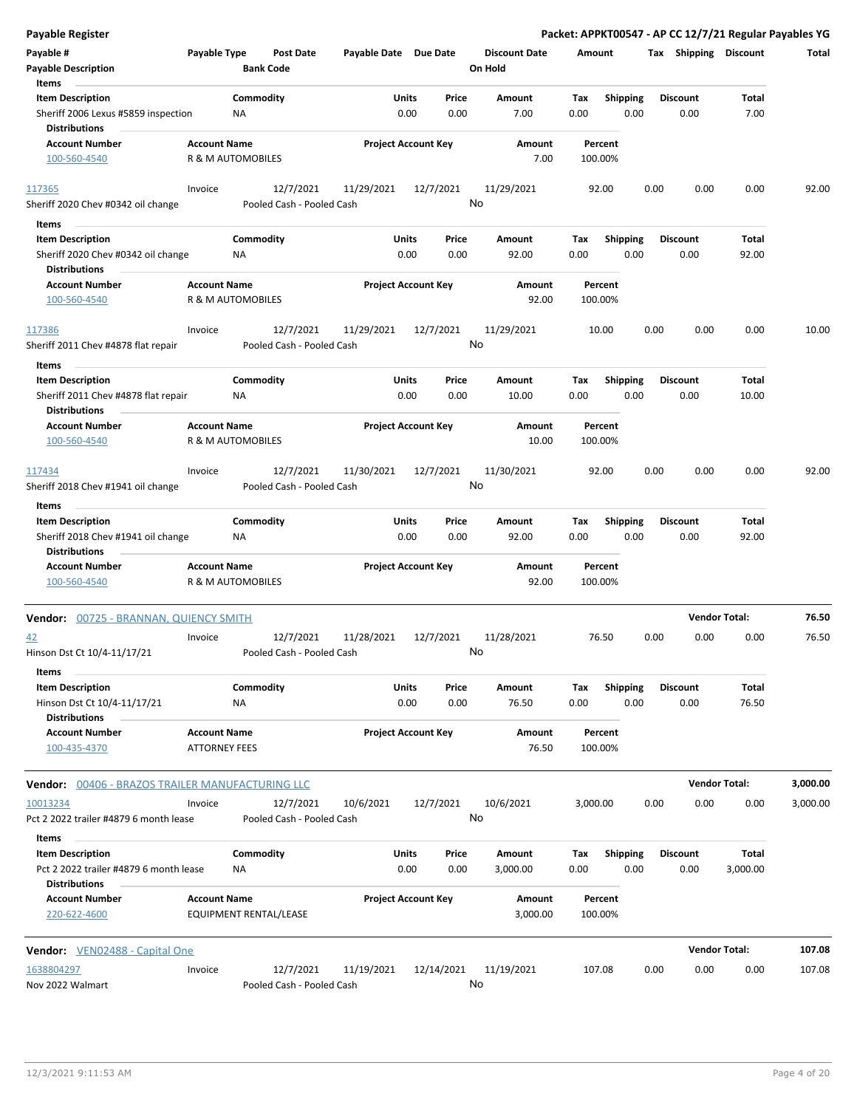| <b>Payable Register</b>                                        |                                             |                   |                                        |                       |                            |                  |                                 |                    |                         |      |                         | Packet: APPKT00547 - AP CC 12/7/21 Regular Payables YG |          |
|----------------------------------------------------------------|---------------------------------------------|-------------------|----------------------------------------|-----------------------|----------------------------|------------------|---------------------------------|--------------------|-------------------------|------|-------------------------|--------------------------------------------------------|----------|
| Payable #                                                      | Payable Type                                |                   | <b>Post Date</b>                       | Payable Date Due Date |                            |                  | <b>Discount Date</b><br>On Hold | Amount             |                         |      | Tax Shipping Discount   |                                                        | Total    |
| <b>Payable Description</b><br>Items                            |                                             | <b>Bank Code</b>  |                                        |                       |                            |                  |                                 |                    |                         |      |                         |                                                        |          |
| <b>Item Description</b>                                        |                                             | Commodity         |                                        |                       | Units                      | Price            | Amount                          | Tax                | Shipping                |      | <b>Discount</b>         | Total                                                  |          |
| Sheriff 2006 Lexus #5859 inspection<br><b>Distributions</b>    |                                             | ΝA                |                                        |                       | 0.00                       | 0.00             | 7.00                            | 0.00               | 0.00                    |      | 0.00                    | 7.00                                                   |          |
| <b>Account Number</b>                                          | <b>Account Name</b>                         |                   |                                        |                       | <b>Project Account Key</b> |                  | Amount                          | Percent            |                         |      |                         |                                                        |          |
| 100-560-4540                                                   |                                             | R & M AUTOMOBILES |                                        |                       |                            |                  | 7.00                            | 100.00%            |                         |      |                         |                                                        |          |
| 117365                                                         | Invoice                                     |                   | 12/7/2021                              | 11/29/2021            |                            | 12/7/2021        | 11/29/2021                      | 92.00              |                         | 0.00 | 0.00                    | 0.00                                                   | 92.00    |
| Sheriff 2020 Chev #0342 oil change<br>Items                    |                                             |                   | Pooled Cash - Pooled Cash              |                       |                            | No               |                                 |                    |                         |      |                         |                                                        |          |
|                                                                |                                             | Commodity         |                                        |                       | Units                      | Price            |                                 |                    |                         |      |                         | Total                                                  |          |
| <b>Item Description</b><br>Sheriff 2020 Chev #0342 oil change  |                                             | ΝA                |                                        |                       | 0.00                       | 0.00             | Amount<br>92.00                 | Тах<br>0.00        | Shipping<br>0.00        |      | <b>Discount</b><br>0.00 | 92.00                                                  |          |
| <b>Distributions</b>                                           |                                             |                   |                                        |                       |                            |                  |                                 |                    |                         |      |                         |                                                        |          |
| <b>Account Number</b><br>100-560-4540                          | <b>Account Name</b>                         | R & M AUTOMOBILES |                                        |                       | <b>Project Account Key</b> |                  | Amount<br>92.00                 | Percent<br>100.00% |                         |      |                         |                                                        |          |
| 117386                                                         | Invoice                                     |                   | 12/7/2021                              | 11/29/2021            |                            | 12/7/2021        | 11/29/2021                      | 10.00              |                         | 0.00 | 0.00                    | 0.00                                                   | 10.00    |
| Sheriff 2011 Chev #4878 flat repair                            |                                             |                   | Pooled Cash - Pooled Cash              |                       |                            | No               |                                 |                    |                         |      |                         |                                                        |          |
| Items                                                          |                                             | Commodity         |                                        |                       |                            |                  | Amount                          |                    |                         |      |                         |                                                        |          |
| <b>Item Description</b><br>Sheriff 2011 Chev #4878 flat repair |                                             | ΝA                |                                        |                       | Units<br>0.00              | Price<br>0.00    | 10.00                           | Тах<br>0.00        | <b>Shipping</b><br>0.00 |      | <b>Discount</b><br>0.00 | Total<br>10.00                                         |          |
| <b>Distributions</b><br><b>Account Number</b>                  | <b>Account Name</b>                         |                   |                                        |                       | <b>Project Account Key</b> |                  | Amount                          | Percent            |                         |      |                         |                                                        |          |
| 100-560-4540                                                   |                                             | R & M AUTOMOBILES |                                        |                       |                            |                  | 10.00                           | 100.00%            |                         |      |                         |                                                        |          |
| 117434                                                         | Invoice                                     |                   | 12/7/2021                              | 11/30/2021            |                            | 12/7/2021<br>No  | 11/30/2021                      | 92.00              |                         | 0.00 | 0.00                    | 0.00                                                   | 92.00    |
| Sheriff 2018 Chev #1941 oil change<br>Items                    |                                             |                   | Pooled Cash - Pooled Cash              |                       |                            |                  |                                 |                    |                         |      |                         |                                                        |          |
| <b>Item Description</b>                                        |                                             | Commodity         |                                        |                       | Units                      | Price            | Amount                          | Tax                | <b>Shipping</b>         |      | <b>Discount</b>         | Total                                                  |          |
| Sheriff 2018 Chev #1941 oil change<br><b>Distributions</b>     |                                             | NA                |                                        |                       | 0.00                       | 0.00             | 92.00                           | 0.00               | 0.00                    |      | 0.00                    | 92.00                                                  |          |
| <b>Account Number</b><br>100-560-4540                          | <b>Account Name</b>                         | R & M AUTOMOBILES |                                        |                       | <b>Project Account Key</b> |                  | Amount<br>92.00                 | Percent<br>100.00% |                         |      |                         |                                                        |          |
| Vendor: 00725 - BRANNAN, QUIENCY SMITH                         |                                             |                   |                                        |                       |                            |                  |                                 |                    |                         |      |                         | <b>Vendor Total:</b>                                   | 76.50    |
| 42                                                             | Invoice                                     |                   | 12/7/2021                              | 11/28/2021            |                            | 12/7/2021        | 11/28/2021                      | 76.50              |                         | 0.00 | 0.00                    | 0.00                                                   | 76.50    |
| Hinson Dst Ct 10/4-11/17/21<br>Items                           |                                             |                   | Pooled Cash - Pooled Cash              |                       |                            | No               |                                 |                    |                         |      |                         |                                                        |          |
| <b>Item Description</b>                                        |                                             | Commodity         |                                        |                       | <b>Units</b>               | Price            | Amount                          | Tax                | <b>Shipping</b>         |      | Discount                | Total                                                  |          |
| Hinson Dst Ct 10/4-11/17/21<br><b>Distributions</b>            |                                             | NA                |                                        |                       | 0.00                       | 0.00             | 76.50                           | 0.00               | 0.00                    |      | 0.00                    | 76.50                                                  |          |
| <b>Account Number</b><br>100-435-4370                          | <b>Account Name</b><br><b>ATTORNEY FEES</b> |                   |                                        |                       | <b>Project Account Key</b> |                  | Amount<br>76.50                 | Percent<br>100.00% |                         |      |                         |                                                        |          |
| <b>Vendor:</b> 00406 - BRAZOS TRAILER MANUFACTURING LLC        |                                             |                   |                                        |                       |                            |                  |                                 |                    |                         |      |                         | <b>Vendor Total:</b>                                   | 3,000.00 |
| 10013234                                                       | Invoice                                     |                   | 12/7/2021                              | 10/6/2021             |                            | 12/7/2021        | 10/6/2021                       | 3,000.00           |                         | 0.00 | 0.00                    | 0.00                                                   | 3,000.00 |
| Pct 2 2022 trailer #4879 6 month lease<br>Items                |                                             |                   | Pooled Cash - Pooled Cash              |                       |                            | No               |                                 |                    |                         |      |                         |                                                        |          |
| <b>Item Description</b>                                        |                                             | Commodity         |                                        |                       | <b>Units</b>               | Price            | Amount                          | Тах                | <b>Shipping</b>         |      | <b>Discount</b>         | Total                                                  |          |
| Pct 2 2022 trailer #4879 6 month lease<br><b>Distributions</b> |                                             | ΝA                |                                        |                       | 0.00                       | 0.00             | 3,000.00                        | 0.00               | 0.00                    |      | 0.00                    | 3,000.00                                               |          |
| <b>Account Number</b><br>220-622-4600                          | <b>Account Name</b>                         |                   | EQUIPMENT RENTAL/LEASE                 |                       | <b>Project Account Key</b> |                  | Amount<br>3,000.00              | Percent<br>100.00% |                         |      |                         |                                                        |          |
| <b>Vendor:</b> VEN02488 - Capital One                          |                                             |                   |                                        |                       |                            |                  |                                 |                    |                         |      |                         | <b>Vendor Total:</b>                                   | 107.08   |
| 1638804297<br>Nov 2022 Walmart                                 | Invoice                                     |                   | 12/7/2021<br>Pooled Cash - Pooled Cash | 11/19/2021            |                            | 12/14/2021<br>No | 11/19/2021                      | 107.08             |                         | 0.00 | 0.00                    | 0.00                                                   | 107.08   |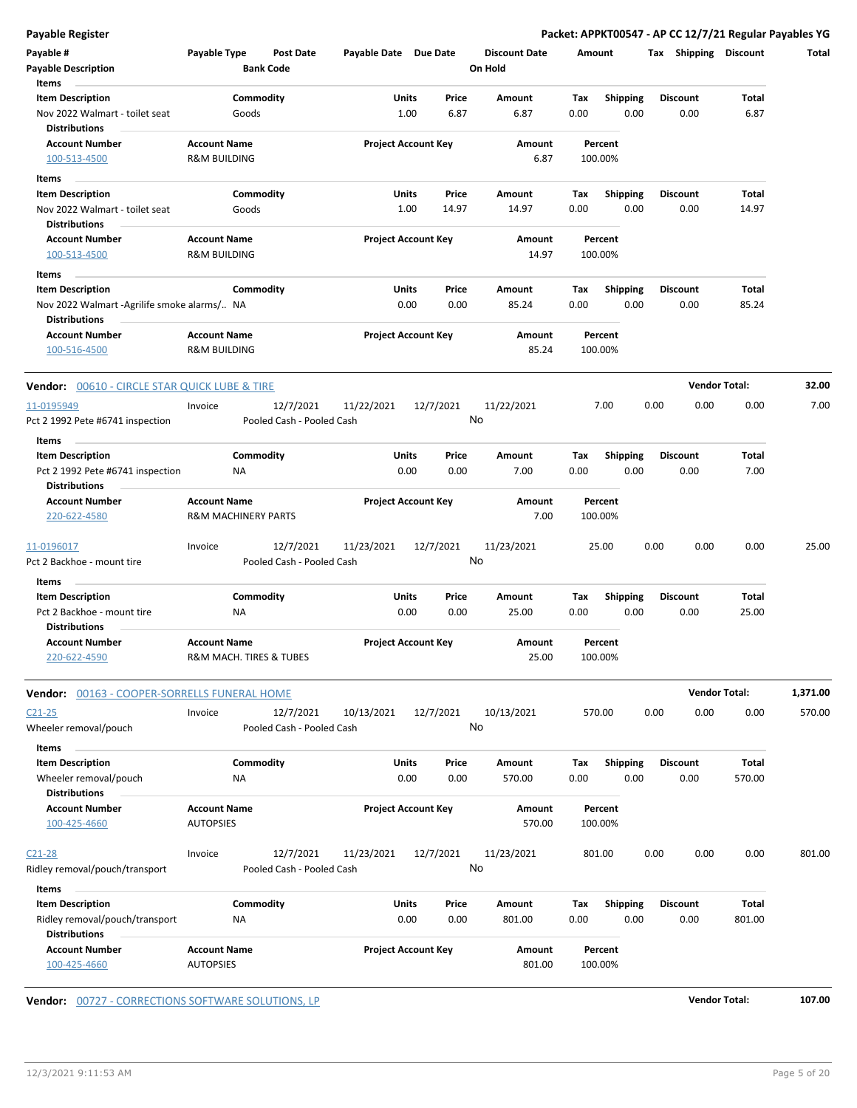**Payable Register Packet: APPKT00547 - AP CC 12/7/21 Regular Payables YG**

| Payable #<br><b>Payable Description</b><br>Items                                               | Payable Type                                          | <b>Bank Code</b>   | Post Date                              | Payable Date Due Date |               |                            | <b>Discount Date</b><br>On Hold | Amount      |                         |      | Tax Shipping            | <b>Discount</b> | Total    |
|------------------------------------------------------------------------------------------------|-------------------------------------------------------|--------------------|----------------------------------------|-----------------------|---------------|----------------------------|---------------------------------|-------------|-------------------------|------|-------------------------|-----------------|----------|
| <b>Item Description</b><br>Nov 2022 Walmart - toilet seat<br><b>Distributions</b>              |                                                       | Commodity<br>Goods |                                        |                       | Units<br>1.00 | Price<br>6.87              | Amount<br>6.87                  | Tax<br>0.00 | Shipping<br>0.00        |      | <b>Discount</b><br>0.00 | Total<br>6.87   |          |
| <b>Account Number</b><br>100-513-4500                                                          | <b>Account Name</b><br><b>R&amp;M BUILDING</b>        |                    |                                        |                       |               | <b>Project Account Key</b> | Amount<br>6.87                  |             | Percent<br>100.00%      |      |                         |                 |          |
| Items<br><b>Item Description</b>                                                               |                                                       | Commodity          |                                        |                       | Units         | Price                      | Amount                          | Tax         | <b>Shipping</b>         |      | <b>Discount</b>         | Total           |          |
| Nov 2022 Walmart - toilet seat<br><b>Distributions</b>                                         |                                                       | Goods              |                                        |                       | 1.00          | 14.97                      | 14.97                           | 0.00        | 0.00                    |      | 0.00                    | 14.97           |          |
| <b>Account Number</b><br>100-513-4500                                                          | <b>Account Name</b><br><b>R&amp;M BUILDING</b>        |                    |                                        |                       |               | <b>Project Account Key</b> | Amount<br>14.97                 |             | Percent<br>100.00%      |      |                         |                 |          |
| Items                                                                                          |                                                       |                    |                                        |                       |               |                            |                                 |             |                         |      |                         |                 |          |
| <b>Item Description</b><br>Nov 2022 Walmart -Agrilife smoke alarms/ NA<br><b>Distributions</b> |                                                       | Commodity          |                                        |                       | Units<br>0.00 | Price<br>0.00              | Amount<br>85.24                 | Tax<br>0.00 | <b>Shipping</b><br>0.00 |      | <b>Discount</b><br>0.00 | Total<br>85.24  |          |
| <b>Account Number</b><br>100-516-4500                                                          | <b>Account Name</b><br><b>R&amp;M BUILDING</b>        |                    |                                        |                       |               | <b>Project Account Key</b> | Amount<br>85.24                 |             | Percent<br>100.00%      |      |                         |                 |          |
| <b>Vendor:</b> 00610 - CIRCLE STAR QUICK LUBE & TIRE                                           |                                                       |                    |                                        |                       |               |                            |                                 |             |                         |      | <b>Vendor Total:</b>    |                 | 32.00    |
| 11-0195949<br>Pct 2 1992 Pete #6741 inspection                                                 | Invoice                                               |                    | 12/7/2021<br>Pooled Cash - Pooled Cash | 11/22/2021            |               | 12/7/2021                  | 11/22/2021<br>No                |             | 7.00                    | 0.00 | 0.00                    | 0.00            | 7.00     |
| Items<br><b>Item Description</b><br>Pct 2 1992 Pete #6741 inspection<br><b>Distributions</b>   |                                                       | Commodity<br>NA    |                                        |                       | Units<br>0.00 | Price<br>0.00              | Amount<br>7.00                  | Tax<br>0.00 | <b>Shipping</b><br>0.00 |      | <b>Discount</b><br>0.00 | Total<br>7.00   |          |
| <b>Account Number</b><br>220-622-4580                                                          | <b>Account Name</b><br><b>R&amp;M MACHINERY PARTS</b> |                    |                                        |                       |               | <b>Project Account Key</b> | Amount<br>7.00                  |             | Percent<br>100.00%      |      |                         |                 |          |
| 11-0196017<br>Pct 2 Backhoe - mount tire                                                       | Invoice                                               |                    | 12/7/2021<br>Pooled Cash - Pooled Cash | 11/23/2021            |               | 12/7/2021                  | 11/23/2021<br>No                |             | 25.00                   | 0.00 | 0.00                    | 0.00            | 25.00    |
| Items<br><b>Item Description</b><br>Pct 2 Backhoe - mount tire<br><b>Distributions</b>         |                                                       | Commodity<br>ΝA    |                                        |                       | Units<br>0.00 | Price<br>0.00              | Amount<br>25.00                 | Tax<br>0.00 | <b>Shipping</b><br>0.00 |      | <b>Discount</b><br>0.00 | Total<br>25.00  |          |
| <b>Account Number</b><br>220-622-4590                                                          | <b>Account Name</b><br>R&M MACH. TIRES & TUBES        |                    |                                        |                       |               | <b>Project Account Key</b> | Amount<br>25.00                 |             | Percent<br>100.00%      |      |                         |                 |          |
| Vendor: 00163 - COOPER-SORRELLS FUNERAL HOME                                                   |                                                       |                    |                                        |                       |               |                            |                                 |             |                         |      | <b>Vendor Total:</b>    |                 | 1,371.00 |
| $C21 - 25$<br>Wheeler removal/pouch                                                            | Invoice                                               |                    | 12/7/2021<br>Pooled Cash - Pooled Cash | 10/13/2021            |               | 12/7/2021                  | 10/13/2021<br>No                |             | 570.00                  | 0.00 | 0.00                    | 0.00            | 570.00   |
| Items<br><b>Item Description</b><br>Wheeler removal/pouch                                      |                                                       | Commodity<br>ΝA    |                                        |                       | Units<br>0.00 | Price<br>0.00              | Amount<br>570.00                | Tax<br>0.00 | <b>Shipping</b><br>0.00 |      | <b>Discount</b><br>0.00 | Total<br>570.00 |          |
| <b>Distributions</b><br><b>Account Number</b><br>100-425-4660                                  | <b>Account Name</b><br><b>AUTOPSIES</b>               |                    |                                        |                       |               | <b>Project Account Key</b> | Amount<br>570.00                |             | Percent<br>100.00%      |      |                         |                 |          |
| $C21 - 28$<br>Ridley removal/pouch/transport                                                   | Invoice                                               |                    | 12/7/2021<br>Pooled Cash - Pooled Cash | 11/23/2021            |               | 12/7/2021                  | 11/23/2021<br>No                |             | 801.00                  | 0.00 | 0.00                    | 0.00            | 801.00   |
| Items<br><b>Item Description</b>                                                               |                                                       | Commodity          |                                        |                       | Units         | Price                      | Amount                          | Tax         | Shipping                |      | <b>Discount</b>         | Total           |          |
| Ridley removal/pouch/transport<br><b>Distributions</b>                                         |                                                       | ΝA                 |                                        |                       | 0.00          | 0.00                       | 801.00                          | 0.00        | 0.00                    |      | 0.00                    | 801.00          |          |
| <b>Account Number</b><br>100-425-4660                                                          | <b>Account Name</b><br><b>AUTOPSIES</b>               |                    |                                        |                       |               | <b>Project Account Key</b> | Amount<br>801.00                |             | Percent<br>100.00%      |      |                         |                 |          |

**Vendor:** 00727 - CORRECTIONS SOFTWARE SOLUTIONS, LP<br> **107.00**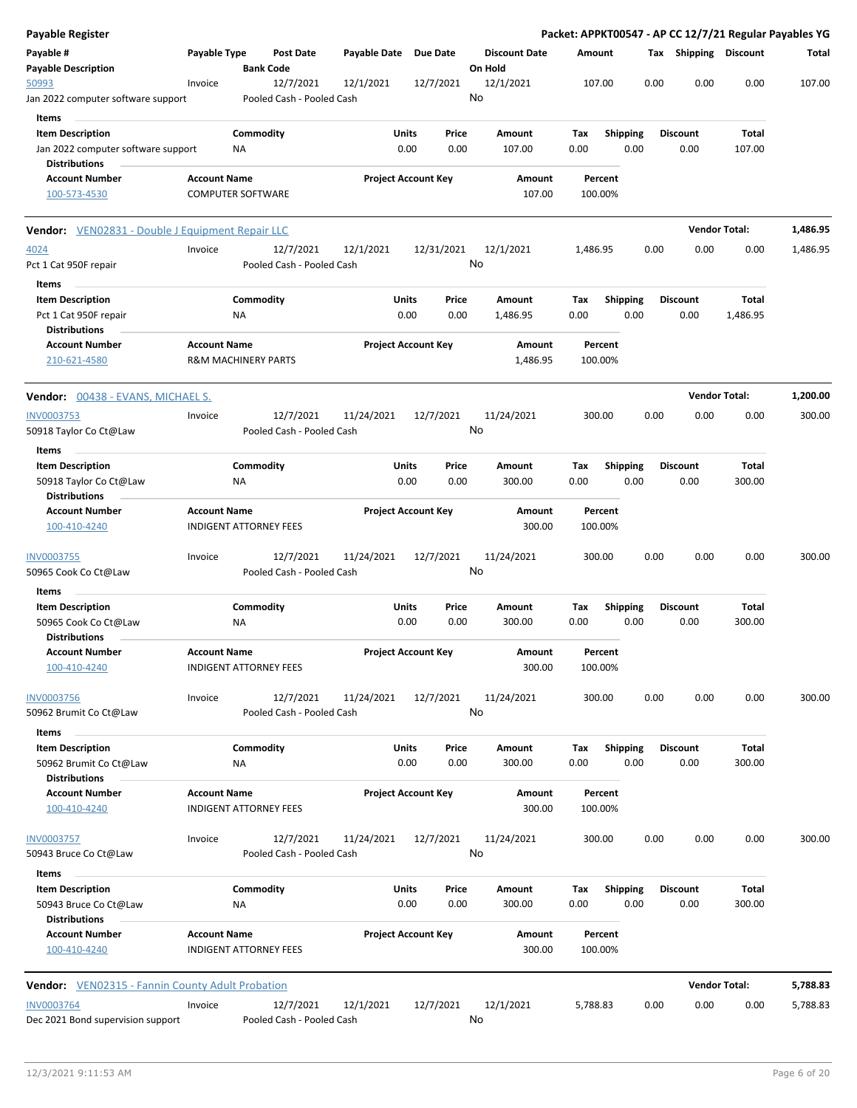| <b>Payable Register</b>                                       |                                                       |                 |                                        |                       |                                |    |                                 |             |                         |      |                         | Packet: APPKT00547 - AP CC 12/7/21 Regular Payables YG |          |
|---------------------------------------------------------------|-------------------------------------------------------|-----------------|----------------------------------------|-----------------------|--------------------------------|----|---------------------------------|-------------|-------------------------|------|-------------------------|--------------------------------------------------------|----------|
| Payable #<br><b>Payable Description</b>                       | Payable Type                                          |                 | <b>Post Date</b><br><b>Bank Code</b>   | Payable Date Due Date |                                |    | <b>Discount Date</b><br>On Hold | Amount      |                         |      | Tax Shipping Discount   |                                                        | Total    |
| 50993<br>Jan 2022 computer software support                   | Invoice                                               |                 | 12/7/2021<br>Pooled Cash - Pooled Cash | 12/1/2021             | 12/7/2021                      |    | 12/1/2021<br>No                 |             | 107.00                  | 0.00 | 0.00                    | 0.00                                                   | 107.00   |
|                                                               |                                                       |                 |                                        |                       |                                |    |                                 |             |                         |      |                         |                                                        |          |
| Items                                                         |                                                       |                 |                                        |                       |                                |    |                                 |             |                         |      |                         |                                                        |          |
| <b>Item Description</b><br>Jan 2022 computer software support |                                                       | Commodity<br>ΝA |                                        |                       | Units<br>Price<br>0.00<br>0.00 |    | Amount<br>107.00                | Tax<br>0.00 | <b>Shipping</b><br>0.00 |      | <b>Discount</b><br>0.00 | Total<br>107.00                                        |          |
| <b>Distributions</b>                                          |                                                       |                 |                                        |                       |                                |    |                                 |             |                         |      |                         |                                                        |          |
| <b>Account Number</b>                                         | <b>Account Name</b>                                   |                 |                                        |                       | <b>Project Account Key</b>     |    | Amount                          |             | Percent                 |      |                         |                                                        |          |
| 100-573-4530                                                  | <b>COMPUTER SOFTWARE</b>                              |                 |                                        |                       |                                |    | 107.00                          |             | 100.00%                 |      |                         |                                                        |          |
| <b>Vendor:</b> VEN02831 - Double J Equipment Repair LLC       |                                                       |                 |                                        |                       |                                |    |                                 |             |                         |      |                         | <b>Vendor Total:</b>                                   | 1,486.95 |
| 4024                                                          | Invoice                                               |                 | 12/7/2021                              | 12/1/2021             | 12/31/2021                     |    | 12/1/2021                       | 1,486.95    |                         | 0.00 | 0.00                    | 0.00                                                   | 1,486.95 |
| Pct 1 Cat 950F repair                                         |                                                       |                 | Pooled Cash - Pooled Cash              |                       |                                | No |                                 |             |                         |      |                         |                                                        |          |
| Items                                                         |                                                       |                 |                                        |                       |                                |    |                                 |             |                         |      |                         |                                                        |          |
| <b>Item Description</b>                                       |                                                       | Commodity       |                                        |                       | Units<br>Price                 |    | Amount                          | Tax         | <b>Shipping</b>         |      | <b>Discount</b>         | <b>Total</b>                                           |          |
| Pct 1 Cat 950F repair<br><b>Distributions</b>                 |                                                       | ΝA              |                                        |                       | 0.00<br>0.00                   |    | 1,486.95                        | 0.00        | 0.00                    |      | 0.00                    | 1,486.95                                               |          |
| <b>Account Number</b><br>210-621-4580                         | <b>Account Name</b><br><b>R&amp;M MACHINERY PARTS</b> |                 |                                        |                       | <b>Project Account Key</b>     |    | Amount<br>1,486.95              |             | Percent<br>100.00%      |      |                         |                                                        |          |
| <b>Vendor: 00438 - EVANS, MICHAEL S.</b>                      |                                                       |                 |                                        |                       |                                |    |                                 |             |                         |      |                         | <b>Vendor Total:</b>                                   | 1,200.00 |
| <b>INV0003753</b>                                             | Invoice                                               |                 | 12/7/2021                              | 11/24/2021            | 12/7/2021                      |    | 11/24/2021                      |             | 300.00                  | 0.00 | 0.00                    | 0.00                                                   | 300.00   |
| 50918 Taylor Co Ct@Law                                        |                                                       |                 | Pooled Cash - Pooled Cash              |                       |                                | No |                                 |             |                         |      |                         |                                                        |          |
| Items                                                         |                                                       |                 |                                        |                       |                                |    |                                 |             |                         |      |                         |                                                        |          |
| <b>Item Description</b>                                       |                                                       | Commodity       |                                        |                       | Units<br>Price                 |    | Amount                          | Tax         | <b>Shipping</b>         |      | <b>Discount</b>         | Total                                                  |          |
| 50918 Taylor Co Ct@Law<br><b>Distributions</b>                |                                                       | ΝA              |                                        |                       | 0.00<br>0.00                   |    | 300.00                          | 0.00        | 0.00                    |      | 0.00                    | 300.00                                                 |          |
| <b>Account Number</b>                                         | <b>Account Name</b>                                   |                 |                                        |                       | <b>Project Account Key</b>     |    | Amount                          |             | Percent                 |      |                         |                                                        |          |
| 100-410-4240                                                  | <b>INDIGENT ATTORNEY FEES</b>                         |                 |                                        |                       |                                |    | 300.00                          |             | 100.00%                 |      |                         |                                                        |          |
| <b>INV0003755</b>                                             | Invoice                                               |                 | 12/7/2021                              | 11/24/2021            | 12/7/2021                      |    | 11/24/2021                      |             | 300.00                  | 0.00 | 0.00                    | 0.00                                                   | 300.00   |
| 50965 Cook Co Ct@Law                                          |                                                       |                 | Pooled Cash - Pooled Cash              |                       |                                | No |                                 |             |                         |      |                         |                                                        |          |
| Items                                                         |                                                       | Commodity       |                                        |                       | Units<br>Price                 |    | Amount                          |             |                         |      | <b>Discount</b>         | Total                                                  |          |
| <b>Item Description</b><br>50965 Cook Co Ct@Law               |                                                       | NA              |                                        |                       | 0.00<br>0.00                   |    | 300.00                          | Tax<br>0.00 | <b>Shipping</b><br>0.00 |      | 0.00                    | 300.00                                                 |          |
| <b>Distributions</b>                                          |                                                       |                 |                                        |                       |                                |    |                                 |             |                         |      |                         |                                                        |          |
| <b>Account Number</b>                                         | <b>Account Name</b>                                   |                 |                                        |                       | <b>Project Account Key</b>     |    | Amount                          |             | Percent                 |      |                         |                                                        |          |
| 100-410-4240                                                  | <b>INDIGENT ATTORNEY FEES</b>                         |                 |                                        |                       |                                |    | 300.00                          |             | 100.00%                 |      |                         |                                                        |          |
| INV0003756                                                    | Invoice                                               |                 | 12/7/2021                              | 11/24/2021            | 12/7/2021                      |    | 11/24/2021                      |             | 300.00                  | 0.00 | 0.00                    | 0.00                                                   | 300.00   |
| 50962 Brumit Co Ct@Law                                        |                                                       |                 | Pooled Cash - Pooled Cash              |                       |                                | No |                                 |             |                         |      |                         |                                                        |          |
| Items                                                         |                                                       |                 |                                        |                       |                                |    |                                 |             |                         |      |                         |                                                        |          |
| <b>Item Description</b>                                       |                                                       | Commodity       |                                        |                       | Units<br>Price                 |    | Amount                          | Tax         | <b>Shipping</b>         |      | Discount                | Total                                                  |          |
| 50962 Brumit Co Ct@Law<br><b>Distributions</b>                |                                                       | NA              |                                        |                       | 0.00<br>0.00                   |    | 300.00                          | 0.00        | 0.00                    |      | 0.00                    | 300.00                                                 |          |
| <b>Account Number</b>                                         | <b>Account Name</b>                                   |                 |                                        |                       | <b>Project Account Key</b>     |    | Amount                          |             | Percent                 |      |                         |                                                        |          |
| 100-410-4240                                                  | <b>INDIGENT ATTORNEY FEES</b>                         |                 |                                        |                       |                                |    | 300.00                          |             | 100.00%                 |      |                         |                                                        |          |
| INV0003757                                                    | Invoice                                               |                 | 12/7/2021                              | 11/24/2021            | 12/7/2021                      |    | 11/24/2021                      |             | 300.00                  | 0.00 | 0.00                    | 0.00                                                   | 300.00   |
| 50943 Bruce Co Ct@Law                                         |                                                       |                 | Pooled Cash - Pooled Cash              |                       |                                |    | No                              |             |                         |      |                         |                                                        |          |
| Items                                                         |                                                       |                 |                                        |                       |                                |    |                                 |             |                         |      |                         |                                                        |          |
| <b>Item Description</b><br>50943 Bruce Co Ct@Law              |                                                       | Commodity<br>NA |                                        |                       | Units<br>Price<br>0.00<br>0.00 |    | Amount<br>300.00                | Tax<br>0.00 | Shipping<br>0.00        |      | <b>Discount</b><br>0.00 | Total<br>300.00                                        |          |
| <b>Distributions</b>                                          |                                                       |                 |                                        |                       |                                |    |                                 |             |                         |      |                         |                                                        |          |
| <b>Account Number</b><br>100-410-4240                         | <b>Account Name</b><br><b>INDIGENT ATTORNEY FEES</b>  |                 |                                        |                       | <b>Project Account Key</b>     |    | Amount<br>300.00                |             | Percent<br>100.00%      |      |                         |                                                        |          |
| Vendor: VEN02315 - Fannin County Adult Probation              |                                                       |                 |                                        |                       |                                |    |                                 |             |                         |      |                         | <b>Vendor Total:</b>                                   | 5,788.83 |
| <b>INV0003764</b>                                             | Invoice                                               |                 | 12/7/2021                              | 12/1/2021             | 12/7/2021                      |    | 12/1/2021                       | 5,788.83    |                         | 0.00 | 0.00                    | 0.00                                                   | 5,788.83 |
| Dec 2021 Bond supervision support                             |                                                       |                 | Pooled Cash - Pooled Cash              |                       |                                | No |                                 |             |                         |      |                         |                                                        |          |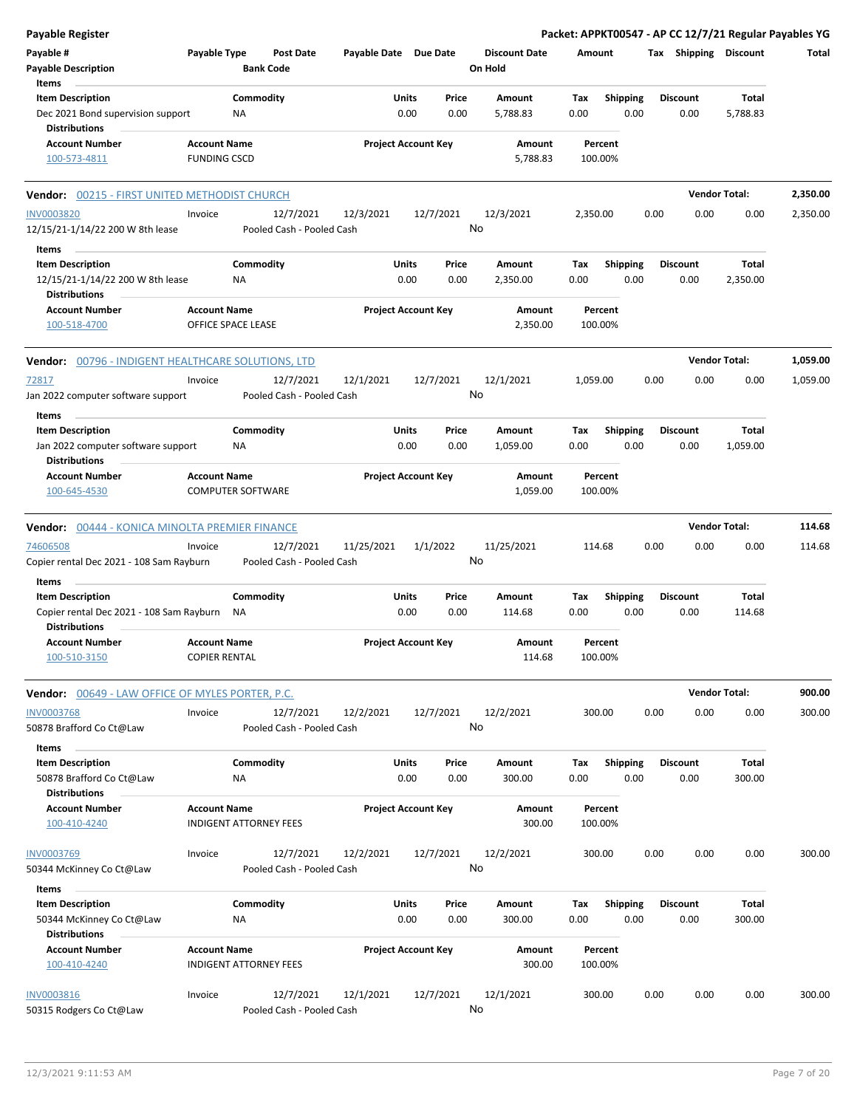| <b>Payable Register</b>                                                                        |                                                      |                       |                            |                                 | Packet: APPKT00547 - AP CC 12/7/21 Regular Payables YG |                         |                      |          |
|------------------------------------------------------------------------------------------------|------------------------------------------------------|-----------------------|----------------------------|---------------------------------|--------------------------------------------------------|-------------------------|----------------------|----------|
| Payable #<br><b>Payable Description</b>                                                        | Payable Type<br><b>Post Date</b><br><b>Bank Code</b> | Payable Date Due Date |                            | <b>Discount Date</b><br>On Hold | Amount                                                 | Tax Shipping Discount   |                      | Total    |
| Items<br><b>Item Description</b><br>Dec 2021 Bond supervision support<br><b>Distributions</b>  | Commodity<br>NA                                      | Units<br>0.00         | Price<br>0.00              | Amount<br>5,788.83              | Tax<br><b>Shipping</b><br>0.00<br>0.00                 | <b>Discount</b><br>0.00 | Total<br>5,788.83    |          |
| <b>Account Number</b><br>100-573-4811                                                          | <b>Account Name</b><br><b>FUNDING CSCD</b>           |                       | <b>Project Account Key</b> | Amount<br>5,788.83              | Percent<br>100.00%                                     |                         |                      |          |
| <b>Vendor: 00215 - FIRST UNITED METHODIST CHURCH</b>                                           |                                                      |                       |                            |                                 |                                                        |                         | <b>Vendor Total:</b> | 2,350.00 |
| <b>INV0003820</b><br>12/15/21-1/14/22 200 W 8th lease                                          | 12/7/2021<br>Invoice<br>Pooled Cash - Pooled Cash    | 12/3/2021             | 12/7/2021                  | 12/3/2021<br>No                 | 2,350.00                                               | 0.00<br>0.00            | 0.00                 | 2,350.00 |
| Items<br><b>Item Description</b><br>12/15/21-1/14/22 200 W 8th lease<br><b>Distributions</b>   | Commodity<br>ΝA                                      | Units                 | Price<br>0.00<br>0.00      | Amount<br>2,350.00              | <b>Shipping</b><br>Tax<br>0.00<br>0.00                 | <b>Discount</b><br>0.00 | Total<br>2,350.00    |          |
| <b>Account Number</b><br>100-518-4700                                                          | <b>Account Name</b><br>OFFICE SPACE LEASE            |                       | <b>Project Account Key</b> | Amount<br>2,350.00              | Percent<br>100.00%                                     |                         |                      |          |
| Vendor: 00796 - INDIGENT HEALTHCARE SOLUTIONS, LTD                                             |                                                      |                       |                            |                                 |                                                        |                         | <b>Vendor Total:</b> | 1,059.00 |
| 72817<br>Jan 2022 computer software support                                                    | 12/7/2021<br>Invoice<br>Pooled Cash - Pooled Cash    | 12/1/2021             | 12/7/2021                  | 12/1/2021<br>No                 | 1,059.00                                               | 0.00<br>0.00            | 0.00                 | 1,059.00 |
| Items<br><b>Item Description</b><br>Jan 2022 computer software support<br><b>Distributions</b> | Commodity<br>ΝA                                      | Units                 | Price<br>0.00<br>0.00      | Amount<br>1,059.00              | <b>Shipping</b><br>Tax<br>0.00<br>0.00                 | <b>Discount</b><br>0.00 | Total<br>1,059.00    |          |
| <b>Account Number</b><br>100-645-4530                                                          | <b>Account Name</b><br><b>COMPUTER SOFTWARE</b>      |                       | <b>Project Account Key</b> | Amount<br>1,059.00              | Percent<br>100.00%                                     |                         |                      |          |
| Vendor: 00444 - KONICA MINOLTA PREMIER FINANCE                                                 |                                                      |                       |                            |                                 |                                                        |                         | <b>Vendor Total:</b> | 114.68   |
| 74606508<br>Copier rental Dec 2021 - 108 Sam Rayburn                                           | 12/7/2021<br>Invoice<br>Pooled Cash - Pooled Cash    | 11/25/2021            | 1/1/2022                   | 11/25/2021<br>No                | 114.68                                                 | 0.00<br>0.00            | 0.00                 | 114.68   |
| Items<br><b>Item Description</b><br>Copier rental Dec 2021 - 108 Sam Rayburn                   | Commodity<br>NA                                      | Units<br>0.00         | Price<br>0.00              | Amount<br>114.68                | Shipping<br>Tax<br>0.00<br>0.00                        | <b>Discount</b><br>0.00 | Total<br>114.68      |          |
| <b>Distributions</b><br><b>Account Number</b><br>100-510-3150                                  | <b>Account Name</b><br><b>COPIER RENTAL</b>          |                       | <b>Project Account Key</b> | Amount<br>114.68                | Percent<br>100.00%                                     |                         |                      |          |
| <b>Vendor:</b> 00649 - LAW OFFICE OF MYLES PORTER, P.C.                                        |                                                      |                       |                            |                                 |                                                        |                         | <b>Vendor Total:</b> | 900.00   |
| <b>INV0003768</b><br>50878 Brafford Co Ct@Law                                                  | 12/7/2021<br>Invoice<br>Pooled Cash - Pooled Cash    | 12/2/2021             | 12/7/2021                  | 12/2/2021<br>No                 | 300.00                                                 | 0.00<br>0.00            | 0.00                 | 300.00   |
| Items<br><b>Item Description</b><br>50878 Brafford Co Ct@Law<br><b>Distributions</b>           | Commodity<br>ΝA                                      | Units                 | Price<br>0.00<br>0.00      | Amount<br>300.00                | <b>Shipping</b><br>Tax<br>0.00<br>0.00                 | <b>Discount</b><br>0.00 | Total<br>300.00      |          |
| <b>Account Number</b><br>100-410-4240                                                          | <b>Account Name</b><br><b>INDIGENT ATTORNEY FEES</b> |                       | <b>Project Account Key</b> | Amount<br>300.00                | Percent<br>100.00%                                     |                         |                      |          |
| <b>INV0003769</b><br>50344 McKinney Co Ct@Law                                                  | 12/7/2021<br>Invoice<br>Pooled Cash - Pooled Cash    | 12/2/2021             | 12/7/2021                  | 12/2/2021<br>No                 | 300.00                                                 | 0.00<br>0.00            | 0.00                 | 300.00   |
| Items<br><b>Item Description</b><br>50344 McKinney Co Ct@Law<br><b>Distributions</b>           | Commodity<br>NA                                      | Units                 | Price<br>0.00<br>0.00      | Amount<br>300.00                | Tax<br><b>Shipping</b><br>0.00<br>0.00                 | <b>Discount</b><br>0.00 | Total<br>300.00      |          |
| <b>Account Number</b><br>100-410-4240                                                          | <b>Account Name</b><br><b>INDIGENT ATTORNEY FEES</b> |                       | <b>Project Account Key</b> | Amount<br>300.00                | Percent<br>100.00%                                     |                         |                      |          |
| <b>INV0003816</b><br>50315 Rodgers Co Ct@Law                                                   | Invoice<br>12/7/2021<br>Pooled Cash - Pooled Cash    | 12/1/2021             | 12/7/2021                  | 12/1/2021<br>No                 | 300.00                                                 | 0.00<br>0.00            | 0.00                 | 300.00   |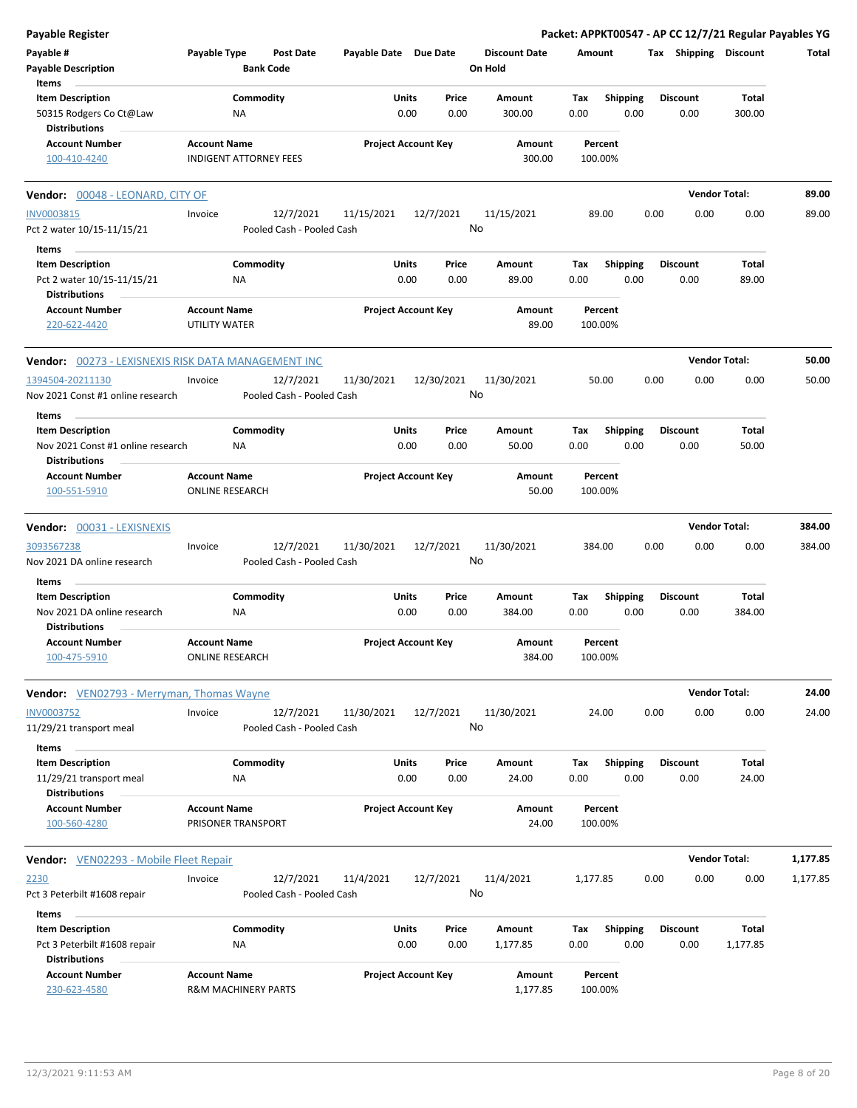| Payable Register                                                           |                                                       |                               |                       |                            |                                 |             |                         |      |                 | Packet: APPKT00547 - AP CC 12/7/21 Regular Payables YG |          |
|----------------------------------------------------------------------------|-------------------------------------------------------|-------------------------------|-----------------------|----------------------------|---------------------------------|-------------|-------------------------|------|-----------------|--------------------------------------------------------|----------|
| Payable #<br><b>Payable Description</b>                                    | Payable Type                                          | Post Date<br><b>Bank Code</b> | Payable Date Due Date |                            | <b>Discount Date</b><br>On Hold | Amount      |                         |      |                 | Tax Shipping Discount                                  | Total    |
| Items                                                                      |                                                       |                               |                       | Price                      |                                 |             |                         |      | <b>Discount</b> |                                                        |          |
| <b>Item Description</b><br>50315 Rodgers Co Ct@Law<br><b>Distributions</b> | Commodity<br>NA                                       |                               | Units                 | 0.00<br>0.00               | Amount<br>300.00                | Tax<br>0.00 | <b>Shipping</b><br>0.00 |      | 0.00            | Total<br>300.00                                        |          |
| <b>Account Number</b>                                                      | <b>Account Name</b>                                   |                               |                       | <b>Project Account Key</b> | Amount                          |             | Percent                 |      |                 |                                                        |          |
| 100-410-4240                                                               | <b>INDIGENT ATTORNEY FEES</b>                         |                               |                       |                            | 300.00                          |             | 100.00%                 |      |                 |                                                        |          |
| Vendor: 00048 - LEONARD, CITY OF                                           |                                                       |                               |                       |                            |                                 |             |                         |      |                 | <b>Vendor Total:</b>                                   | 89.00    |
| INV0003815                                                                 | Invoice                                               | 12/7/2021                     | 11/15/2021            | 12/7/2021                  | 11/15/2021                      |             | 89.00                   | 0.00 | 0.00            | 0.00                                                   | 89.00    |
| Pct 2 water 10/15-11/15/21                                                 |                                                       | Pooled Cash - Pooled Cash     |                       |                            | No                              |             |                         |      |                 |                                                        |          |
| Items                                                                      |                                                       |                               |                       |                            |                                 |             |                         |      |                 |                                                        |          |
| <b>Item Description</b>                                                    | Commodity                                             |                               | Units                 | Price                      | Amount                          | Тах         | <b>Shipping</b>         |      | <b>Discount</b> | Total                                                  |          |
| Pct 2 water 10/15-11/15/21<br><b>Distributions</b>                         | <b>NA</b>                                             |                               |                       | 0.00<br>0.00               | 89.00                           | 0.00        | 0.00                    |      | 0.00            | 89.00                                                  |          |
| <b>Account Number</b>                                                      | <b>Account Name</b>                                   |                               |                       | <b>Project Account Key</b> | Amount                          |             | Percent                 |      |                 |                                                        |          |
| 220-622-4420                                                               | UTILITY WATER                                         |                               |                       |                            | 89.00                           |             | 100.00%                 |      |                 |                                                        |          |
| Vendor: 00273 - LEXISNEXIS RISK DATA MANAGEMENT INC                        |                                                       |                               |                       |                            |                                 |             |                         |      |                 | <b>Vendor Total:</b>                                   | 50.00    |
| 1394504-20211130                                                           | Invoice                                               | 12/7/2021                     | 11/30/2021            | 12/30/2021                 | 11/30/2021                      |             | 50.00                   | 0.00 | 0.00            | 0.00                                                   | 50.00    |
| Nov 2021 Const #1 online research                                          |                                                       | Pooled Cash - Pooled Cash     |                       |                            | No                              |             |                         |      |                 |                                                        |          |
| Items                                                                      |                                                       |                               |                       |                            |                                 |             |                         |      |                 |                                                        |          |
| <b>Item Description</b>                                                    | Commodity                                             |                               | Units                 | Price                      | Amount                          | Tax         | Shipping                |      | <b>Discount</b> | Total                                                  |          |
| Nov 2021 Const #1 online research<br><b>Distributions</b>                  | NA                                                    |                               |                       | 0.00<br>0.00               | 50.00                           | 0.00        | 0.00                    |      | 0.00            | 50.00                                                  |          |
| <b>Account Number</b>                                                      | <b>Account Name</b>                                   |                               |                       | <b>Project Account Key</b> | Amount                          |             | Percent                 |      |                 |                                                        |          |
| 100-551-5910                                                               | <b>ONLINE RESEARCH</b>                                |                               |                       |                            | 50.00                           |             | 100.00%                 |      |                 |                                                        |          |
| Vendor: 00031 - LEXISNEXIS                                                 |                                                       |                               |                       |                            |                                 |             |                         |      |                 | <b>Vendor Total:</b>                                   | 384.00   |
| 3093567238                                                                 | Invoice                                               | 12/7/2021                     | 11/30/2021            | 12/7/2021                  | 11/30/2021                      | 384.00      |                         | 0.00 | 0.00            | 0.00                                                   | 384.00   |
| Nov 2021 DA online research                                                |                                                       | Pooled Cash - Pooled Cash     |                       |                            | No                              |             |                         |      |                 |                                                        |          |
| Items                                                                      |                                                       |                               |                       |                            |                                 |             |                         |      |                 |                                                        |          |
| <b>Item Description</b>                                                    | Commodity                                             |                               | Units                 | Price                      | Amount                          | Тах         | Shipping                |      | <b>Discount</b> | Total                                                  |          |
| Nov 2021 DA online research<br><b>Distributions</b>                        | ΝA                                                    |                               |                       | 0.00<br>0.00               | 384.00                          | 0.00        | 0.00                    |      | 0.00            | 384.00                                                 |          |
| <b>Account Number</b><br>100-475-5910                                      | <b>Account Name</b><br><b>ONLINE RESEARCH</b>         |                               |                       | <b>Project Account Key</b> | Amount<br>384.00                |             | Percent<br>100.00%      |      |                 |                                                        |          |
| <b>Vendor:</b> VEN02793 - Merryman, Thomas Wayne                           |                                                       |                               |                       |                            |                                 |             |                         |      |                 | <b>Vendor Total:</b>                                   | 24.00    |
| INV0003752                                                                 | Invoice                                               | 12/7/2021                     | 11/30/2021            | 12/7/2021                  | 11/30/2021                      |             | 24.00                   | 0.00 | 0.00            | 0.00                                                   | 24.00    |
| 11/29/21 transport meal<br>Items                                           |                                                       | Pooled Cash - Pooled Cash     |                       |                            | No                              |             |                         |      |                 |                                                        |          |
| <b>Item Description</b>                                                    | Commodity                                             |                               | Units                 | Price                      | Amount                          | Tax         | <b>Shipping</b>         |      | <b>Discount</b> | Total                                                  |          |
| 11/29/21 transport meal<br><b>Distributions</b>                            | ΝA                                                    |                               |                       | 0.00<br>0.00               | 24.00                           | 0.00        | 0.00                    |      | 0.00            | 24.00                                                  |          |
| <b>Account Number</b>                                                      | <b>Account Name</b>                                   |                               |                       | <b>Project Account Key</b> | Amount                          |             | Percent                 |      |                 |                                                        |          |
| 100-560-4280                                                               | PRISONER TRANSPORT                                    |                               |                       |                            | 24.00                           |             | 100.00%                 |      |                 |                                                        |          |
| <b>Vendor:</b> VEN02293 - Mobile Fleet Repair                              |                                                       |                               |                       |                            |                                 |             |                         |      |                 | <b>Vendor Total:</b>                                   | 1,177.85 |
| 2230                                                                       | Invoice                                               | 12/7/2021                     | 11/4/2021             | 12/7/2021                  | 11/4/2021                       | 1,177.85    |                         | 0.00 | 0.00            | 0.00                                                   | 1,177.85 |
| Pct 3 Peterbilt #1608 repair                                               |                                                       | Pooled Cash - Pooled Cash     |                       |                            | No                              |             |                         |      |                 |                                                        |          |
| Items                                                                      |                                                       |                               |                       |                            |                                 |             |                         |      |                 |                                                        |          |
| <b>Item Description</b>                                                    | Commodity                                             |                               | Units                 | Price                      | Amount                          | Tax         | <b>Shipping</b>         |      | <b>Discount</b> | Total                                                  |          |
| Pct 3 Peterbilt #1608 repair<br><b>Distributions</b>                       | NA                                                    |                               |                       | 0.00<br>0.00               | 1,177.85                        | 0.00        | 0.00                    |      | 0.00            | 1,177.85                                               |          |
| <b>Account Number</b><br>230-623-4580                                      | <b>Account Name</b><br><b>R&amp;M MACHINERY PARTS</b> |                               |                       | <b>Project Account Key</b> | Amount<br>1,177.85              |             | Percent<br>100.00%      |      |                 |                                                        |          |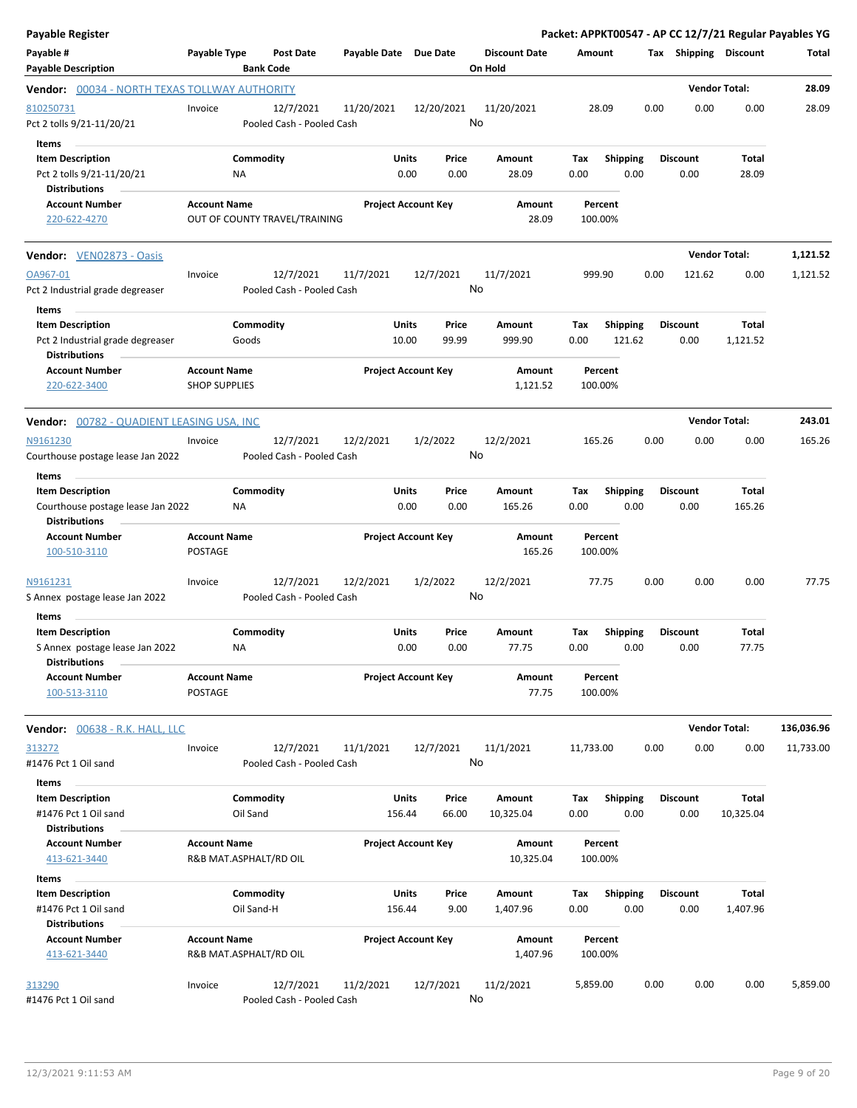| <b>Payable Register</b>                                                                      |                                             |                                        |                       |                                |                                 |                     |                    |                           |      |                         |                       | Packet: APPKT00547 - AP CC 12/7/21 Regular Payables YG |
|----------------------------------------------------------------------------------------------|---------------------------------------------|----------------------------------------|-----------------------|--------------------------------|---------------------------------|---------------------|--------------------|---------------------------|------|-------------------------|-----------------------|--------------------------------------------------------|
| Payable #<br><b>Payable Description</b>                                                      | Payable Type                                | Post Date<br><b>Bank Code</b>          | Payable Date Due Date |                                | <b>Discount Date</b><br>On Hold |                     | Amount             |                           |      |                         | Tax Shipping Discount | Total                                                  |
| Vendor: 00034 - NORTH TEXAS TOLLWAY AUTHORITY                                                |                                             |                                        |                       |                                |                                 |                     |                    |                           |      |                         | <b>Vendor Total:</b>  | 28.09                                                  |
| 810250731<br>Pct 2 tolls 9/21-11/20/21                                                       | Invoice                                     | 12/7/2021<br>Pooled Cash - Pooled Cash | 11/20/2021            | 12/20/2021                     | 11/20/2021<br>No                |                     | 28.09              |                           | 0.00 | 0.00                    | 0.00                  | 28.09                                                  |
| Items<br><b>Item Description</b><br>Pct 2 tolls 9/21-11/20/21<br><b>Distributions</b>        |                                             | Commodity<br>ΝA                        |                       | Units<br>Price<br>0.00<br>0.00 | Amount<br>28.09                 |                     | Tax<br>0.00        | <b>Shipping</b><br>0.00   |      | <b>Discount</b><br>0.00 | Total<br>28.09        |                                                        |
| <b>Account Number</b><br>220-622-4270                                                        | <b>Account Name</b>                         | OUT OF COUNTY TRAVEL/TRAINING          |                       | <b>Project Account Key</b>     |                                 | Amount<br>28.09     | Percent<br>100.00% |                           |      |                         |                       |                                                        |
| Vendor: VEN02873 - Oasis                                                                     |                                             |                                        |                       |                                |                                 |                     |                    |                           |      |                         | <b>Vendor Total:</b>  | 1,121.52                                               |
| OA967-01<br>Pct 2 Industrial grade degreaser                                                 | Invoice                                     | 12/7/2021<br>Pooled Cash - Pooled Cash | 11/7/2021             | 12/7/2021                      | 11/7/2021<br>No                 |                     | 999.90             |                           | 0.00 | 121.62                  | 0.00                  | 1,121.52                                               |
| Items<br><b>Item Description</b><br>Pct 2 Industrial grade degreaser<br><b>Distributions</b> |                                             | Commodity<br>Goods                     | 10.00                 | Units<br>Price<br>99.99        | Amount<br>999.90                |                     | Tax<br>0.00        | <b>Shipping</b><br>121.62 |      | <b>Discount</b><br>0.00 | Total<br>1,121.52     |                                                        |
| <b>Account Number</b><br>220-622-3400                                                        | <b>Account Name</b><br><b>SHOP SUPPLIES</b> |                                        |                       | <b>Project Account Key</b>     |                                 | Amount<br>1,121.52  | Percent<br>100.00% |                           |      |                         |                       |                                                        |
| Vendor: 00782 - QUADIENT LEASING USA, INC                                                    |                                             |                                        |                       |                                |                                 |                     |                    |                           |      |                         | <b>Vendor Total:</b>  | 243.01                                                 |
| N9161230<br>Courthouse postage lease Jan 2022<br>Items                                       | Invoice                                     | 12/7/2021<br>Pooled Cash - Pooled Cash | 12/2/2021             | 1/2/2022                       | 12/2/2021<br>No                 |                     | 165.26             |                           | 0.00 | 0.00                    | 0.00                  | 165.26                                                 |
| <b>Item Description</b><br>Courthouse postage lease Jan 2022<br><b>Distributions</b>         |                                             | Commodity<br>ΝA                        |                       | Units<br>Price<br>0.00<br>0.00 | Amount<br>165.26                |                     | Tax<br>0.00        | <b>Shipping</b><br>0.00   |      | <b>Discount</b><br>0.00 | Total<br>165.26       |                                                        |
| <b>Account Number</b><br>100-510-3110                                                        | <b>Account Name</b><br>POSTAGE              |                                        |                       | <b>Project Account Key</b>     |                                 | Amount<br>165.26    | Percent<br>100.00% |                           |      |                         |                       |                                                        |
| N9161231<br>S Annex postage lease Jan 2022                                                   | Invoice                                     | 12/7/2021<br>Pooled Cash - Pooled Cash | 12/2/2021             | 1/2/2022                       | 12/2/2021<br>No                 |                     | 77.75              |                           | 0.00 | 0.00                    | 0.00                  | 77.75                                                  |
| Items<br><b>Item Description</b>                                                             |                                             | Commodity                              |                       | Units<br>Price                 | Amount                          |                     | Tax                | Shipping                  |      | <b>Discount</b>         | Total                 |                                                        |
| S Annex postage lease Jan 2022<br><b>Distributions</b>                                       |                                             | ΝA                                     |                       | 0.00<br>0.00                   | 77.75                           |                     | 0.00               | 0.00                      |      | 0.00                    | 77.75                 |                                                        |
| <b>Account Number</b><br>100-513-3110                                                        | <b>Account Name</b><br>POSTAGE              |                                        |                       | <b>Project Account Key</b>     |                                 | Amount<br>77.75     | Percent<br>100.00% |                           |      |                         |                       |                                                        |
| Vendor: 00638 - R.K. HALL, LLC                                                               |                                             |                                        |                       |                                |                                 |                     |                    |                           |      |                         | <b>Vendor Total:</b>  | 136,036.96                                             |
| 313272<br>#1476 Pct 1 Oil sand                                                               | Invoice                                     | 12/7/2021<br>Pooled Cash - Pooled Cash | 11/1/2021             | 12/7/2021                      | 11/1/2021<br>No                 |                     | 11,733.00          |                           | 0.00 | 0.00                    | 0.00                  | 11,733.00                                              |
| Items<br><b>Item Description</b>                                                             |                                             | Commodity                              | <b>Units</b>          | Price                          | Amount                          |                     | Tax                | <b>Shipping</b>           |      | <b>Discount</b>         | <b>Total</b>          |                                                        |
| #1476 Pct 1 Oil sand<br><b>Distributions</b>                                                 |                                             | Oil Sand                               | 156.44                | 66.00                          | 10,325.04                       |                     | 0.00               | 0.00                      |      | 0.00                    | 10,325.04             |                                                        |
| <b>Account Number</b><br>413-621-3440<br>Items                                               | <b>Account Name</b>                         | R&B MAT.ASPHALT/RD OIL                 |                       | <b>Project Account Key</b>     |                                 | Amount<br>10,325.04 | Percent<br>100.00% |                           |      |                         |                       |                                                        |
| <b>Item Description</b><br>#1476 Pct 1 Oil sand<br><b>Distributions</b>                      |                                             | Commodity<br>Oil Sand-H                | Units<br>156.44       | Price<br>9.00                  | Amount<br>1,407.96              |                     | Tax<br>0.00        | <b>Shipping</b><br>0.00   |      | <b>Discount</b><br>0.00 | Total<br>1,407.96     |                                                        |
| <b>Account Number</b><br>413-621-3440                                                        | <b>Account Name</b>                         | R&B MAT.ASPHALT/RD OIL                 |                       | <b>Project Account Key</b>     |                                 | Amount<br>1,407.96  | Percent<br>100.00% |                           |      |                         |                       |                                                        |
| 313290<br>#1476 Pct 1 Oil sand                                                               | Invoice                                     | 12/7/2021<br>Pooled Cash - Pooled Cash | 11/2/2021             | 12/7/2021                      | 11/2/2021<br>No                 |                     | 5,859.00           |                           | 0.00 | 0.00                    | 0.00                  | 5,859.00                                               |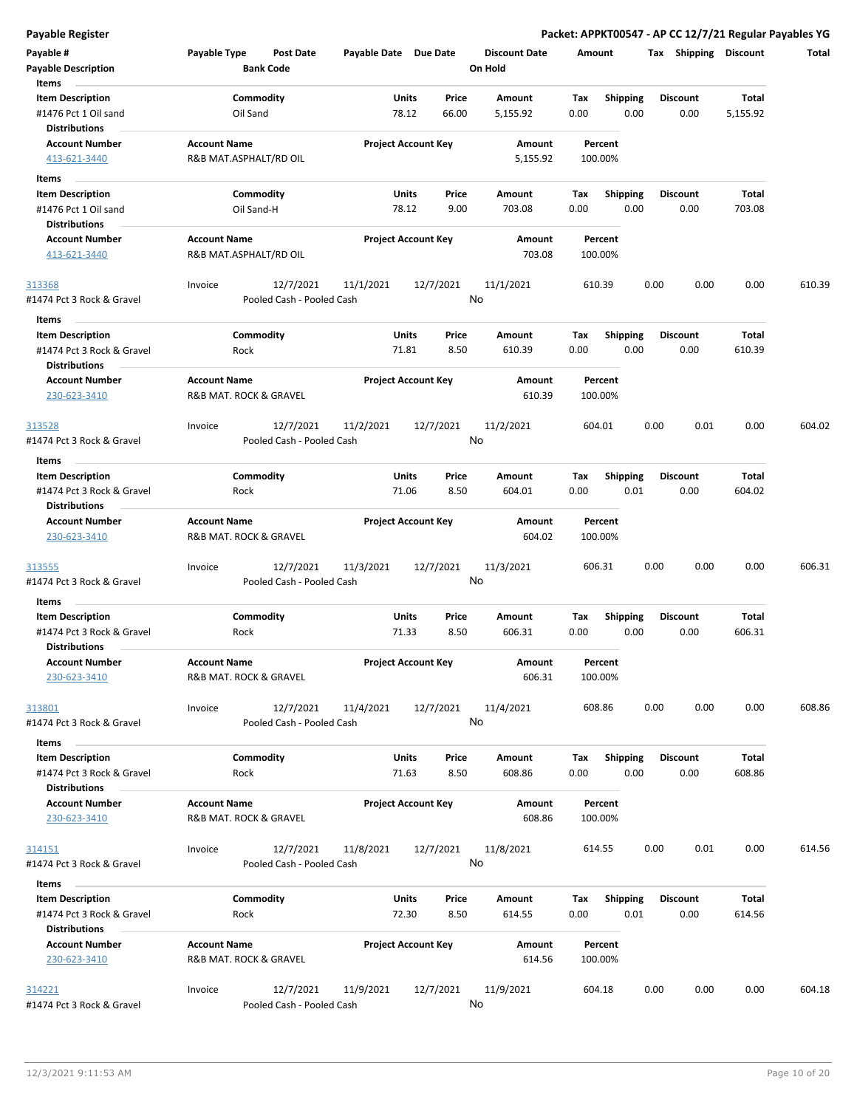**Payable Register Packet: APPKT00547 - AP CC 12/7/21 Regular Payables YG**

| Payable #<br><b>Payable Description</b><br>Items                             | Payable Type                                  | Post Date<br><b>Bank Code</b>          | Payable Date Due Date |                                  | <b>Discount Date</b><br>On Hold | Amount             |                         |      | Tax Shipping            | Discount               | Total  |
|------------------------------------------------------------------------------|-----------------------------------------------|----------------------------------------|-----------------------|----------------------------------|---------------------------------|--------------------|-------------------------|------|-------------------------|------------------------|--------|
| <b>Item Description</b><br>#1476 Pct 1 Oil sand<br><b>Distributions</b>      | Oil Sand                                      | Commodity                              |                       | Units<br>Price<br>78.12<br>66.00 | Amount<br>5,155.92              | Tax<br>0.00        | <b>Shipping</b><br>0.00 |      | <b>Discount</b><br>0.00 | Total<br>5,155.92      |        |
| <b>Account Number</b><br>413-621-3440                                        | <b>Account Name</b><br>R&B MAT.ASPHALT/RD OIL |                                        |                       | <b>Project Account Key</b>       | Amount<br>5,155.92              | Percent<br>100.00% |                         |      |                         |                        |        |
| Items                                                                        |                                               |                                        |                       |                                  |                                 |                    |                         |      |                         |                        |        |
| <b>Item Description</b>                                                      |                                               | Commodity                              |                       | Units<br>Price                   | Amount                          | Tax                | <b>Shipping</b>         |      | <b>Discount</b>         | Total                  |        |
| #1476 Pct 1 Oil sand<br><b>Distributions</b>                                 |                                               | Oil Sand-H                             |                       | 78.12<br>9.00                    | 703.08                          | 0.00               | 0.00                    |      | 0.00                    | 703.08                 |        |
| <b>Account Number</b><br>413-621-3440                                        | <b>Account Name</b><br>R&B MAT.ASPHALT/RD OIL |                                        |                       | <b>Project Account Key</b>       | Amount<br>703.08                | Percent<br>100.00% |                         |      |                         |                        |        |
| 313368<br>#1474 Pct 3 Rock & Gravel                                          | Invoice                                       | 12/7/2021<br>Pooled Cash - Pooled Cash | 11/1/2021             | 12/7/2021                        | 11/1/2021<br>No                 | 610.39             |                         | 0.00 | 0.00                    | 0.00                   | 610.39 |
| Items                                                                        |                                               |                                        |                       |                                  |                                 |                    |                         |      |                         |                        |        |
| <b>Item Description</b><br>#1474 Pct 3 Rock & Gravel<br><b>Distributions</b> | Rock                                          | Commodity                              |                       | Units<br>Price<br>71.81<br>8.50  | Amount<br>610.39                | Tax<br>0.00        | <b>Shipping</b><br>0.00 |      | <b>Discount</b><br>0.00 | Total<br>610.39        |        |
| <b>Account Number</b><br>230-623-3410                                        | <b>Account Name</b><br>R&B MAT. ROCK & GRAVEL |                                        |                       | <b>Project Account Key</b>       | Amount<br>610.39                | Percent<br>100.00% |                         |      |                         |                        |        |
| 313528<br>#1474 Pct 3 Rock & Gravel                                          | Invoice                                       | 12/7/2021<br>Pooled Cash - Pooled Cash | 11/2/2021             | 12/7/2021                        | 11/2/2021<br>No                 | 604.01             |                         | 0.00 | 0.01                    | 0.00                   | 604.02 |
| Items                                                                        |                                               |                                        |                       |                                  |                                 |                    |                         |      |                         |                        |        |
| <b>Item Description</b><br>#1474 Pct 3 Rock & Gravel                         | Rock                                          | Commodity                              |                       | Units<br>Price<br>71.06<br>8.50  | Amount<br>604.01                | Tax<br>0.00        | <b>Shipping</b><br>0.01 |      | <b>Discount</b><br>0.00 | Total<br>604.02        |        |
| <b>Distributions</b>                                                         |                                               |                                        |                       |                                  |                                 |                    |                         |      |                         |                        |        |
| <b>Account Number</b><br>230-623-3410                                        | <b>Account Name</b><br>R&B MAT. ROCK & GRAVEL |                                        |                       | <b>Project Account Key</b>       | Amount<br>604.02                | Percent<br>100.00% |                         |      |                         |                        |        |
| 313555<br>#1474 Pct 3 Rock & Gravel                                          | Invoice                                       | 12/7/2021<br>Pooled Cash - Pooled Cash | 11/3/2021             | 12/7/2021                        | 11/3/2021<br>No                 | 606.31             |                         | 0.00 | 0.00                    | 0.00                   | 606.31 |
| Items                                                                        |                                               |                                        |                       |                                  |                                 |                    |                         |      |                         |                        |        |
| <b>Item Description</b><br>#1474 Pct 3 Rock & Gravel<br><b>Distributions</b> | Rock                                          | Commodity                              |                       | Units<br>Price<br>71.33<br>8.50  | Amount<br>606.31                | Tax<br>0.00        | <b>Shipping</b><br>0.00 |      | <b>Discount</b><br>0.00 | <b>Total</b><br>606.31 |        |
| <b>Account Number</b><br>230-623-3410                                        | <b>Account Name</b><br>R&B MAT. ROCK & GRAVEL |                                        |                       | <b>Project Account Key</b>       | Amount<br>606.31                | Percent<br>100.00% |                         |      |                         |                        |        |
| 313801<br>#1474 Pct 3 Rock & Gravel                                          | Invoice                                       | 12/7/2021<br>Pooled Cash - Pooled Cash | 11/4/2021             | 12/7/2021                        | 11/4/2021<br>No                 | 608.86             |                         | 0.00 | 0.00                    | 0.00                   | 608.86 |
| Items                                                                        |                                               |                                        |                       |                                  |                                 |                    |                         |      |                         |                        |        |
| <b>Item Description</b><br>#1474 Pct 3 Rock & Gravel                         | Rock                                          | Commodity                              |                       | Units<br>Price<br>71.63<br>8.50  | Amount<br>608.86                | Tax<br>0.00        | <b>Shipping</b><br>0.00 |      | <b>Discount</b><br>0.00 | Total<br>608.86        |        |
| <b>Distributions</b><br><b>Account Number</b><br>230-623-3410                | <b>Account Name</b><br>R&B MAT. ROCK & GRAVEL |                                        |                       | <b>Project Account Key</b>       | Amount<br>608.86                | Percent<br>100.00% |                         |      |                         |                        |        |
| 314151<br>#1474 Pct 3 Rock & Gravel                                          | Invoice                                       | 12/7/2021<br>Pooled Cash - Pooled Cash | 11/8/2021             | 12/7/2021                        | 11/8/2021<br>No                 | 614.55             |                         | 0.00 | 0.01                    | 0.00                   | 614.56 |
| Items                                                                        |                                               |                                        |                       |                                  |                                 |                    |                         |      |                         |                        |        |
| <b>Item Description</b><br>#1474 Pct 3 Rock & Gravel                         | Rock                                          | Commodity                              |                       | Units<br>Price<br>72.30<br>8.50  | Amount<br>614.55                | Tax<br>0.00        | Shipping<br>0.01        |      | <b>Discount</b><br>0.00 | Total<br>614.56        |        |
| <b>Distributions</b><br><b>Account Number</b><br>230-623-3410                | <b>Account Name</b><br>R&B MAT. ROCK & GRAVEL |                                        |                       | <b>Project Account Key</b>       | Amount<br>614.56                | Percent<br>100.00% |                         |      |                         |                        |        |
| 314221<br>#1474 Pct 3 Rock & Gravel                                          | Invoice                                       | 12/7/2021<br>Pooled Cash - Pooled Cash | 11/9/2021             | 12/7/2021                        | 11/9/2021<br>No                 | 604.18             |                         | 0.00 | 0.00                    | 0.00                   | 604.18 |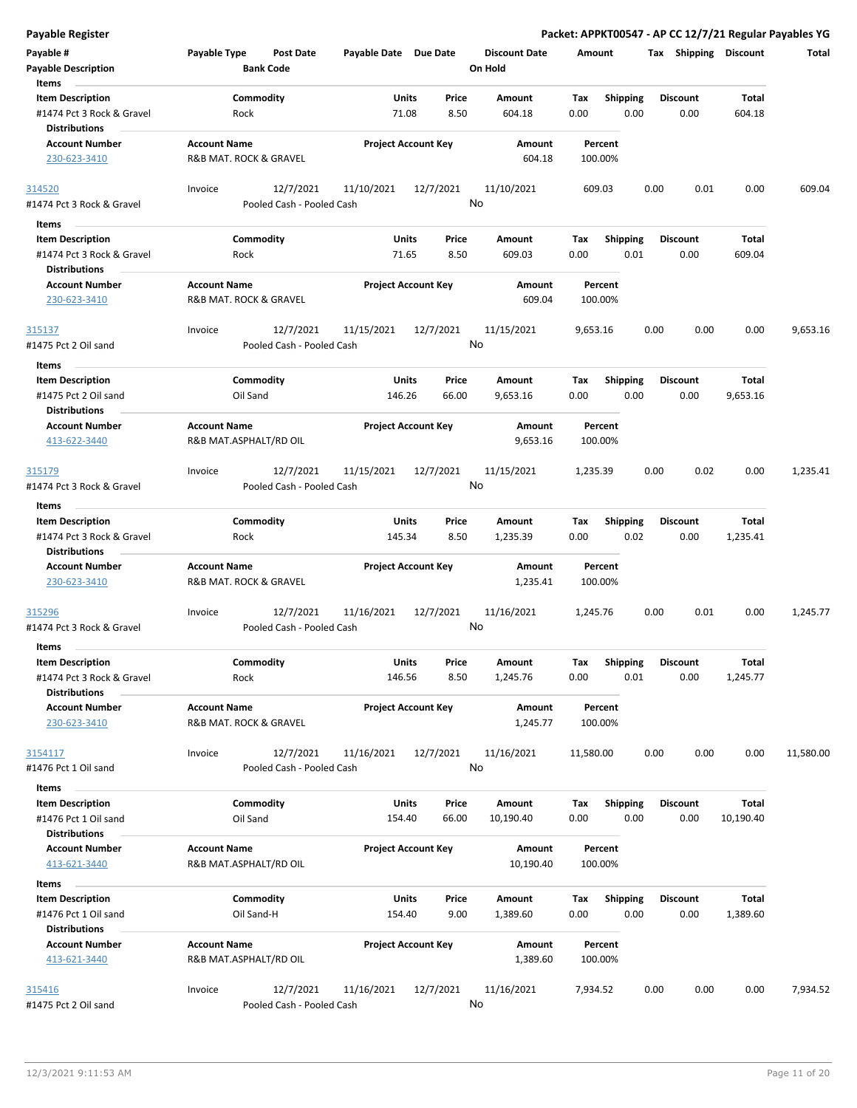|  |  | Payable Register |
|--|--|------------------|
|  |  |                  |

| Payable #<br><b>Payable Description</b>      | Payable Type           | <b>Post Date</b><br><b>Bank Code</b> | Payable Date Due Date |                            | <b>Discount Date</b><br>On Hold | Amount      |                         |      |                 | Tax Shipping Discount | Total     |
|----------------------------------------------|------------------------|--------------------------------------|-----------------------|----------------------------|---------------------------------|-------------|-------------------------|------|-----------------|-----------------------|-----------|
| Items                                        |                        |                                      |                       |                            |                                 |             |                         |      |                 |                       |           |
| <b>Item Description</b>                      |                        | Commodity                            | Units                 | Price                      | Amount                          | Tax         | <b>Shipping</b>         |      | <b>Discount</b> | <b>Total</b>          |           |
| #1474 Pct 3 Rock & Gravel                    | Rock                   |                                      | 71.08                 | 8.50                       | 604.18                          | 0.00        | 0.00                    |      | 0.00            | 604.18                |           |
| Distributions                                |                        |                                      |                       |                            |                                 |             |                         |      |                 |                       |           |
| <b>Account Number</b>                        | <b>Account Name</b>    |                                      |                       | <b>Project Account Key</b> | Amount                          | Percent     |                         |      |                 |                       |           |
| 230-623-3410                                 | R&B MAT. ROCK & GRAVEL |                                      |                       |                            | 604.18                          | 100.00%     |                         |      |                 |                       |           |
| 314520                                       | Invoice                | 12/7/2021                            | 11/10/2021            | 12/7/2021                  | 11/10/2021                      | 609.03      |                         | 0.00 | 0.01            | 0.00                  | 609.04    |
| #1474 Pct 3 Rock & Gravel                    |                        | Pooled Cash - Pooled Cash            |                       |                            | No                              |             |                         |      |                 |                       |           |
| <b>Items</b>                                 |                        |                                      |                       |                            |                                 |             |                         |      |                 |                       |           |
| <b>Item Description</b>                      |                        | Commodity                            | Units                 | Price                      | Amount                          | Tax         | <b>Shipping</b>         |      | <b>Discount</b> | Total                 |           |
| #1474 Pct 3 Rock & Gravel                    | Rock                   |                                      | 71.65                 | 8.50                       | 609.03                          | 0.00        | 0.01                    |      | 0.00            | 609.04                |           |
| <b>Distributions</b>                         |                        |                                      |                       |                            |                                 |             |                         |      |                 |                       |           |
| <b>Account Number</b>                        | <b>Account Name</b>    |                                      |                       | <b>Project Account Key</b> | Amount                          | Percent     |                         |      |                 |                       |           |
| 230-623-3410                                 | R&B MAT. ROCK & GRAVEL |                                      |                       |                            | 609.04                          | 100.00%     |                         |      |                 |                       |           |
|                                              |                        |                                      |                       |                            |                                 |             |                         |      |                 |                       |           |
| 315137                                       | Invoice                | 12/7/2021                            | 11/15/2021            | 12/7/2021                  | 11/15/2021                      | 9,653.16    |                         | 0.00 | 0.00            | 0.00                  | 9,653.16  |
| #1475 Pct 2 Oil sand                         |                        | Pooled Cash - Pooled Cash            |                       |                            | No                              |             |                         |      |                 |                       |           |
| Items                                        |                        |                                      |                       |                            |                                 |             |                         |      |                 |                       |           |
| <b>Item Description</b>                      |                        | Commodity                            | Units                 | Price                      | Amount                          | Tax         | <b>Shipping</b>         |      | <b>Discount</b> | Total                 |           |
| #1475 Pct 2 Oil sand                         | Oil Sand               |                                      | 146.26                | 66.00                      | 9,653.16                        | 0.00        | 0.00                    |      | 0.00            | 9,653.16              |           |
| <b>Distributions</b>                         |                        |                                      |                       |                            |                                 |             |                         |      |                 |                       |           |
| <b>Account Number</b>                        | <b>Account Name</b>    |                                      |                       | <b>Project Account Key</b> | Amount                          | Percent     |                         |      |                 |                       |           |
| 413-622-3440                                 | R&B MAT.ASPHALT/RD OIL |                                      |                       |                            | 9,653.16                        | 100.00%     |                         |      |                 |                       |           |
| <u>315179</u>                                | Invoice                | 12/7/2021                            | 11/15/2021            | 12/7/2021                  | 11/15/2021                      | 1,235.39    |                         | 0.00 | 0.02            | 0.00                  | 1,235.41  |
| #1474 Pct 3 Rock & Gravel                    |                        | Pooled Cash - Pooled Cash            |                       |                            | No                              |             |                         |      |                 |                       |           |
|                                              |                        |                                      |                       |                            |                                 |             |                         |      |                 |                       |           |
| Items<br><b>Item Description</b>             |                        | Commodity                            | Units                 | Price                      | Amount                          | Tax         | <b>Shipping</b>         |      | <b>Discount</b> | Total                 |           |
| #1474 Pct 3 Rock & Gravel                    | Rock                   |                                      | 145.34                | 8.50                       | 1,235.39                        | 0.00        | 0.02                    |      | 0.00            | 1,235.41              |           |
| <b>Distributions</b>                         |                        |                                      |                       |                            |                                 |             |                         |      |                 |                       |           |
| <b>Account Number</b>                        | <b>Account Name</b>    |                                      |                       | <b>Project Account Key</b> | Amount                          | Percent     |                         |      |                 |                       |           |
| 230-623-3410                                 | R&B MAT. ROCK & GRAVEL |                                      |                       |                            | 1,235.41                        | 100.00%     |                         |      |                 |                       |           |
|                                              |                        |                                      |                       |                            |                                 |             |                         |      |                 |                       |           |
| 315296                                       | Invoice                | 12/7/2021                            | 11/16/2021            | 12/7/2021                  | 11/16/2021                      | 1,245.76    |                         | 0.00 | 0.01            | 0.00                  | 1,245.77  |
| #1474 Pct 3 Rock & Gravel                    |                        | Pooled Cash - Pooled Cash            |                       |                            | No                              |             |                         |      |                 |                       |           |
| Items                                        |                        |                                      |                       |                            |                                 |             |                         |      |                 |                       |           |
| <b>Item Description</b>                      |                        | Commodity                            | Units                 | Price                      | Amount                          | Тах         | <b>Shipping</b>         |      | <b>Discount</b> | <b>Total</b>          |           |
| #1474 Pct 3 Rock & Gravel                    | Rock                   |                                      | 146.56                | 8.50                       | 1,245.76                        | 0.00        | 0.01                    |      | 0.00            | 1,245.77              |           |
| <b>Distributions</b>                         |                        |                                      |                       |                            |                                 |             |                         |      |                 |                       |           |
| <b>Account Number</b>                        | <b>Account Name</b>    |                                      |                       | <b>Project Account Key</b> | Amount                          | Percent     |                         |      |                 |                       |           |
| 230-623-3410                                 | R&B MAT. ROCK & GRAVEL |                                      |                       |                            | 1,245.77                        | 100.00%     |                         |      |                 |                       |           |
|                                              |                        |                                      |                       |                            |                                 |             |                         |      |                 |                       |           |
| 3154117                                      | Invoice                | 12/7/2021                            | 11/16/2021            | 12/7/2021                  | 11/16/2021                      | 11,580.00   |                         | 0.00 | 0.00            | 0.00                  | 11,580.00 |
| #1476 Pct 1 Oil sand                         |                        | Pooled Cash - Pooled Cash            |                       |                            | No                              |             |                         |      |                 |                       |           |
| Items                                        |                        |                                      |                       |                            |                                 |             |                         |      |                 |                       |           |
| <b>Item Description</b>                      |                        | Commodity                            | <b>Units</b>          | Price                      | Amount                          | Tax         | <b>Shipping</b>         |      | <b>Discount</b> | Total                 |           |
| #1476 Pct 1 Oil sand                         | Oil Sand               |                                      | 154.40                | 66.00                      | 10,190.40                       | 0.00        | 0.00                    |      | 0.00            | 10,190.40             |           |
| <b>Distributions</b>                         |                        |                                      |                       |                            |                                 |             |                         |      |                 |                       |           |
| <b>Account Number</b>                        | <b>Account Name</b>    |                                      |                       | <b>Project Account Key</b> | Amount                          | Percent     |                         |      |                 |                       |           |
| 413-621-3440                                 | R&B MAT.ASPHALT/RD OIL |                                      |                       |                            | 10,190.40                       | 100.00%     |                         |      |                 |                       |           |
|                                              |                        |                                      |                       |                            |                                 |             |                         |      |                 |                       |           |
| Items<br><b>Item Description</b>             |                        | Commodity                            | <b>Units</b>          | Price                      | Amount                          |             |                         |      | <b>Discount</b> | Total                 |           |
|                                              |                        | Oil Sand-H                           | 154.40                | 9.00                       | 1,389.60                        | Tax<br>0.00 | <b>Shipping</b><br>0.00 |      | 0.00            | 1,389.60              |           |
| #1476 Pct 1 Oil sand<br><b>Distributions</b> |                        |                                      |                       |                            |                                 |             |                         |      |                 |                       |           |
| <b>Account Number</b>                        | <b>Account Name</b>    |                                      |                       | <b>Project Account Key</b> | Amount                          | Percent     |                         |      |                 |                       |           |
| 413-621-3440                                 | R&B MAT.ASPHALT/RD OIL |                                      |                       |                            | 1,389.60                        | 100.00%     |                         |      |                 |                       |           |
|                                              |                        |                                      |                       |                            |                                 |             |                         |      |                 |                       |           |
| <u>315416</u>                                | Invoice                | 12/7/2021                            | 11/16/2021            | 12/7/2021                  | 11/16/2021                      | 7,934.52    |                         | 0.00 | 0.00            | 0.00                  | 7,934.52  |
| #1475 Pct 2 Oil sand                         |                        | Pooled Cash - Pooled Cash            |                       |                            | No                              |             |                         |      |                 |                       |           |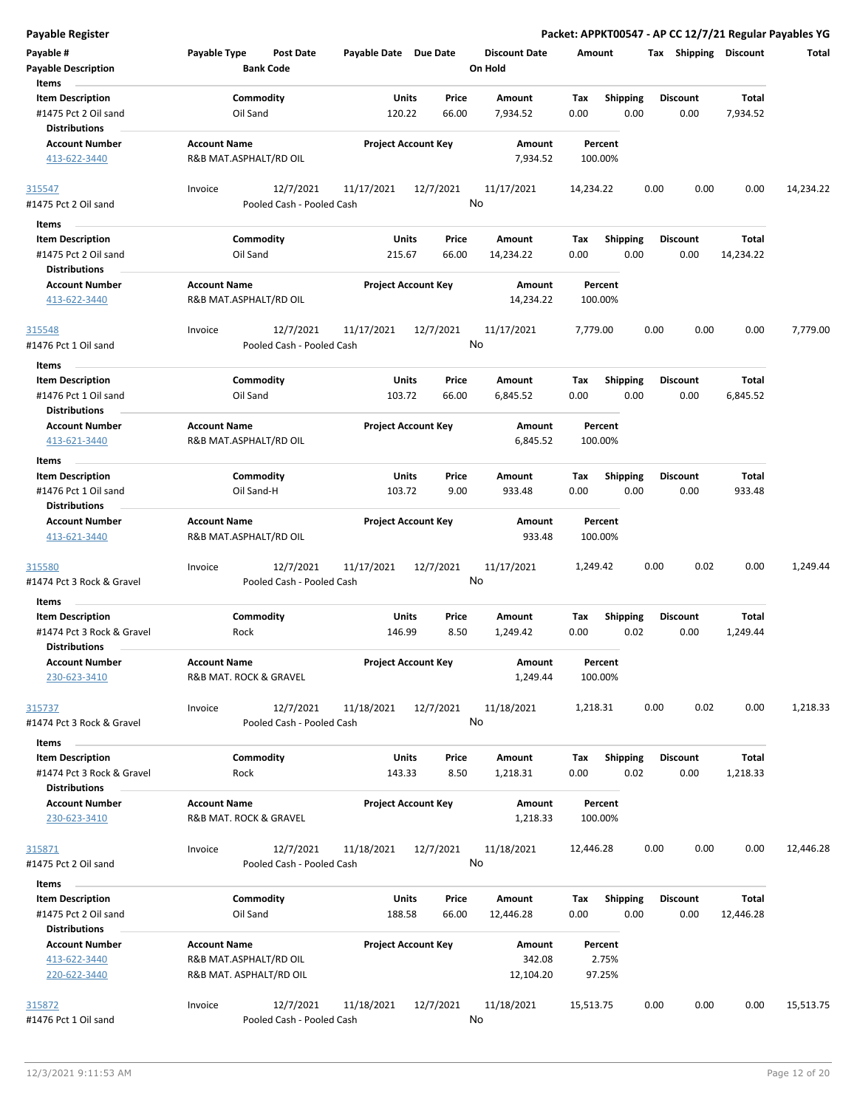| <b>Payable Register</b>                                                      |                                               |                                        |                        |                            |                                 |                    |                         |      |                         |                          | Packet: APPKT00547 - AP CC 12/7/21 Regular Payables YG |
|------------------------------------------------------------------------------|-----------------------------------------------|----------------------------------------|------------------------|----------------------------|---------------------------------|--------------------|-------------------------|------|-------------------------|--------------------------|--------------------------------------------------------|
| Payable #<br><b>Payable Description</b>                                      | Payable Type                                  | <b>Post Date</b><br><b>Bank Code</b>   | Payable Date Due Date  |                            | <b>Discount Date</b><br>On Hold | Amount             |                         |      |                         | Tax Shipping Discount    | Total                                                  |
| Items<br><b>Item Description</b><br>#1475 Pct 2 Oil sand                     | Oil Sand                                      | Commodity                              | Units<br>120.22        | Price<br>66.00             | Amount<br>7,934.52              | Tax<br>0.00        | <b>Shipping</b><br>0.00 |      | <b>Discount</b><br>0.00 | Total<br>7,934.52        |                                                        |
| <b>Distributions</b><br><b>Account Number</b><br>413-622-3440                | <b>Account Name</b><br>R&B MAT.ASPHALT/RD OIL |                                        |                        | <b>Project Account Key</b> | Amount<br>7,934.52              | Percent<br>100.00% |                         |      |                         |                          |                                                        |
| 315547                                                                       | Invoice                                       | 12/7/2021                              | 11/17/2021             | 12/7/2021                  | 11/17/2021                      | 14,234.22          |                         | 0.00 | 0.00                    | 0.00                     | 14,234.22                                              |
| #1475 Pct 2 Oil sand                                                         |                                               | Pooled Cash - Pooled Cash              |                        |                            | No                              |                    |                         |      |                         |                          |                                                        |
| Items                                                                        |                                               |                                        |                        |                            |                                 |                    |                         |      |                         |                          |                                                        |
| <b>Item Description</b><br>#1475 Pct 2 Oil sand<br><b>Distributions</b>      | Oil Sand                                      | Commodity                              | Units<br>215.67        | Price<br>66.00             | Amount<br>14,234.22             | Tax<br>0.00        | <b>Shipping</b><br>0.00 |      | <b>Discount</b><br>0.00 | Total<br>14,234.22       |                                                        |
| <b>Account Number</b>                                                        | <b>Account Name</b>                           |                                        |                        | <b>Project Account Key</b> | Amount                          | Percent            |                         |      |                         |                          |                                                        |
| 413-622-3440                                                                 | R&B MAT.ASPHALT/RD OIL                        |                                        |                        |                            | 14,234.22                       | 100.00%            |                         |      |                         |                          |                                                        |
| 315548                                                                       | Invoice                                       | 12/7/2021                              | 11/17/2021             | 12/7/2021                  | 11/17/2021                      | 7,779.00           |                         | 0.00 | 0.00                    | 0.00                     | 7,779.00                                               |
| #1476 Pct 1 Oil sand                                                         |                                               | Pooled Cash - Pooled Cash              |                        |                            | No                              |                    |                         |      |                         |                          |                                                        |
| Items                                                                        |                                               |                                        |                        |                            |                                 |                    |                         |      |                         |                          |                                                        |
| <b>Item Description</b><br>#1476 Pct 1 Oil sand                              | Oil Sand                                      | Commodity                              | Units<br>103.72        | Price<br>66.00             | Amount<br>6,845.52              | Tax<br>0.00        | <b>Shipping</b><br>0.00 |      | <b>Discount</b><br>0.00 | Total<br>6,845.52        |                                                        |
| <b>Distributions</b><br><b>Account Number</b>                                | <b>Account Name</b>                           |                                        |                        | <b>Project Account Key</b> | <b>Amount</b>                   | Percent            |                         |      |                         |                          |                                                        |
| 413-621-3440                                                                 | R&B MAT.ASPHALT/RD OIL                        |                                        |                        |                            | 6,845.52                        | 100.00%            |                         |      |                         |                          |                                                        |
| Items                                                                        |                                               |                                        |                        |                            |                                 |                    |                         |      |                         |                          |                                                        |
| <b>Item Description</b>                                                      |                                               | Commodity                              | Units                  | Price                      | Amount                          | Tax                | <b>Shipping</b>         |      | <b>Discount</b>         | Total                    |                                                        |
| #1476 Pct 1 Oil sand<br><b>Distributions</b>                                 |                                               | Oil Sand-H                             | 103.72                 | 9.00                       | 933.48                          | 0.00               | 0.00                    |      | 0.00                    | 933.48                   |                                                        |
| <b>Account Number</b><br>413-621-3440                                        | <b>Account Name</b><br>R&B MAT.ASPHALT/RD OIL |                                        |                        | <b>Project Account Key</b> | Amount<br>933.48                | Percent<br>100.00% |                         |      |                         |                          |                                                        |
| 315580                                                                       | Invoice                                       | 12/7/2021                              | 11/17/2021             | 12/7/2021                  | 11/17/2021                      | 1,249.42           |                         | 0.00 | 0.02                    | 0.00                     | 1,249.44                                               |
| #1474 Pct 3 Rock & Gravel                                                    |                                               | Pooled Cash - Pooled Cash              |                        |                            | No                              |                    |                         |      |                         |                          |                                                        |
| Items                                                                        |                                               |                                        |                        |                            |                                 |                    |                         |      |                         |                          |                                                        |
| <b>Item Description</b><br>#1474 Pct 3 Rock & Gravel<br><b>Distributions</b> | Rock                                          | Commodity                              | Units<br>146.99        | Price<br>8.50              | Amount<br>1,249.42              | Tax<br>0.00        | <b>Shipping</b><br>0.02 |      | <b>Discount</b><br>0.00 | <b>Total</b><br>1,249.44 |                                                        |
| <b>Account Number</b><br>230-623-3410                                        | <b>Account Name</b><br>R&B MAT. ROCK & GRAVEL |                                        |                        | <b>Project Account Key</b> | Amount<br>1,249.44              | Percent<br>100.00% |                         |      |                         |                          |                                                        |
| 315737<br>#1474 Pct 3 Rock & Gravel                                          | Invoice                                       | 12/7/2021<br>Pooled Cash - Pooled Cash | 11/18/2021             | 12/7/2021                  | 11/18/2021<br>No                | 1,218.31           |                         | 0.00 | 0.02                    | 0.00                     | 1,218.33                                               |
| Items                                                                        |                                               |                                        |                        |                            |                                 |                    |                         |      |                         |                          |                                                        |
| <b>Item Description</b><br>#1474 Pct 3 Rock & Gravel                         | Rock                                          | Commodity                              | Units<br>143.33        | Price<br>8.50              | Amount<br>1,218.31              | Tax<br>0.00        | Shipping<br>0.02        |      | <b>Discount</b><br>0.00 | Total<br>1,218.33        |                                                        |
| <b>Distributions</b><br><b>Account Number</b><br>230-623-3410                | <b>Account Name</b><br>R&B MAT. ROCK & GRAVEL |                                        |                        | <b>Project Account Key</b> | Amount<br>1,218.33              | Percent<br>100.00% |                         |      |                         |                          |                                                        |
| 315871                                                                       | Invoice                                       | 12/7/2021                              | 11/18/2021             | 12/7/2021                  | 11/18/2021                      | 12,446.28          |                         | 0.00 | 0.00                    | 0.00                     | 12,446.28                                              |
| #1475 Pct 2 Oil sand                                                         |                                               | Pooled Cash - Pooled Cash              |                        |                            | No                              |                    |                         |      |                         |                          |                                                        |
| Items                                                                        |                                               |                                        |                        |                            |                                 |                    |                         |      |                         |                          |                                                        |
| <b>Item Description</b><br>#1475 Pct 2 Oil sand<br><b>Distributions</b>      | Oil Sand                                      | Commodity                              | <b>Units</b><br>188.58 | Price<br>66.00             | Amount<br>12,446.28             | Tax<br>0.00        | <b>Shipping</b><br>0.00 |      | <b>Discount</b><br>0.00 | Total<br>12,446.28       |                                                        |
| <b>Account Number</b><br>413-622-3440                                        | <b>Account Name</b><br>R&B MAT.ASPHALT/RD OIL |                                        |                        | <b>Project Account Key</b> | Amount<br>342.08                | Percent<br>2.75%   |                         |      |                         |                          |                                                        |
| 220-622-3440                                                                 | R&B MAT. ASPHALT/RD OIL                       |                                        |                        |                            | 12,104.20                       | 97.25%             |                         |      |                         |                          |                                                        |
| 315872<br>#1476 Pct 1 Oil sand                                               | Invoice                                       | 12/7/2021<br>Pooled Cash - Pooled Cash | 11/18/2021             | 12/7/2021                  | 11/18/2021<br>No                | 15,513.75          |                         | 0.00 | 0.00                    | 0.00                     | 15,513.75                                              |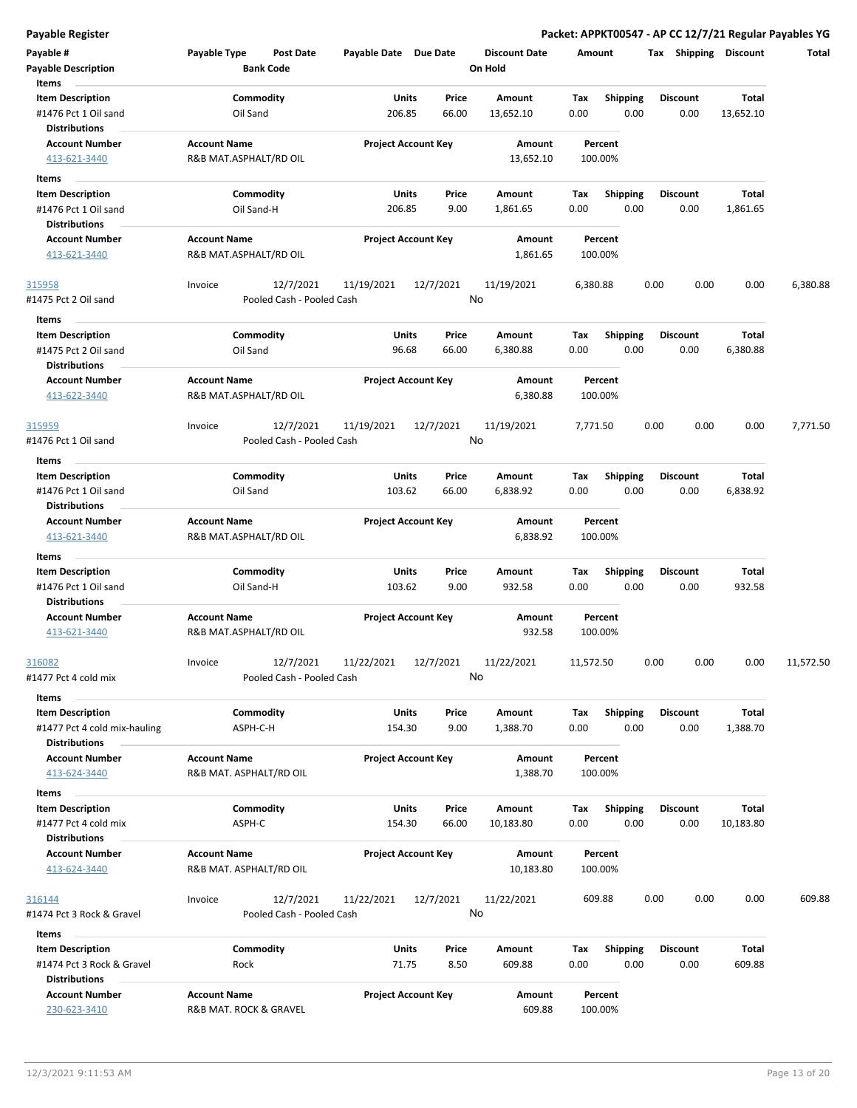**Payable Register Packet: APPKT00547 - AP CC 12/7/21 Regular Payables YG**

| Payable #<br>Payable Description<br>Items                                    | Payable Type                                   | Post Date<br><b>Bank Code</b>          | Payable Date Due Date |                            | <b>Discount Date</b><br>On Hold | Amount      |                         | Tax Shipping            | Discount                 | Total     |
|------------------------------------------------------------------------------|------------------------------------------------|----------------------------------------|-----------------------|----------------------------|---------------------------------|-------------|-------------------------|-------------------------|--------------------------|-----------|
| <b>Item Description</b>                                                      |                                                | Commodity                              | Units                 | Price                      | Amount                          | Tax         | <b>Shipping</b>         | <b>Discount</b>         | Total                    |           |
| #1476 Pct 1 Oil sand<br>Distributions                                        | Oil Sand                                       |                                        | 206.85                | 66.00                      | 13,652.10                       | 0.00        | 0.00                    | 0.00                    | 13,652.10                |           |
| <b>Account Number</b><br>413-621-3440                                        | <b>Account Name</b><br>R&B MAT.ASPHALT/RD OIL  |                                        |                       | <b>Project Account Key</b> | Amount<br>13,652.10             | 100.00%     | Percent                 |                         |                          |           |
| Items                                                                        |                                                |                                        |                       |                            |                                 |             |                         |                         |                          |           |
| <b>Item Description</b><br>#1476 Pct 1 Oil sand                              |                                                | Commodity<br>Oil Sand-H                | Units<br>206.85       | Price<br>9.00              | Amount<br>1,861.65              | Тах<br>0.00 | <b>Shipping</b><br>0.00 | <b>Discount</b><br>0.00 | <b>Total</b><br>1,861.65 |           |
| Distributions                                                                |                                                |                                        |                       |                            |                                 |             |                         |                         |                          |           |
| <b>Account Number</b><br>413-621-3440                                        | <b>Account Name</b><br>R&B MAT.ASPHALT/RD OIL  |                                        |                       | <b>Project Account Key</b> | Amount<br>1,861.65              | 100.00%     | Percent                 |                         |                          |           |
| <u>315958</u><br>#1475 Pct 2 Oil sand                                        | Invoice                                        | 12/7/2021<br>Pooled Cash - Pooled Cash | 11/19/2021            | 12/7/2021                  | 11/19/2021<br>No                | 6,380.88    |                         | 0.00<br>0.00            | 0.00                     | 6,380.88  |
| Items                                                                        |                                                |                                        |                       |                            |                                 |             |                         |                         |                          |           |
| <b>Item Description</b><br>#1475 Pct 2 Oil sand<br><b>Distributions</b>      | Oil Sand                                       | Commodity                              | Units<br>96.68        | Price<br>66.00             | Amount<br>6,380.88              | Tax<br>0.00 | Shipping<br>0.00        | <b>Discount</b><br>0.00 | Total<br>6,380.88        |           |
| <b>Account Number</b>                                                        | <b>Account Name</b>                            |                                        |                       | <b>Project Account Key</b> | Amount                          |             | Percent                 |                         |                          |           |
| 413-622-3440                                                                 | R&B MAT.ASPHALT/RD OIL                         |                                        |                       |                            | 6,380.88                        | 100.00%     |                         |                         |                          |           |
| 315959<br>#1476 Pct 1 Oil sand                                               | Invoice                                        | 12/7/2021<br>Pooled Cash - Pooled Cash | 11/19/2021            | 12/7/2021                  | 11/19/2021<br>No                | 7,771.50    |                         | 0.00<br>0.00            | 0.00                     | 7,771.50  |
| Items                                                                        |                                                |                                        |                       |                            |                                 |             |                         |                         |                          |           |
| <b>Item Description</b><br>#1476 Pct 1 Oil sand<br><b>Distributions</b>      | Oil Sand                                       | Commodity                              | Units<br>103.62       | Price<br>66.00             | Amount<br>6,838.92              | Tax<br>0.00 | <b>Shipping</b><br>0.00 | <b>Discount</b><br>0.00 | Total<br>6,838.92        |           |
| <b>Account Number</b><br>413-621-3440                                        | <b>Account Name</b><br>R&B MAT.ASPHALT/RD OIL  |                                        |                       | <b>Project Account Key</b> | Amount<br>6,838.92              | 100.00%     | Percent                 |                         |                          |           |
| Items                                                                        |                                                |                                        |                       |                            |                                 |             |                         |                         |                          |           |
| <b>Item Description</b>                                                      |                                                | Commodity                              | Units                 | Price                      | Amount                          | Tax         | <b>Shipping</b>         | <b>Discount</b>         | Total                    |           |
| #1476 Pct 1 Oil sand<br><b>Distributions</b>                                 |                                                | Oil Sand-H                             | 103.62                | 9.00                       | 932.58                          | 0.00        | 0.00                    | 0.00                    | 932.58                   |           |
| <b>Account Number</b><br>413-621-3440                                        | <b>Account Name</b><br>R&B MAT.ASPHALT/RD OIL  |                                        |                       | <b>Project Account Key</b> | Amount<br>932.58                | 100.00%     | Percent                 |                         |                          |           |
| 316082<br>#1477 Pct 4 cold mix                                               | Invoice                                        | 12/7/2021<br>Pooled Cash - Pooled Cash | 11/22/2021            | 12/7/2021                  | 11/22/2021<br>No                | 11,572.50   |                         | 0.00<br>0.00            | 0.00                     | 11,572.50 |
| Items<br><b>Item Description</b>                                             |                                                | Commodity                              | Units                 | Price                      | Amount                          | Tax         | <b>Shipping</b>         | <b>Discount</b>         | Total                    |           |
| #1477 Pct 4 cold mix-hauling<br><b>Distributions</b>                         |                                                | ASPH-C-H                               | 154.30                | 9.00                       | 1,388.70                        | 0.00        | 0.00                    | 0.00                    | 1,388.70                 |           |
| <b>Account Number</b><br>413-624-3440                                        | <b>Account Name</b><br>R&B MAT. ASPHALT/RD OIL |                                        |                       | <b>Project Account Key</b> | Amount<br>1,388.70              | 100.00%     | Percent                 |                         |                          |           |
| Items                                                                        |                                                |                                        |                       |                            |                                 |             |                         |                         |                          |           |
| <b>Item Description</b><br>#1477 Pct 4 cold mix<br><b>Distributions</b>      | ASPH-C                                         | Commodity                              | Units<br>154.30       | Price<br>66.00             | Amount<br>10,183.80             | Tax<br>0.00 | <b>Shipping</b><br>0.00 | <b>Discount</b><br>0.00 | Total<br>10,183.80       |           |
| <b>Account Number</b><br>413-624-3440                                        | <b>Account Name</b><br>R&B MAT. ASPHALT/RD OIL |                                        |                       | <b>Project Account Key</b> | Amount<br>10,183.80             | 100.00%     | Percent                 |                         |                          |           |
| <u>316144</u><br>#1474 Pct 3 Rock & Gravel                                   | Invoice                                        | 12/7/2021<br>Pooled Cash - Pooled Cash | 11/22/2021            | 12/7/2021                  | 11/22/2021<br>No                | 609.88      |                         | 0.00<br>0.00            | 0.00                     | 609.88    |
| Items                                                                        |                                                |                                        |                       |                            |                                 |             |                         |                         |                          |           |
| <b>Item Description</b><br>#1474 Pct 3 Rock & Gravel<br><b>Distributions</b> | Rock                                           | Commodity                              | <b>Units</b><br>71.75 | Price<br>8.50              | Amount<br>609.88                | Tax<br>0.00 | <b>Shipping</b><br>0.00 | <b>Discount</b><br>0.00 | Total<br>609.88          |           |
| <b>Account Number</b><br>230-623-3410                                        | <b>Account Name</b><br>R&B MAT. ROCK & GRAVEL  |                                        |                       | <b>Project Account Key</b> | Amount<br>609.88                | 100.00%     | Percent                 |                         |                          |           |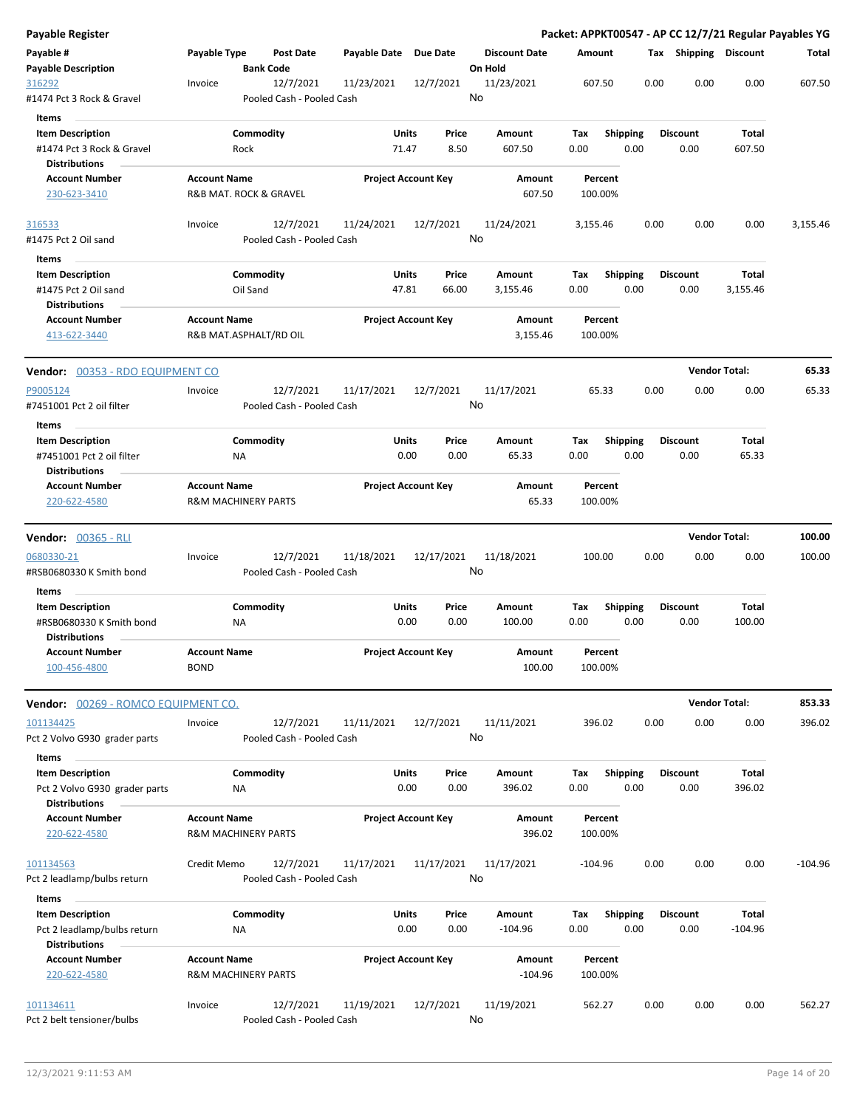| <b>Payable Register</b>                 |                                |                                        |                       |                            |                      |          |                         |      |                       | Packet: APPKT00547 - AP CC 12/7/21 Regular Payables YG |           |
|-----------------------------------------|--------------------------------|----------------------------------------|-----------------------|----------------------------|----------------------|----------|-------------------------|------|-----------------------|--------------------------------------------------------|-----------|
| Payable #                               | Payable Type                   | <b>Post Date</b>                       | Payable Date Due Date |                            | <b>Discount Date</b> | Amount   |                         |      | Tax Shipping Discount |                                                        | Total     |
| <b>Payable Description</b>              | <b>Bank Code</b>               |                                        |                       |                            | On Hold              |          |                         |      |                       |                                                        |           |
| 316292                                  | Invoice                        | 12/7/2021                              | 11/23/2021            | 12/7/2021                  | 11/23/2021           |          | 607.50                  | 0.00 | 0.00                  | 0.00                                                   | 607.50    |
| #1474 Pct 3 Rock & Gravel               |                                | Pooled Cash - Pooled Cash              |                       |                            | No                   |          |                         |      |                       |                                                        |           |
| Items                                   |                                |                                        |                       |                            |                      |          |                         |      |                       |                                                        |           |
| <b>Item Description</b>                 | Commodity                      |                                        | Units                 | Price                      | Amount               | Tax      | <b>Shipping</b>         |      | <b>Discount</b>       | Total                                                  |           |
| #1474 Pct 3 Rock & Gravel               | Rock                           |                                        | 71.47                 | 8.50                       | 607.50               | 0.00     | 0.00                    |      | 0.00                  | 607.50                                                 |           |
| <b>Distributions</b>                    |                                |                                        |                       |                            |                      |          |                         |      |                       |                                                        |           |
| <b>Account Number</b>                   | <b>Account Name</b>            |                                        |                       | <b>Project Account Key</b> | Amount               |          | Percent                 |      |                       |                                                        |           |
| 230-623-3410                            | R&B MAT. ROCK & GRAVEL         |                                        |                       |                            | 607.50               |          | 100.00%                 |      |                       |                                                        |           |
| 316533                                  | Invoice                        | 12/7/2021                              | 11/24/2021            | 12/7/2021                  | 11/24/2021           | 3,155.46 |                         | 0.00 | 0.00                  | 0.00                                                   | 3,155.46  |
| #1475 Pct 2 Oil sand                    |                                | Pooled Cash - Pooled Cash              |                       |                            | No                   |          |                         |      |                       |                                                        |           |
|                                         |                                |                                        |                       |                            |                      |          |                         |      |                       |                                                        |           |
| Items<br><b>Item Description</b>        | Commodity                      |                                        | Units                 | Price                      | Amount               | Tax      | <b>Shipping</b>         |      | <b>Discount</b>       | <b>Total</b>                                           |           |
| #1475 Pct 2 Oil sand                    | Oil Sand                       |                                        | 47.81                 | 66.00                      | 3,155.46             | 0.00     | 0.00                    |      | 0.00                  | 3,155.46                                               |           |
| <b>Distributions</b>                    |                                |                                        |                       |                            |                      |          |                         |      |                       |                                                        |           |
| <b>Account Number</b>                   | <b>Account Name</b>            |                                        |                       | <b>Project Account Key</b> | Amount               |          | Percent                 |      |                       |                                                        |           |
| 413-622-3440                            | R&B MAT.ASPHALT/RD OIL         |                                        |                       |                            | 3,155.46             |          | 100.00%                 |      |                       |                                                        |           |
|                                         |                                |                                        |                       |                            |                      |          |                         |      |                       |                                                        |           |
| Vendor: 00353 - RDO EQUIPMENT CO        |                                |                                        |                       |                            |                      |          |                         |      |                       | <b>Vendor Total:</b>                                   | 65.33     |
| P9005124                                | Invoice                        | 12/7/2021                              | 11/17/2021            | 12/7/2021                  | 11/17/2021           |          | 65.33                   | 0.00 | 0.00                  | 0.00                                                   | 65.33     |
| #7451001 Pct 2 oil filter               |                                | Pooled Cash - Pooled Cash              |                       |                            | No                   |          |                         |      |                       |                                                        |           |
| Items                                   |                                |                                        |                       |                            |                      |          |                         |      |                       |                                                        |           |
| <b>Item Description</b>                 | Commodity                      |                                        | Units                 | Price                      | Amount               | Tax      | <b>Shipping</b>         |      | <b>Discount</b>       | Total                                                  |           |
| #7451001 Pct 2 oil filter               | ΝA                             |                                        | 0.00                  | 0.00                       | 65.33                | 0.00     | 0.00                    |      | 0.00                  | 65.33                                                  |           |
| <b>Distributions</b>                    |                                |                                        |                       |                            |                      |          |                         |      |                       |                                                        |           |
| <b>Account Number</b>                   | <b>Account Name</b>            |                                        |                       | <b>Project Account Key</b> | Amount               |          | Percent                 |      |                       |                                                        |           |
| 220-622-4580                            | <b>R&amp;M MACHINERY PARTS</b> |                                        |                       |                            | 65.33                |          | 100.00%                 |      |                       |                                                        |           |
|                                         |                                |                                        |                       |                            |                      |          |                         |      |                       |                                                        |           |
| <b>Vendor: 00365 - RLI</b>              |                                |                                        |                       |                            |                      |          |                         |      |                       | <b>Vendor Total:</b>                                   | 100.00    |
| 0680330-21                              | Invoice                        | 12/7/2021                              | 11/18/2021            | 12/17/2021                 | 11/18/2021           |          | 100.00                  | 0.00 | 0.00                  | 0.00                                                   | 100.00    |
| #RSB0680330 K Smith bond                |                                | Pooled Cash - Pooled Cash              |                       |                            | No                   |          |                         |      |                       |                                                        |           |
| Items                                   |                                |                                        |                       |                            |                      |          |                         |      |                       |                                                        |           |
| <b>Item Description</b>                 | Commodity                      |                                        | Units                 | Price                      | Amount               | Tax      | <b>Shipping</b>         |      | <b>Discount</b>       | <b>Total</b>                                           |           |
| #RSB0680330 K Smith bond                | ΝA                             |                                        | 0.00                  | 0.00                       | 100.00               | 0.00     | 0.00                    |      | 0.00                  | 100.00                                                 |           |
| <b>Distributions</b>                    |                                |                                        |                       |                            |                      |          |                         |      |                       |                                                        |           |
| <b>Account Number</b>                   | <b>Account Name</b>            |                                        |                       | <b>Project Account Key</b> | Amount               |          | Percent                 |      |                       |                                                        |           |
| 100-456-4800                            | <b>BOND</b>                    |                                        |                       |                            | 100.00               |          | 100.00%                 |      |                       |                                                        |           |
|                                         |                                |                                        |                       |                            |                      |          |                         |      |                       | <b>Vendor Total:</b>                                   | 853.33    |
| Vendor: 00269 - ROMCO EQUIPMENT CO.     |                                |                                        |                       |                            |                      |          |                         |      |                       |                                                        |           |
| 101134425                               |                                |                                        |                       |                            |                      |          |                         |      |                       |                                                        |           |
|                                         | Invoice                        | 12/7/2021                              | 11/11/2021            | 12/7/2021                  | 11/11/2021           |          | 396.02                  | 0.00 | 0.00                  | 0.00                                                   | 396.02    |
| Pct 2 Volvo G930 grader parts           |                                | Pooled Cash - Pooled Cash              |                       |                            | No                   |          |                         |      |                       |                                                        |           |
| Items                                   |                                |                                        |                       |                            |                      |          |                         |      |                       |                                                        |           |
| <b>Item Description</b>                 | Commodity                      |                                        | Units                 | Price                      | Amount               | Тах      | <b>Shipping</b>         |      | <b>Discount</b>       | Total                                                  |           |
| Pct 2 Volvo G930 grader parts           | NA                             |                                        | 0.00                  | 0.00                       | 396.02               | 0.00     | 0.00                    |      | 0.00                  | 396.02                                                 |           |
| <b>Distributions</b>                    |                                |                                        |                       |                            |                      |          |                         |      |                       |                                                        |           |
| <b>Account Number</b>                   | <b>Account Name</b>            |                                        |                       | <b>Project Account Key</b> | Amount               |          | Percent                 |      |                       |                                                        |           |
| 220-622-4580                            | <b>R&amp;M MACHINERY PARTS</b> |                                        |                       |                            | 396.02               |          | 100.00%                 |      |                       |                                                        |           |
| 101134563                               | Credit Memo                    | 12/7/2021                              | 11/17/2021            | 11/17/2021                 | 11/17/2021           |          | -104.96                 | 0.00 | 0.00                  | 0.00                                                   | $-104.96$ |
| Pct 2 leadlamp/bulbs return             |                                | Pooled Cash - Pooled Cash              |                       |                            | No                   |          |                         |      |                       |                                                        |           |
|                                         |                                |                                        |                       |                            |                      |          |                         |      |                       |                                                        |           |
| Items<br><b>Item Description</b>        | Commodity                      |                                        | Units                 | Price                      | Amount               | Tax      |                         |      | <b>Discount</b>       | Total                                                  |           |
| Pct 2 leadlamp/bulbs return             | ΝA                             |                                        | 0.00                  | 0.00                       | $-104.96$            | 0.00     | <b>Shipping</b><br>0.00 |      | 0.00                  | $-104.96$                                              |           |
| <b>Distributions</b>                    |                                |                                        |                       |                            |                      |          |                         |      |                       |                                                        |           |
| <b>Account Number</b>                   | <b>Account Name</b>            |                                        |                       | <b>Project Account Key</b> | Amount               |          | Percent                 |      |                       |                                                        |           |
| 220-622-4580                            | <b>R&amp;M MACHINERY PARTS</b> |                                        |                       |                            | $-104.96$            |          | 100.00%                 |      |                       |                                                        |           |
|                                         |                                |                                        |                       |                            |                      |          |                         |      |                       |                                                        |           |
| 101134611<br>Pct 2 belt tensioner/bulbs | Invoice                        | 12/7/2021<br>Pooled Cash - Pooled Cash | 11/19/2021            | 12/7/2021                  | 11/19/2021<br>No     |          | 562.27                  | 0.00 | 0.00                  | 0.00                                                   | 562.27    |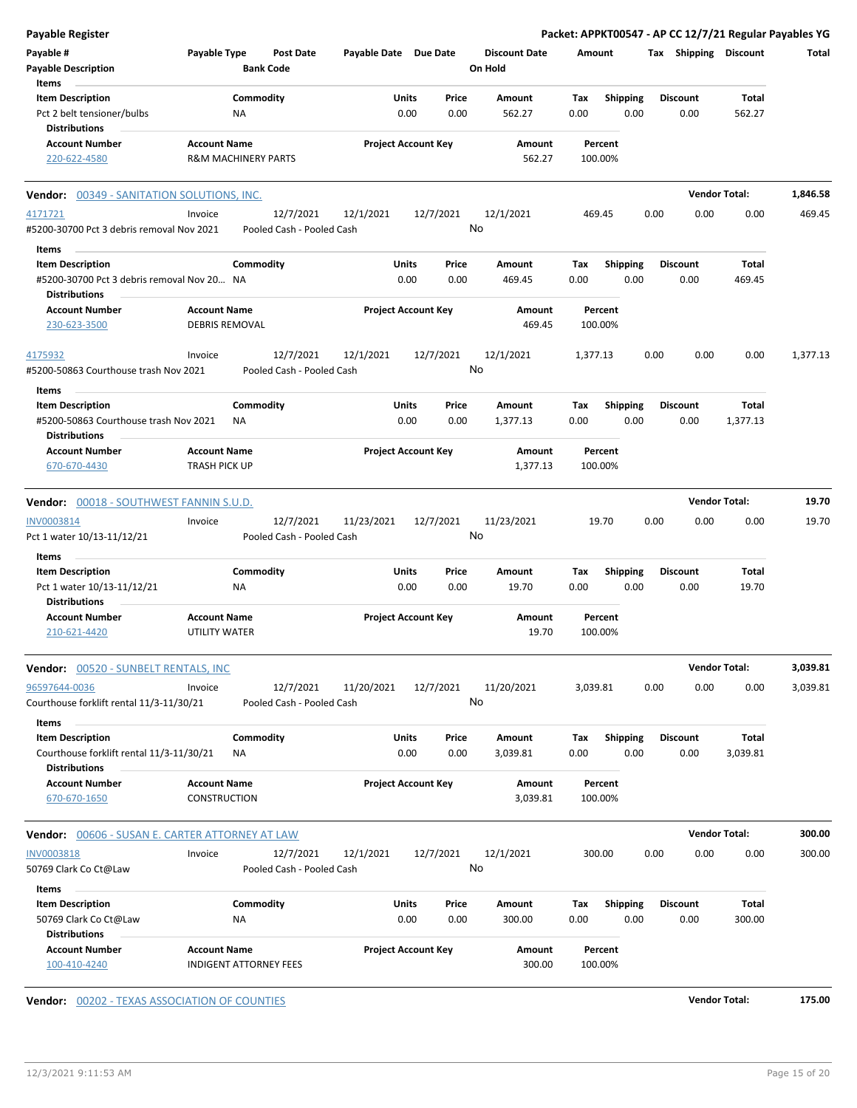| <b>Payable Register</b>                                |                       |                                |                           |                       |                            |      |                      |          |                 |      |                       |                      | Packet: APPKT00547 - AP CC 12/7/21 Regular Payables YG |
|--------------------------------------------------------|-----------------------|--------------------------------|---------------------------|-----------------------|----------------------------|------|----------------------|----------|-----------------|------|-----------------------|----------------------|--------------------------------------------------------|
| Payable #                                              | Payable Type          |                                | <b>Post Date</b>          | Payable Date Due Date |                            |      | <b>Discount Date</b> | Amount   |                 |      | Tax Shipping Discount |                      | Total                                                  |
| <b>Payable Description</b>                             |                       | <b>Bank Code</b>               |                           |                       |                            |      | On Hold              |          |                 |      |                       |                      |                                                        |
| Items                                                  |                       |                                |                           |                       |                            |      |                      |          |                 |      |                       |                      |                                                        |
| <b>Item Description</b>                                |                       | Commodity                      |                           |                       | Units<br>Price             |      | Amount               | Tax      | <b>Shipping</b> |      | <b>Discount</b>       | Total                |                                                        |
| Pct 2 belt tensioner/bulbs                             |                       | <b>NA</b>                      |                           |                       | 0.00                       | 0.00 | 562.27               | 0.00     | 0.00            |      | 0.00                  | 562.27               |                                                        |
| <b>Distributions</b>                                   |                       |                                |                           |                       |                            |      |                      |          |                 |      |                       |                      |                                                        |
| <b>Account Number</b>                                  | <b>Account Name</b>   |                                |                           |                       | <b>Project Account Key</b> |      | Amount               |          | Percent         |      |                       |                      |                                                        |
| 220-622-4580                                           |                       | <b>R&amp;M MACHINERY PARTS</b> |                           |                       |                            |      | 562.27               | 100.00%  |                 |      |                       |                      |                                                        |
| Vendor: 00349 - SANITATION SOLUTIONS, INC.             |                       |                                |                           |                       |                            |      |                      |          |                 |      |                       | <b>Vendor Total:</b> | 1,846.58                                               |
| 4171721                                                | Invoice               |                                | 12/7/2021                 | 12/1/2021             | 12/7/2021                  |      | 12/1/2021            | 469.45   |                 | 0.00 | 0.00                  | 0.00                 | 469.45                                                 |
| #5200-30700 Pct 3 debris removal Nov 2021              |                       |                                | Pooled Cash - Pooled Cash |                       |                            | No   |                      |          |                 |      |                       |                      |                                                        |
|                                                        |                       |                                |                           |                       |                            |      |                      |          |                 |      |                       |                      |                                                        |
| Items                                                  |                       |                                |                           |                       |                            |      |                      |          |                 |      |                       |                      |                                                        |
| <b>Item Description</b>                                |                       | Commodity                      |                           |                       | Units<br>Price             |      | Amount               | Tax      | <b>Shipping</b> |      | <b>Discount</b>       | Total                |                                                        |
| #5200-30700 Pct 3 debris removal Nov 20 NA             |                       |                                |                           |                       | 0.00                       | 0.00 | 469.45               | 0.00     | 0.00            |      | 0.00                  | 469.45               |                                                        |
| <b>Distributions</b>                                   |                       |                                |                           |                       |                            |      |                      |          |                 |      |                       |                      |                                                        |
| <b>Account Number</b>                                  | <b>Account Name</b>   |                                |                           |                       | <b>Project Account Key</b> |      | Amount               |          | Percent         |      |                       |                      |                                                        |
| 230-623-3500                                           | <b>DEBRIS REMOVAL</b> |                                |                           |                       |                            |      | 469.45               | 100.00%  |                 |      |                       |                      |                                                        |
|                                                        |                       |                                |                           |                       |                            |      |                      |          |                 |      |                       |                      |                                                        |
| 4175932                                                | Invoice               |                                | 12/7/2021                 | 12/1/2021             | 12/7/2021                  |      | 12/1/2021            | 1,377.13 |                 | 0.00 | 0.00                  | 0.00                 | 1,377.13                                               |
| #5200-50863 Courthouse trash Nov 2021                  |                       |                                | Pooled Cash - Pooled Cash |                       |                            | No   |                      |          |                 |      |                       |                      |                                                        |
| Items                                                  |                       |                                |                           |                       |                            |      |                      |          |                 |      |                       |                      |                                                        |
| <b>Item Description</b>                                |                       | Commodity                      |                           |                       | Units<br>Price             |      | Amount               | Tax      | Shipping        |      | <b>Discount</b>       | Total                |                                                        |
| #5200-50863 Courthouse trash Nov 2021                  |                       | ΝA                             |                           |                       | 0.00                       | 0.00 | 1,377.13             | 0.00     | 0.00            |      | 0.00                  | 1,377.13             |                                                        |
| <b>Distributions</b>                                   |                       |                                |                           |                       |                            |      |                      |          |                 |      |                       |                      |                                                        |
| <b>Account Number</b>                                  | <b>Account Name</b>   |                                |                           |                       | <b>Project Account Key</b> |      | Amount               |          | Percent         |      |                       |                      |                                                        |
| 670-670-4430                                           | <b>TRASH PICK UP</b>  |                                |                           |                       |                            |      | 1,377.13             | 100.00%  |                 |      |                       |                      |                                                        |
|                                                        |                       |                                |                           |                       |                            |      |                      |          |                 |      |                       |                      |                                                        |
| Vendor: 00018 - SOUTHWEST FANNIN S.U.D.                |                       |                                |                           |                       |                            |      |                      |          |                 |      | <b>Vendor Total:</b>  |                      | 19.70                                                  |
| INV0003814                                             | Invoice               |                                | 12/7/2021                 | 11/23/2021            | 12/7/2021                  |      | 11/23/2021           |          | 19.70           | 0.00 | 0.00                  | 0.00                 | 19.70                                                  |
| Pct 1 water 10/13-11/12/21                             |                       |                                | Pooled Cash - Pooled Cash |                       |                            | No   |                      |          |                 |      |                       |                      |                                                        |
| Items                                                  |                       |                                |                           |                       |                            |      |                      |          |                 |      |                       |                      |                                                        |
| <b>Item Description</b>                                |                       | Commodity                      |                           |                       | Units<br>Price             |      | Amount               | Tax      | <b>Shipping</b> |      | <b>Discount</b>       | Total                |                                                        |
| Pct 1 water 10/13-11/12/21                             |                       | ΝA                             |                           |                       | 0.00                       | 0.00 | 19.70                | 0.00     | 0.00            |      | 0.00                  | 19.70                |                                                        |
| <b>Distributions</b>                                   |                       |                                |                           |                       |                            |      |                      |          |                 |      |                       |                      |                                                        |
| <b>Account Number</b>                                  | <b>Account Name</b>   |                                |                           |                       | <b>Project Account Key</b> |      | Amount               |          | Percent         |      |                       |                      |                                                        |
| 210-621-4420                                           | UTILITY WATER         |                                |                           |                       |                            |      | 19.70                | 100.00%  |                 |      |                       |                      |                                                        |
|                                                        |                       |                                |                           |                       |                            |      |                      |          |                 |      |                       |                      |                                                        |
| <b>Vendor: 00520 - SUNBELT RENTALS, INC</b>            |                       |                                |                           |                       |                            |      |                      |          |                 |      |                       | <b>Vendor Total:</b> | 3,039.81                                               |
| 96597644-0036                                          | Invoice               |                                | 12/7/2021                 | 11/20/2021            | 12/7/2021                  |      | 11/20/2021           | 3,039.81 |                 | 0.00 | 0.00                  | 0.00                 | 3,039.81                                               |
| Courthouse forklift rental 11/3-11/30/21               |                       |                                | Pooled Cash - Pooled Cash |                       |                            | No   |                      |          |                 |      |                       |                      |                                                        |
|                                                        |                       |                                |                           |                       |                            |      |                      |          |                 |      |                       |                      |                                                        |
| Items                                                  |                       |                                |                           |                       |                            |      |                      |          |                 |      |                       |                      |                                                        |
| <b>Item Description</b>                                |                       | Commodity                      |                           |                       | Units<br>Price             |      | Amount               | Tax      | <b>Shipping</b> |      | <b>Discount</b>       | Total                |                                                        |
| Courthouse forklift rental 11/3-11/30/21               |                       | ΝA                             |                           |                       | 0.00                       | 0.00 | 3,039.81             | 0.00     | 0.00            |      | 0.00                  | 3,039.81             |                                                        |
| <b>Distributions</b>                                   |                       |                                |                           |                       |                            |      |                      |          |                 |      |                       |                      |                                                        |
| <b>Account Number</b>                                  | <b>Account Name</b>   |                                |                           |                       | <b>Project Account Key</b> |      | Amount               |          | Percent         |      |                       |                      |                                                        |
|                                                        |                       |                                |                           |                       |                            |      | 3,039.81             | 100.00%  |                 |      |                       |                      |                                                        |
| 670-670-1650                                           | CONSTRUCTION          |                                |                           |                       |                            |      |                      |          |                 |      |                       |                      |                                                        |
|                                                        |                       |                                |                           |                       |                            |      |                      |          |                 |      |                       |                      |                                                        |
| <b>Vendor:</b> 00606 - SUSAN E. CARTER ATTORNEY AT LAW |                       |                                |                           |                       |                            |      |                      |          |                 |      |                       | <b>Vendor Total:</b> | 300.00                                                 |
| <b>INV0003818</b>                                      | Invoice               |                                | 12/7/2021                 | 12/1/2021             | 12/7/2021                  |      | 12/1/2021            | 300.00   |                 | 0.00 | 0.00                  | 0.00                 | 300.00                                                 |
| 50769 Clark Co Ct@Law                                  |                       |                                | Pooled Cash - Pooled Cash |                       |                            | No   |                      |          |                 |      |                       |                      |                                                        |
| Items                                                  |                       |                                |                           |                       |                            |      |                      |          |                 |      |                       |                      |                                                        |
| <b>Item Description</b>                                |                       | Commodity                      |                           |                       | Units<br>Price             |      | Amount               | Tax      | <b>Shipping</b> |      | <b>Discount</b>       | Total                |                                                        |
| 50769 Clark Co Ct@Law                                  |                       | NA                             |                           |                       | 0.00                       | 0.00 | 300.00               | 0.00     | 0.00            |      | 0.00                  | 300.00               |                                                        |
| <b>Distributions</b>                                   |                       |                                |                           |                       |                            |      |                      |          |                 |      |                       |                      |                                                        |
| <b>Account Number</b>                                  | <b>Account Name</b>   |                                |                           |                       | <b>Project Account Key</b> |      | Amount               |          | Percent         |      |                       |                      |                                                        |

**Vendor:** 00202 - TEXAS ASSOCIATION OF COUNTIES **Vendor Total: 175.00**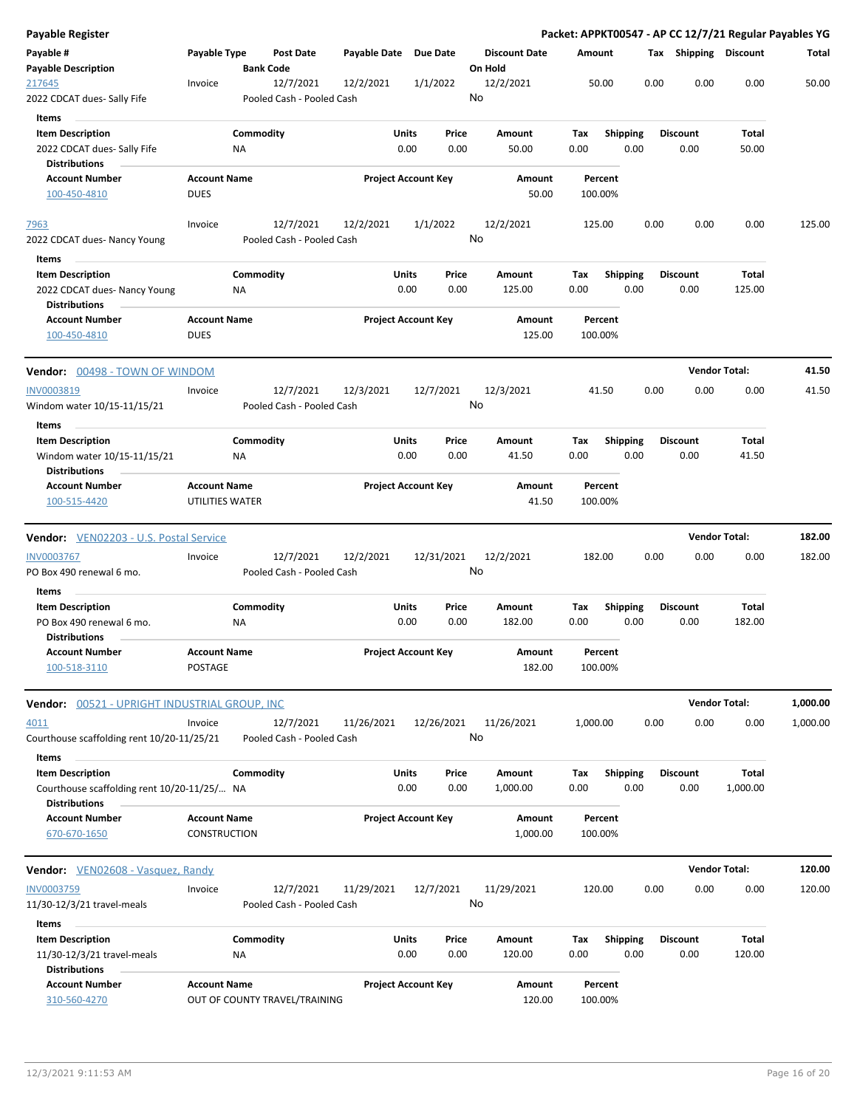| Payable Register                                                                                        |                                            |                  |                                        |                       |                            |               |                                 |             |                         |      |                         | Packet: APPKT00547 - AP CC 12/7/21 Regular Payables YG |          |
|---------------------------------------------------------------------------------------------------------|--------------------------------------------|------------------|----------------------------------------|-----------------------|----------------------------|---------------|---------------------------------|-------------|-------------------------|------|-------------------------|--------------------------------------------------------|----------|
| Payable #<br><b>Payable Description</b>                                                                 | Payable Type                               | <b>Bank Code</b> | Post Date                              | Payable Date Due Date |                            |               | <b>Discount Date</b><br>On Hold | Amount      |                         |      | Tax Shipping Discount   |                                                        | Total    |
| 217645<br>2022 CDCAT dues- Sally Fife                                                                   | Invoice                                    |                  | 12/7/2021<br>Pooled Cash - Pooled Cash | 12/2/2021             | 1/1/2022                   |               | 12/2/2021<br>No                 |             | 50.00                   | 0.00 | 0.00                    | 0.00                                                   | 50.00    |
| Items<br><b>Item Description</b><br>2022 CDCAT dues- Sally Fife<br><b>Distributions</b>                 |                                            | Commodity<br>ΝA  |                                        |                       | Units<br>0.00              | Price<br>0.00 | Amount<br>50.00                 | Tax<br>0.00 | <b>Shipping</b><br>0.00 |      | <b>Discount</b><br>0.00 | Total<br>50.00                                         |          |
| <b>Account Number</b><br>100-450-4810                                                                   | <b>Account Name</b><br><b>DUES</b>         |                  |                                        |                       | <b>Project Account Key</b> |               | Amount<br>50.00                 | 100.00%     | Percent                 |      |                         |                                                        |          |
| 7963<br>2022 CDCAT dues- Nancy Young                                                                    | Invoice                                    |                  | 12/7/2021<br>Pooled Cash - Pooled Cash | 12/2/2021             | 1/1/2022                   |               | 12/2/2021<br>No                 | 125.00      |                         | 0.00 | 0.00                    | 0.00                                                   | 125.00   |
| Items<br><b>Item Description</b><br>2022 CDCAT dues- Nancy Young<br><b>Distributions</b>                |                                            | Commodity<br>NA  |                                        |                       | Units<br>0.00              | Price<br>0.00 | Amount<br>125.00                | Tax<br>0.00 | <b>Shipping</b><br>0.00 |      | <b>Discount</b><br>0.00 | Total<br>125.00                                        |          |
| <b>Account Number</b><br>100-450-4810                                                                   | <b>Account Name</b><br><b>DUES</b>         |                  |                                        |                       | <b>Project Account Key</b> |               | Amount<br>125.00                | 100.00%     | Percent                 |      |                         |                                                        |          |
| Vendor: 00498 - TOWN OF WINDOM                                                                          |                                            |                  |                                        |                       |                            |               |                                 |             |                         |      |                         | <b>Vendor Total:</b>                                   | 41.50    |
| INV0003819<br>Windom water 10/15-11/15/21                                                               | Invoice                                    |                  | 12/7/2021<br>Pooled Cash - Pooled Cash | 12/3/2021             | 12/7/2021                  |               | 12/3/2021<br>No                 |             | 41.50                   | 0.00 | 0.00                    | 0.00                                                   | 41.50    |
| Items<br><b>Item Description</b><br>Windom water 10/15-11/15/21<br><b>Distributions</b>                 |                                            | Commodity<br>ΝA  |                                        |                       | Units<br>0.00              | Price<br>0.00 | Amount<br>41.50                 | Tax<br>0.00 | <b>Shipping</b><br>0.00 |      | <b>Discount</b><br>0.00 | Total<br>41.50                                         |          |
| <b>Account Number</b><br>100-515-4420                                                                   | <b>Account Name</b><br>UTILITIES WATER     |                  |                                        |                       | <b>Project Account Key</b> |               | Amount<br>41.50                 | 100.00%     | Percent                 |      |                         |                                                        |          |
| <b>Vendor:</b> VEN02203 - U.S. Postal Service                                                           |                                            |                  |                                        |                       |                            |               |                                 |             |                         |      |                         | <b>Vendor Total:</b>                                   | 182.00   |
| <b>INV0003767</b><br>PO Box 490 renewal 6 mo.                                                           | Invoice                                    |                  | 12/7/2021<br>Pooled Cash - Pooled Cash | 12/2/2021             | 12/31/2021                 |               | 12/2/2021<br>No                 | 182.00      |                         | 0.00 | 0.00                    | 0.00                                                   | 182.00   |
| Items<br><b>Item Description</b><br>PO Box 490 renewal 6 mo.<br><b>Distributions</b>                    |                                            | Commodity<br>ΝA  |                                        |                       | Units<br>0.00              | Price<br>0.00 | Amount<br>182.00                | Тах<br>0.00 | Shipping<br>0.00        |      | Discount<br>0.00        | Total<br>182.00                                        |          |
| <b>Account Number</b><br>100-518-3110                                                                   | <b>Account Name</b><br>POSTAGE             |                  |                                        |                       | <b>Project Account Key</b> |               | Amount<br>182.00                | 100.00%     | Percent                 |      |                         |                                                        |          |
| Vendor: 00521 - UPRIGHT INDUSTRIAL GROUP, INC                                                           |                                            |                  |                                        |                       |                            |               |                                 |             |                         |      |                         | <b>Vendor Total:</b>                                   | 1,000.00 |
| 4011<br>Courthouse scaffolding rent 10/20-11/25/21                                                      | Invoice                                    |                  | 12/7/2021<br>Pooled Cash - Pooled Cash | 11/26/2021            | 12/26/2021                 |               | 11/26/2021<br>No                | 1,000.00    |                         | 0.00 | 0.00                    | 0.00                                                   | 1,000.00 |
| Items<br><b>Item Description</b><br>Courthouse scaffolding rent 10/20-11/25/ NA<br><b>Distributions</b> |                                            | Commodity        |                                        |                       | Units<br>0.00              | Price<br>0.00 | Amount<br>1,000.00              | Тах<br>0.00 | Shipping<br>0.00        |      | <b>Discount</b><br>0.00 | Total<br>1,000.00                                      |          |
| <b>Account Number</b><br>670-670-1650                                                                   | <b>Account Name</b><br><b>CONSTRUCTION</b> |                  |                                        |                       | <b>Project Account Key</b> |               | Amount<br>1,000.00              | 100.00%     | Percent                 |      |                         |                                                        |          |
| Vendor: VEN02608 - Vasquez, Randy                                                                       |                                            |                  |                                        |                       |                            |               |                                 |             |                         |      |                         | <b>Vendor Total:</b>                                   | 120.00   |
| INV0003759<br>11/30-12/3/21 travel-meals                                                                | Invoice                                    |                  | 12/7/2021<br>Pooled Cash - Pooled Cash | 11/29/2021            | 12/7/2021                  |               | 11/29/2021<br>No                | 120.00      |                         | 0.00 | 0.00                    | 0.00                                                   | 120.00   |
| Items<br><b>Item Description</b><br>11/30-12/3/21 travel-meals<br><b>Distributions</b>                  |                                            | Commodity<br>ΝA  |                                        |                       | Units<br>0.00              | Price<br>0.00 | Amount<br>120.00                | Tax<br>0.00 | <b>Shipping</b><br>0.00 |      | <b>Discount</b><br>0.00 | Total<br>120.00                                        |          |
| <b>Account Number</b><br>310-560-4270                                                                   | <b>Account Name</b>                        |                  | OUT OF COUNTY TRAVEL/TRAINING          |                       | <b>Project Account Key</b> |               | Amount<br>120.00                |             | Percent<br>100.00%      |      |                         |                                                        |          |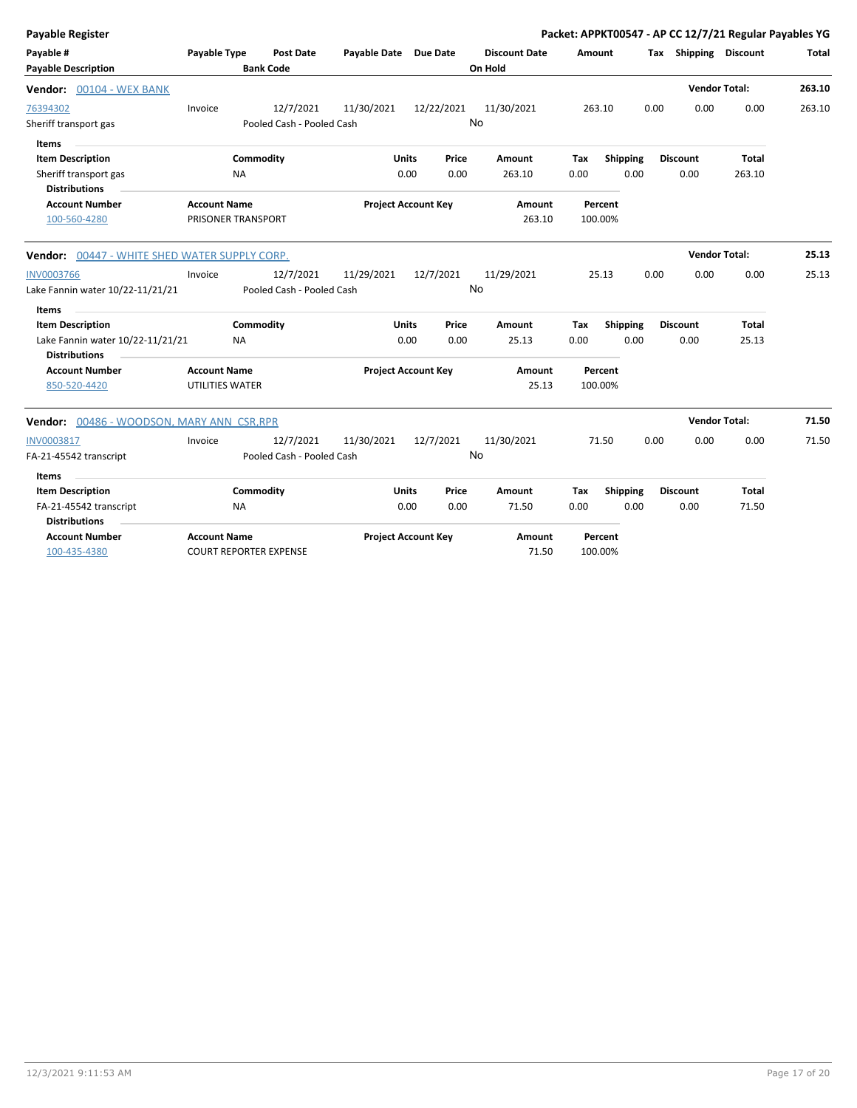| <b>Payable Register</b>                                  |                                                      |           |                           |                            |              |            |                      |        |                    |      |                       | Packet: APPKT00547 - AP CC 12/7/21 Regular Payables YG |        |
|----------------------------------------------------------|------------------------------------------------------|-----------|---------------------------|----------------------------|--------------|------------|----------------------|--------|--------------------|------|-----------------------|--------------------------------------------------------|--------|
| Payable #                                                | <b>Payable Type</b>                                  |           | Post Date                 | Payable Date Due Date      |              |            | <b>Discount Date</b> | Amount |                    |      | Tax Shipping Discount |                                                        | Total  |
| <b>Payable Description</b>                               |                                                      |           | <b>Bank Code</b>          |                            |              |            | On Hold              |        |                    |      |                       |                                                        |        |
| Vendor: 00104 - WEX BANK                                 |                                                      |           |                           |                            |              |            |                      |        |                    |      | <b>Vendor Total:</b>  |                                                        | 263.10 |
| 76394302                                                 | Invoice                                              |           | 12/7/2021                 | 11/30/2021                 |              | 12/22/2021 | 11/30/2021           |        | 263.10             | 0.00 | 0.00                  | 0.00                                                   | 263.10 |
| Sheriff transport gas                                    |                                                      |           | Pooled Cash - Pooled Cash |                            |              |            | <b>No</b>            |        |                    |      |                       |                                                        |        |
| <b>Items</b>                                             |                                                      |           |                           |                            |              |            |                      |        |                    |      |                       |                                                        |        |
| <b>Item Description</b>                                  |                                                      | Commodity |                           |                            | <b>Units</b> | Price      | Amount               | Tax    | <b>Shipping</b>    |      | <b>Discount</b>       | <b>Total</b>                                           |        |
| Sheriff transport gas<br><b>Distributions</b>            |                                                      | <b>NA</b> |                           |                            | 0.00         | 0.00       | 263.10               | 0.00   | 0.00               |      | 0.00                  | 263.10                                                 |        |
| <b>Account Number</b>                                    | <b>Account Name</b>                                  |           |                           | <b>Project Account Key</b> |              |            | Amount               |        | Percent            |      |                       |                                                        |        |
| 100-560-4280                                             | PRISONER TRANSPORT                                   |           |                           |                            |              |            | 263.10               |        | 100.00%            |      |                       |                                                        |        |
| Vendor: 00447 - WHITE SHED WATER SUPPLY CORP.            |                                                      |           |                           |                            |              |            |                      |        |                    |      |                       | <b>Vendor Total:</b>                                   | 25.13  |
| <b>INV0003766</b>                                        | Invoice                                              |           | 12/7/2021                 | 11/29/2021                 |              | 12/7/2021  | 11/29/2021           |        | 25.13              | 0.00 | 0.00                  | 0.00                                                   | 25.13  |
| Lake Fannin water 10/22-11/21/21                         |                                                      |           | Pooled Cash - Pooled Cash |                            |              |            | No                   |        |                    |      |                       |                                                        |        |
| Items                                                    |                                                      |           |                           |                            |              |            |                      |        |                    |      |                       |                                                        |        |
| <b>Item Description</b>                                  |                                                      | Commodity |                           |                            | <b>Units</b> | Price      | Amount               | Tax    | Shipping           |      | <b>Discount</b>       | Total                                                  |        |
| Lake Fannin water 10/22-11/21/21<br><b>Distributions</b> |                                                      | <b>NA</b> |                           |                            | 0.00         | 0.00       | 25.13                | 0.00   | 0.00               |      | 0.00                  | 25.13                                                  |        |
| <b>Account Number</b><br>850-520-4420                    | <b>Account Name</b><br>UTILITIES WATER               |           |                           | <b>Project Account Key</b> |              |            | Amount<br>25.13      |        | Percent<br>100.00% |      |                       |                                                        |        |
| Vendor: 00486 - WOODSON, MARY ANN CSR, RPR               |                                                      |           |                           |                            |              |            |                      |        |                    |      |                       | <b>Vendor Total:</b>                                   | 71.50  |
| INV0003817                                               | Invoice                                              |           | 12/7/2021                 | 11/30/2021                 |              | 12/7/2021  | 11/30/2021           |        | 71.50              | 0.00 | 0.00                  | 0.00                                                   | 71.50  |
| FA-21-45542 transcript                                   |                                                      |           | Pooled Cash - Pooled Cash |                            |              |            | No                   |        |                    |      |                       |                                                        |        |
| Items                                                    |                                                      |           |                           |                            |              |            |                      |        |                    |      |                       |                                                        |        |
| <b>Item Description</b>                                  |                                                      | Commodity |                           |                            | Units        | Price      | Amount               | Tax    | <b>Shipping</b>    |      | <b>Discount</b>       | <b>Total</b>                                           |        |
| FA-21-45542 transcript                                   |                                                      | <b>NA</b> |                           |                            | 0.00         | 0.00       | 71.50                | 0.00   | 0.00               |      | 0.00                  | 71.50                                                  |        |
| <b>Distributions</b>                                     |                                                      |           |                           |                            |              |            |                      |        |                    |      |                       |                                                        |        |
| <b>Account Number</b><br>100-435-4380                    | <b>Account Name</b><br><b>COURT REPORTER EXPENSE</b> |           |                           | <b>Project Account Key</b> |              |            | Amount<br>71.50      |        | Percent<br>100.00% |      |                       |                                                        |        |
|                                                          |                                                      |           |                           |                            |              |            |                      |        |                    |      |                       |                                                        |        |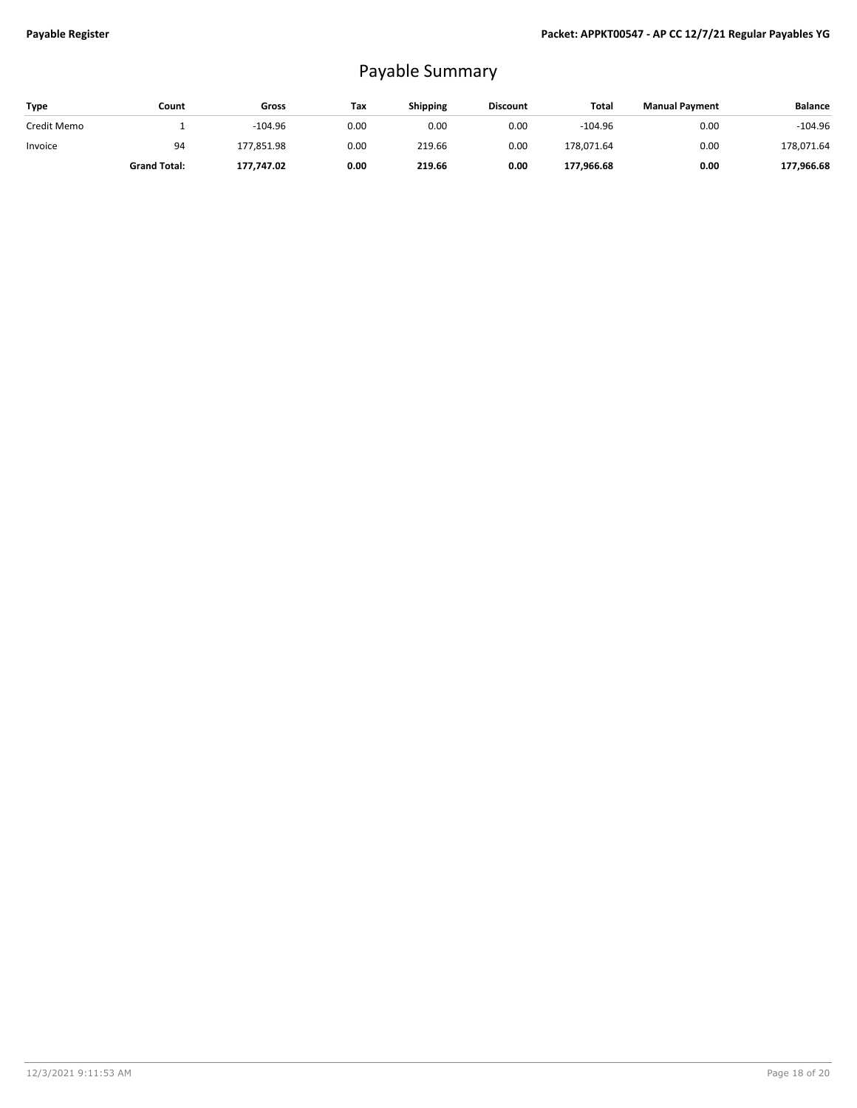## Payable Summary

| Type        | Count               | Gross      | Tax  | <b>Shipping</b> | <b>Discount</b> | Total      | <b>Manual Payment</b> | <b>Balance</b> |
|-------------|---------------------|------------|------|-----------------|-----------------|------------|-----------------------|----------------|
| Credit Memo |                     | $-104.96$  | 0.00 | 0.00            | 0.00            | $-104.96$  | 0.00                  | $-104.96$      |
| Invoice     | 94                  | 177.851.98 | 0.00 | 219.66          | 0.00            | 178.071.64 | 0.00                  | 178,071.64     |
|             | <b>Grand Total:</b> | 177,747.02 | 0.00 | 219.66          | 0.00            | 177,966.68 | 0.00                  | 177,966.68     |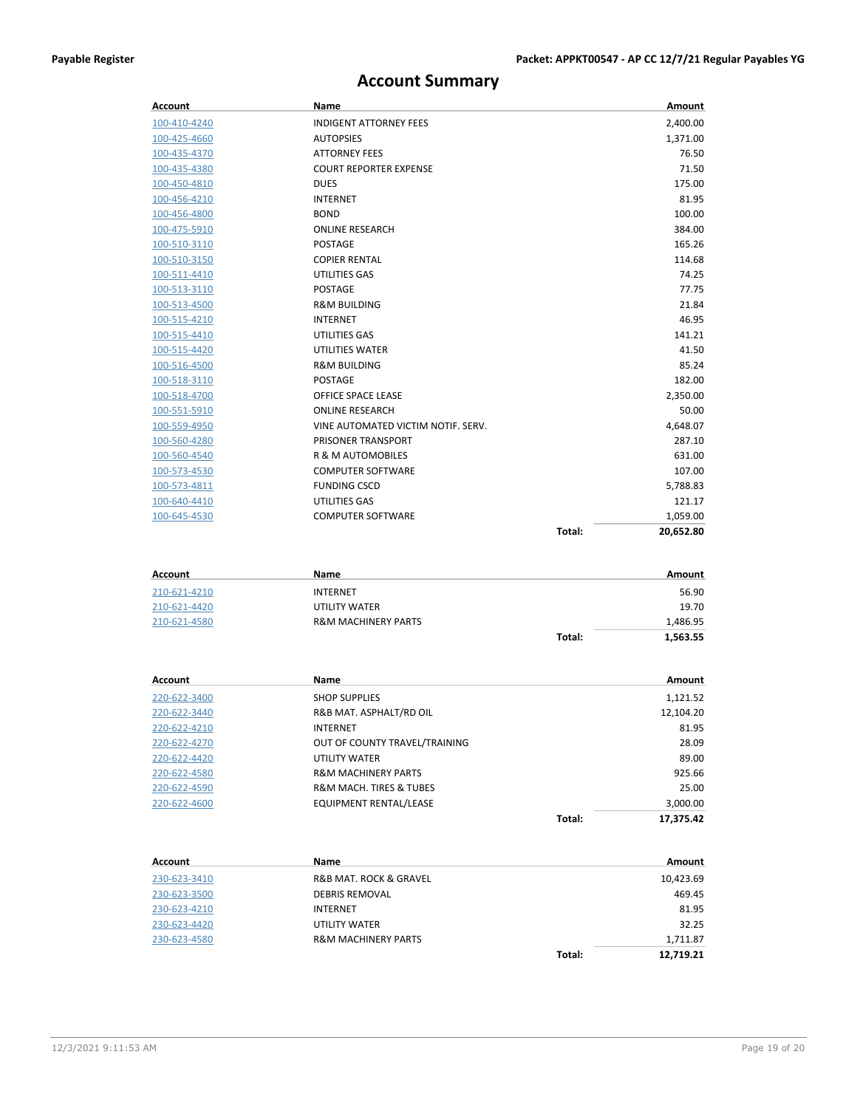### **Account Summary**

| Account      | Name                               | Amount              |
|--------------|------------------------------------|---------------------|
| 100-410-4240 | <b>INDIGENT ATTORNEY FEES</b>      | 2,400.00            |
| 100-425-4660 | <b>AUTOPSIES</b>                   | 1,371.00            |
| 100-435-4370 | <b>ATTORNEY FEES</b>               | 76.50               |
| 100-435-4380 | <b>COURT REPORTER EXPENSE</b>      | 71.50               |
| 100-450-4810 | <b>DUES</b>                        | 175.00              |
| 100-456-4210 | <b>INTERNET</b>                    | 81.95               |
| 100-456-4800 | <b>BOND</b>                        | 100.00              |
| 100-475-5910 | <b>ONLINE RESEARCH</b>             | 384.00              |
| 100-510-3110 | <b>POSTAGE</b>                     | 165.26              |
| 100-510-3150 | <b>COPIER RENTAL</b>               | 114.68              |
| 100-511-4410 | UTILITIES GAS                      | 74.25               |
| 100-513-3110 | <b>POSTAGE</b>                     | 77.75               |
| 100-513-4500 | <b>R&amp;M BUILDING</b>            | 21.84               |
| 100-515-4210 | <b>INTERNET</b>                    | 46.95               |
| 100-515-4410 | UTILITIES GAS                      | 141.21              |
| 100-515-4420 | <b>UTILITIES WATER</b>             | 41.50               |
| 100-516-4500 | <b>R&amp;M BUILDING</b>            | 85.24               |
| 100-518-3110 | <b>POSTAGE</b>                     | 182.00              |
| 100-518-4700 | OFFICE SPACE LEASE                 | 2.350.00            |
| 100-551-5910 | <b>ONLINE RESEARCH</b>             | 50.00               |
| 100-559-4950 | VINE AUTOMATED VICTIM NOTIF. SERV. | 4,648.07            |
| 100-560-4280 | PRISONER TRANSPORT                 | 287.10              |
| 100-560-4540 | <b>R &amp; M AUTOMOBILES</b>       | 631.00              |
| 100-573-4530 | <b>COMPUTER SOFTWARE</b>           | 107.00              |
| 100-573-4811 | <b>FUNDING CSCD</b>                | 5,788.83            |
| 100-640-4410 | UTILITIES GAS                      | 121.17              |
| 100-645-4530 | <b>COMPUTER SOFTWARE</b>           | 1,059.00            |
|              |                                    | Total:<br>20,652.80 |

| Account      | Name                           |        | Amount   |
|--------------|--------------------------------|--------|----------|
| 210-621-4210 | <b>INTERNET</b>                |        | 56.90    |
| 210-621-4420 | UTILITY WATER                  |        | 19.70    |
| 210-621-4580 | <b>R&amp;M MACHINERY PARTS</b> |        | 1,486.95 |
|              |                                | Total: | 1,563.55 |

| Account      | Name                                   |        | Amount    |
|--------------|----------------------------------------|--------|-----------|
| 220-622-3400 | <b>SHOP SUPPLIES</b>                   |        | 1,121.52  |
| 220-622-3440 | R&B MAT. ASPHALT/RD OIL                |        | 12,104.20 |
| 220-622-4210 | <b>INTERNET</b>                        |        | 81.95     |
| 220-622-4270 | OUT OF COUNTY TRAVEL/TRAINING          |        | 28.09     |
| 220-622-4420 | <b>UTILITY WATER</b>                   |        | 89.00     |
| 220-622-4580 | <b>R&amp;M MACHINERY PARTS</b>         |        | 925.66    |
| 220-622-4590 | <b>R&amp;M MACH. TIRES &amp; TUBES</b> |        | 25.00     |
| 220-622-4600 | <b>EQUIPMENT RENTAL/LEASE</b>          |        | 3,000.00  |
|              |                                        | Total: | 17.375.42 |

| Account      | Name                                  |        | Amount    |
|--------------|---------------------------------------|--------|-----------|
| 230-623-3410 | <b>R&amp;B MAT. ROCK &amp; GRAVEL</b> |        | 10,423.69 |
| 230-623-3500 | <b>DEBRIS REMOVAL</b>                 |        | 469.45    |
| 230-623-4210 | <b>INTERNET</b>                       |        | 81.95     |
| 230-623-4420 | UTILITY WATER                         |        | 32.25     |
| 230-623-4580 | <b>R&amp;M MACHINERY PARTS</b>        |        | 1,711.87  |
|              |                                       | Total: | 12.719.21 |